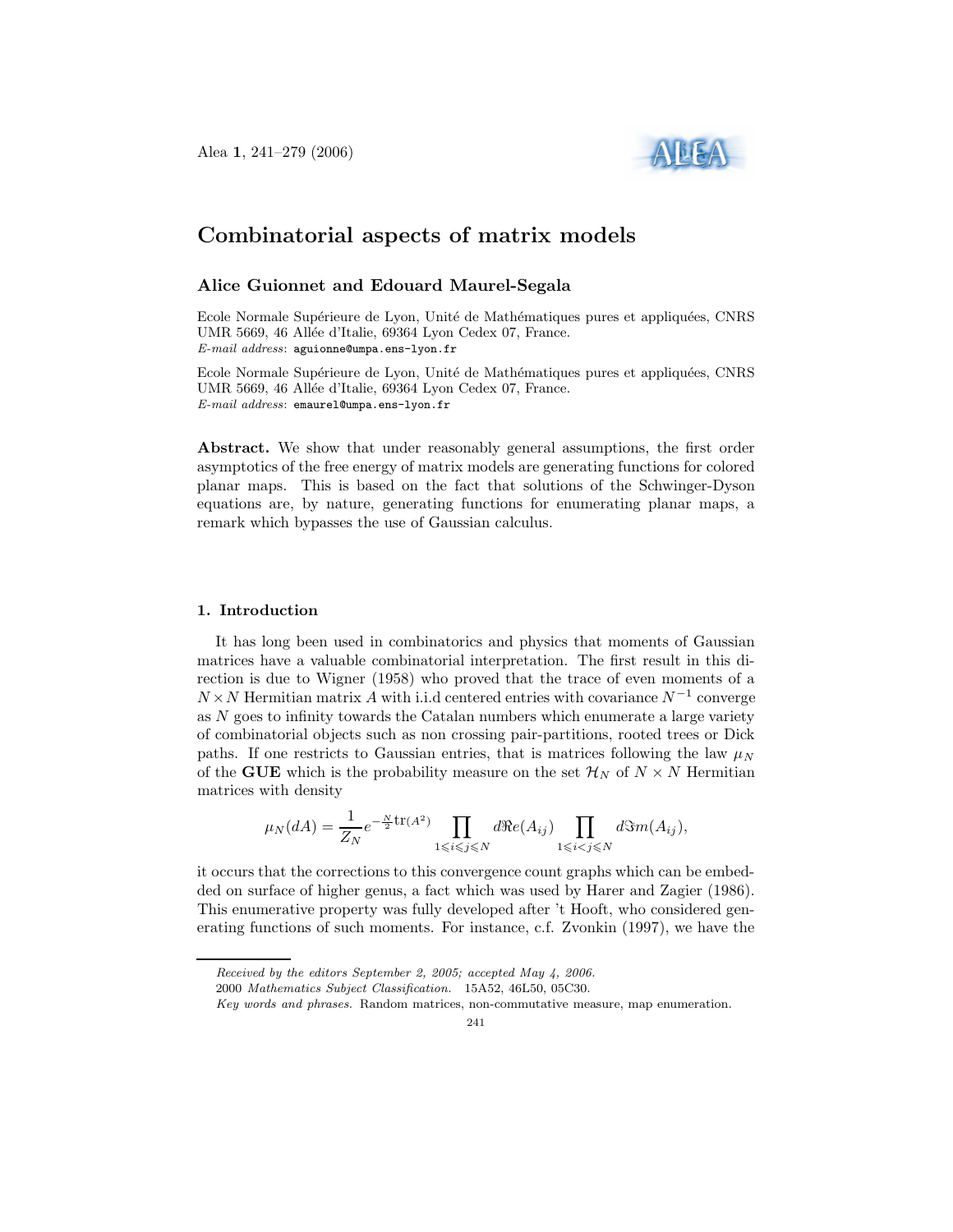

# Combinatorial aspects of matrix models

# Alice Guionnet and Edouard Maurel-Segala

Ecole Normale Supérieure de Lyon, Unité de Mathématiques pures et appliquées, CNRS UMR 5669, 46 Allée d'Italie, 69364 Lyon Cedex 07, France. E-mail address: aguionne@umpa.ens-lyon.fr

Ecole Normale Supérieure de Lyon, Unité de Mathématiques pures et appliquées, CNRS UMR 5669, 46 Allée d'Italie, 69364 Lyon Cedex 07, France. E-mail address: emaurel@umpa.ens-lyon.fr

Abstract. We show that under reasonably general assumptions, the first order asymptotics of the free energy of matrix models are generating functions for colored planar maps. This is based on the fact that solutions of the Schwinger-Dyson equations are, by nature, generating functions for enumerating planar maps, a remark which bypasses the use of Gaussian calculus.

#### 1. Introduction

It has long been used in combinatorics and physics that moments of Gaussian matrices have a valuable combinatorial interpretation. The first result in this direction is due to Wigner (1958) who proved that the trace of even moments of a  $N \times N$  Hermitian matrix A with i.i.d centered entries with covariance  $N^{-1}$  converge as  $N$  goes to infinity towards the Catalan numbers which enumerate a large variety of combinatorial objects such as non crossing pair-partitions, rooted trees or Dick paths. If one restricts to Gaussian entries, that is matrices following the law  $\mu_N$ of the GUE which is the probability measure on the set  $\mathcal{H}_N$  of  $N \times N$  Hermitian matrices with density

$$
\mu_N(dA) = \frac{1}{Z_N} e^{-\frac{N}{2}\text{tr}(A^2)} \prod_{1 \le i \le j \le N} d\Re(e(A_{ij}) \prod_{1 \le i < j \le N} d\Im(m(A_{ij}),
$$

it occurs that the corrections to this convergence count graphs which can be embedded on surface of higher genus, a fact which was used by Harer and Zagier (1986). This enumerative property was fully developed after 't Hooft, who considered generating functions of such moments. For instance, c.f. Zvonkin (1997), we have the

2000 Mathematics Subject Classification. 15A52, 46L50, 05C30.

Received by the editors September 2, 2005; accepted May 4, 2006.

Key words and phrases. Random matrices, non-commutative measure, map enumeration.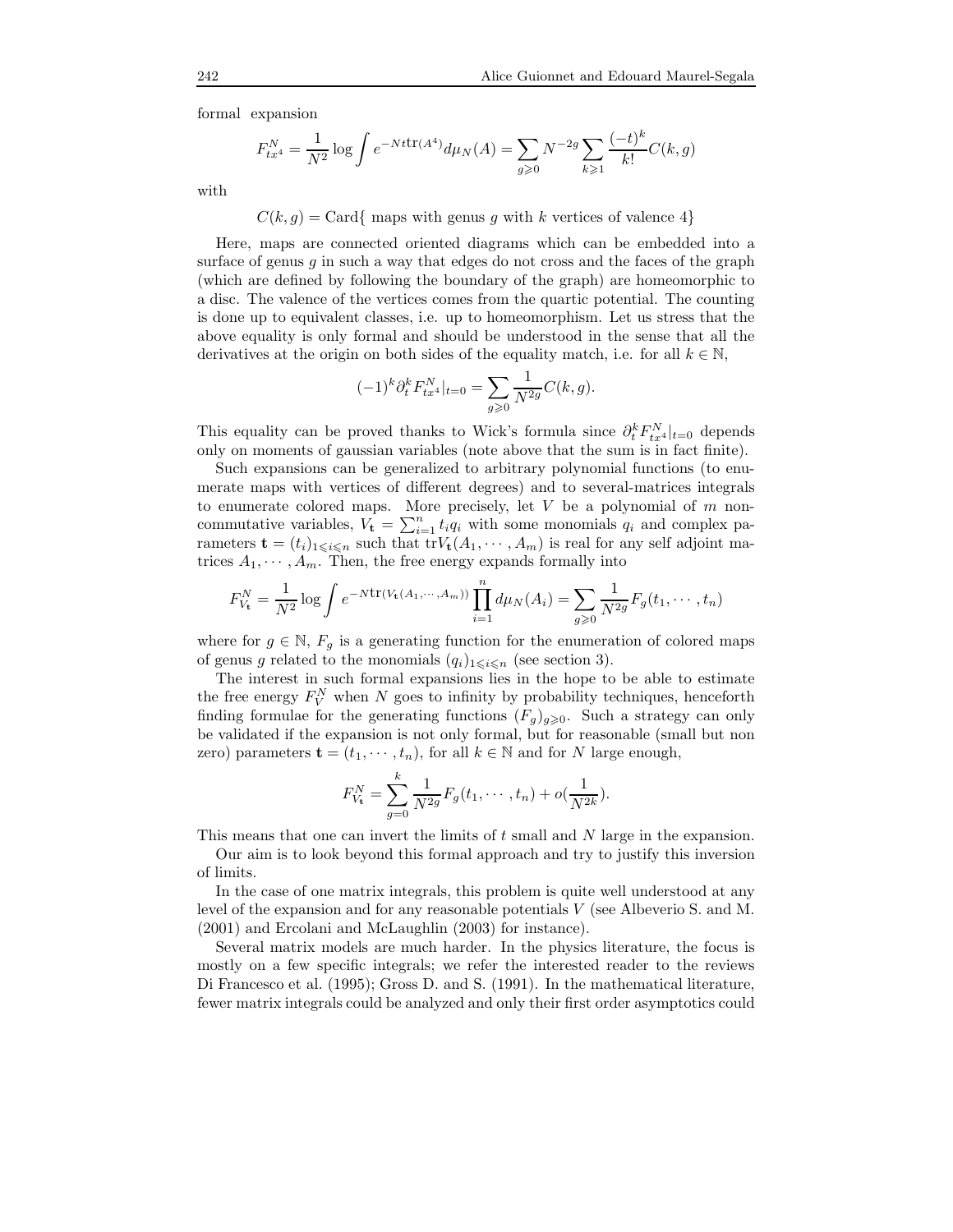formal expansion

$$
F_{tx^4}^N = \frac{1}{N^2} \log \int e^{-Nt \text{tr}(A^4)} d\mu_N(A) = \sum_{g \ge 0} N^{-2g} \sum_{k \ge 1} \frac{(-t)^k}{k!} C(k, g)
$$

with

 $C(k, q) = \text{Card} \{ \text{ maps with genus } q \text{ with } k \text{ vertices of valence } 4 \}$ 

Here, maps are connected oriented diagrams which can be embedded into a surface of genus  $g$  in such a way that edges do not cross and the faces of the graph (which are defined by following the boundary of the graph) are homeomorphic to a disc. The valence of the vertices comes from the quartic potential. The counting is done up to equivalent classes, i.e. up to homeomorphism. Let us stress that the above equality is only formal and should be understood in the sense that all the derivatives at the origin on both sides of the equality match, i.e. for all  $k \in \mathbb{N}$ ,

$$
(-1)^{k} \partial_{t}^{k} F_{tx^{4}}^{N}|_{t=0} = \sum_{g \geqslant 0} \frac{1}{N^{2g}} C(k, g).
$$

This equality can be proved thanks to Wick's formula since  $\partial_t^k F_{tx}^N|_{t=0}$  depends only on moments of gaussian variables (note above that the sum is in fact finite).

Such expansions can be generalized to arbitrary polynomial functions (to enumerate maps with vertices of different degrees) and to several-matrices integrals to enumerate colored maps. More precisely, let  $V$  be a polynomial of  $m$  noncommutative variables,  $V_t = \sum_{i=1}^n t_i q_i$  with some monomials  $q_i$  and complex parameters  $\mathbf{t} = (t_i)_{1 \leq i \leq n}$  such that  $\text{tr}V_{\mathbf{t}}(A_1, \dots, A_m)$  is real for any self adjoint matrices  $A_1, \dots, A_m$ . Then, the free energy expands formally into

$$
F_{V_{\mathbf{t}}}^{N} = \frac{1}{N^{2}} \log \int e^{-N \text{tr}(V_{\mathbf{t}}(A_{1}, \cdots, A_{m}))} \prod_{i=1}^{n} d\mu_{N}(A_{i}) = \sum_{g \geqslant 0} \frac{1}{N^{2g}} F_{g}(t_{1}, \cdots, t_{n})
$$

where for  $g \in \mathbb{N}$ ,  $F_g$  is a generating function for the enumeration of colored maps of genus g related to the monomials  $(q_i)_{1\leqslant i\leqslant n}$  (see section 3).

The interest in such formal expansions lies in the hope to be able to estimate the free energy  $F_V^N$  when N goes to infinity by probability techniques, henceforth finding formulae for the generating functions  $(F_g)_{g\geqslant0}$ . Such a strategy can only be validated if the expansion is not only formal, but for reasonable (small but non zero) parameters  $\mathbf{t} = (t_1, \dots, t_n)$ , for all  $k \in \mathbb{N}$  and for N large enough,

$$
F_{V_{\mathbf{t}}}^{N} = \sum_{g=0}^{k} \frac{1}{N^{2g}} F_g(t_1, \cdots, t_n) + o(\frac{1}{N^{2k}}).
$$

This means that one can invert the limits of t small and N large in the expansion.

Our aim is to look beyond this formal approach and try to justify this inversion of limits.

In the case of one matrix integrals, this problem is quite well understood at any level of the expansion and for any reasonable potentials V (see Albeverio S. and M. (2001) and Ercolani and McLaughlin (2003) for instance).

Several matrix models are much harder. In the physics literature, the focus is mostly on a few specific integrals; we refer the interested reader to the reviews Di Francesco et al. (1995); Gross D. and S. (1991). In the mathematical literature, fewer matrix integrals could be analyzed and only their first order asymptotics could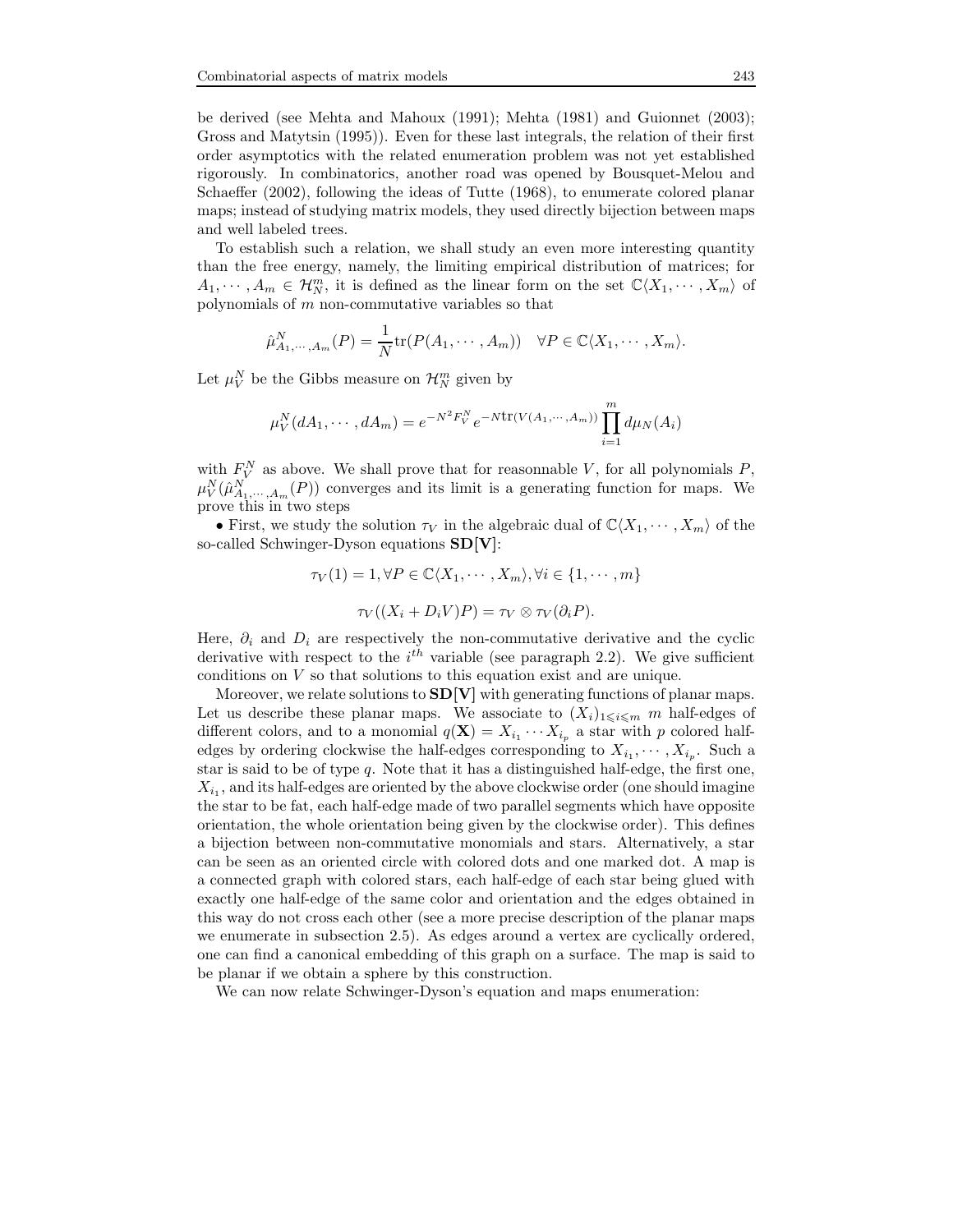be derived (see Mehta and Mahoux (1991); Mehta (1981) and Guionnet (2003); Gross and Matytsin (1995)). Even for these last integrals, the relation of their first order asymptotics with the related enumeration problem was not yet established rigorously. In combinatorics, another road was opened by Bousquet-Melou and Schaeffer (2002), following the ideas of Tutte (1968), to enumerate colored planar maps; instead of studying matrix models, they used directly bijection between maps and well labeled trees.

To establish such a relation, we shall study an even more interesting quantity than the free energy, namely, the limiting empirical distribution of matrices; for  $A_1, \dots, A_m \in \mathcal{H}_N^m$ , it is defined as the linear form on the set  $\mathbb{C}\langle X_1, \dots, X_m\rangle$  of polynomials of  $m$  non-commutative variables so that

$$
\hat{\mu}_{A_1,\cdots,A_m}^N(P) = \frac{1}{N} \text{tr}(P(A_1,\cdots,A_m)) \quad \forall P \in \mathbb{C} \langle X_1,\cdots,X_m \rangle.
$$

Let  $\mu_V^N$  be the Gibbs measure on  $\mathcal{H}_N^m$  given by

$$
\mu_V^N(dA_1, \cdots, dA_m) = e^{-N^2 F_V^N} e^{-N \text{tr}(V(A_1, \cdots, A_m))} \prod_{i=1}^m d\mu_N(A_i)
$$

with  $F_V^N$  as above. We shall prove that for reasonnable V, for all polynomials P,  $\mu_V^N(\hat{\mu}_{A_1,\dots,A_m}^N(P))$  converges and its limit is a generating function for maps. We prove this in two steps

• First, we study the solution  $\tau_V$  in the algebraic dual of  $\mathbb{C}\langle X_1, \dots, X_m \rangle$  of the so-called Schwinger-Dyson equations SD[V]:

$$
\tau_V(1) = 1, \forall P \in \mathbb{C} \langle X_1, \cdots, X_m \rangle, \forall i \in \{1, \cdots, m\}
$$

$$
\tau_V((X_i + D_i V)P) = \tau_V \otimes \tau_V(\partial_i P).
$$

Here,  $\partial_i$  and  $D_i$  are respectively the non-commutative derivative and the cyclic derivative with respect to the  $i^{th}$  variable (see paragraph 2.2). We give sufficient conditions on  $V$  so that solutions to this equation exist and are unique.

Moreover, we relate solutions to  $SD[V]$  with generating functions of planar maps. Let us describe these planar maps. We associate to  $(X_i)_{1\leq i\leq m}$  m half-edges of different colors, and to a monomial  $q(\mathbf{X}) = X_{i_1} \cdots X_{i_p}$  a star with p colored halfedges by ordering clockwise the half-edges corresponding to  $X_{i_1}, \cdots, X_{i_p}$ . Such a star is said to be of type q. Note that it has a distinguished half-edge, the first one,  $X_{i_1}$ , and its half-edges are oriented by the above clockwise order (one should imagine the star to be fat, each half-edge made of two parallel segments which have opposite orientation, the whole orientation being given by the clockwise order). This defines a bijection between non-commutative monomials and stars. Alternatively, a star can be seen as an oriented circle with colored dots and one marked dot. A map is a connected graph with colored stars, each half-edge of each star being glued with exactly one half-edge of the same color and orientation and the edges obtained in this way do not cross each other (see a more precise description of the planar maps we enumerate in subsection 2.5). As edges around a vertex are cyclically ordered, one can find a canonical embedding of this graph on a surface. The map is said to be planar if we obtain a sphere by this construction.

We can now relate Schwinger-Dyson's equation and maps enumeration: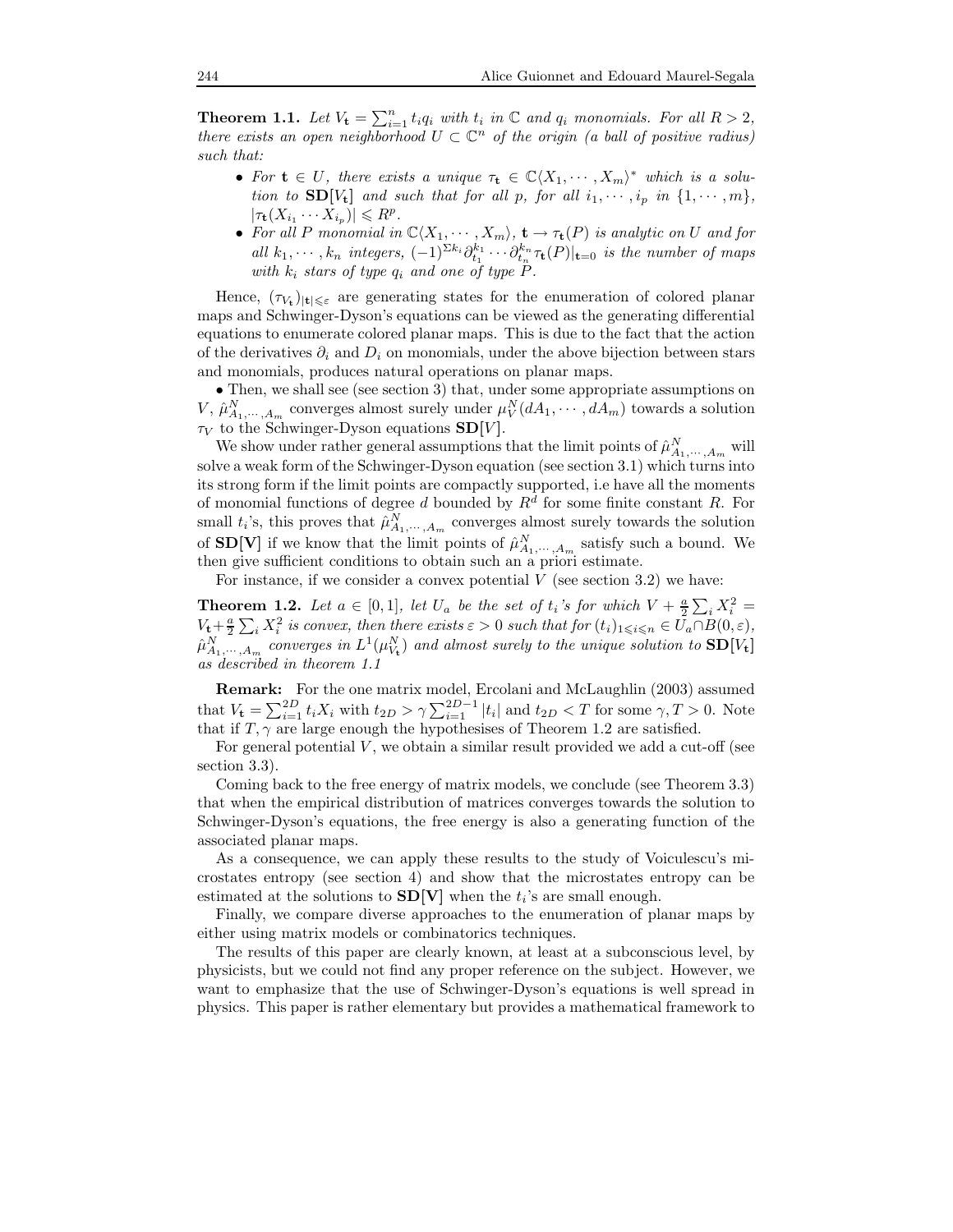**Theorem 1.1.** Let  $V_t = \sum_{i=1}^n t_i q_i$  with  $t_i$  in  $\mathbb C$  and  $q_i$  monomials. For all  $R > 2$ , there exists an open neighborhood  $U \subset \mathbb{C}^n$  of the origin (a ball of positive radius) such that:

- For  $t \in U$ , there exists a unique  $\tau_t \in \mathbb{C}\langle X_1, \cdots, X_m \rangle^*$  which is a solution to  $SD[V_t]$  and such that for all p, for all  $i_1, \dots, i_p$  in  $\{1, \dots, m\}$ ,  $|\tau_{\mathbf{t}}(X_{i_1}\cdots X_{i_p})| \leq R^p.$
- For all P monomial in  $\mathbb{C}\langle X_1, \cdots, X_m\rangle$ ,  $\mathbf{t} \to \tau_{\mathbf{t}}(P)$  is analytic on U and for all  $k_1, \dots, k_n$  integers,  $(-1)^{\sum k_i} \partial_{t_1}^{k_1} \cdots \partial_{t_n}^{k_n} \tau_{\mathbf{t}}(P)|_{\mathbf{t}=0}$  is the number of maps with  $k_i$  stars of type  $q_i$  and one of type  $P$ .

Hence,  $(\tau_{V_t})_{|t|\leqslant\varepsilon}$  are generating states for the enumeration of colored planar maps and Schwinger-Dyson's equations can be viewed as the generating differential equations to enumerate colored planar maps. This is due to the fact that the action of the derivatives  $\partial_i$  and  $D_i$  on monomials, under the above bijection between stars and monomials, produces natural operations on planar maps.

• Then, we shall see (see section 3) that, under some appropriate assumptions on V,  $\hat{\mu}_{A_1,\dots,A_m}^N$  converges almost surely under  $\mu_V^N(dA_1,\dots,A_m)$  towards a solution  $\tau_V$  to the Schwinger-Dyson equations  $SD[V]$ .

We show under rather general assumptions that the limit points of  $\hat{\mu}_{A_1,\dots,A_m}^N$  will solve a weak form of the Schwinger-Dyson equation (see section 3.1) which turns into its strong form if the limit points are compactly supported, i.e have all the moments of monomial functions of degree d bounded by  $R<sup>d</sup>$  for some finite constant R. For small  $t_i$ 's, this proves that  $\hat{\mu}_{A_1,\dots,A_m}^N$  converges almost surely towards the solution of  $SD[V]$  if we know that the limit points of  $\hat{\mu}_{A_1,\dots,A_m}^N$  satisfy such a bound. We then give sufficient conditions to obtain such an a priori estimate.

For instance, if we consider a convex potential  $V$  (see section 3.2) we have:

**Theorem 1.2.** Let  $a \in [0,1]$ , let  $U_a$  be the set of  $t_i$ 's for which  $V + \frac{a}{2} \sum_i X_i^2 =$  $V_t + \frac{a}{2} \sum_i X_i^2$  is convex, then there exists  $\varepsilon > 0$  such that for  $(t_i)_{1 \leq i \leq n} \in \overline{U}_a \cap B(0, \varepsilon)$ ,  $\hat{\mu}^N_{A_1,\cdots,A_m}$  converges in  $L^1(\mu^N_{V_t})$  and almost surely to the unique solution to  $\mathbf{SD}[V_t]$ as described in theorem 1.1

**Remark:** For the one matrix model, Ercolani and McLaughlin (2003) assumed that  $V_t = \sum_{i=1}^{2D} t_i X_i$  with  $t_{2D} > \gamma \sum_{i=1}^{2D-1} |t_i|$  and  $t_{2D} < T$  for some  $\gamma, T > 0$ . Note that if  $T, \gamma$  are large enough the hypothesises of Theorem 1.2 are satisfied.

For general potential  $V$ , we obtain a similar result provided we add a cut-off (see section 3.3).

Coming back to the free energy of matrix models, we conclude (see Theorem 3.3) that when the empirical distribution of matrices converges towards the solution to Schwinger-Dyson's equations, the free energy is also a generating function of the associated planar maps.

As a consequence, we can apply these results to the study of Voiculescu's microstates entropy (see section 4) and show that the microstates entropy can be estimated at the solutions to  $SD[V]$  when the  $t_i$ 's are small enough.

Finally, we compare diverse approaches to the enumeration of planar maps by either using matrix models or combinatorics techniques.

The results of this paper are clearly known, at least at a subconscious level, by physicists, but we could not find any proper reference on the subject. However, we want to emphasize that the use of Schwinger-Dyson's equations is well spread in physics. This paper is rather elementary but provides a mathematical framework to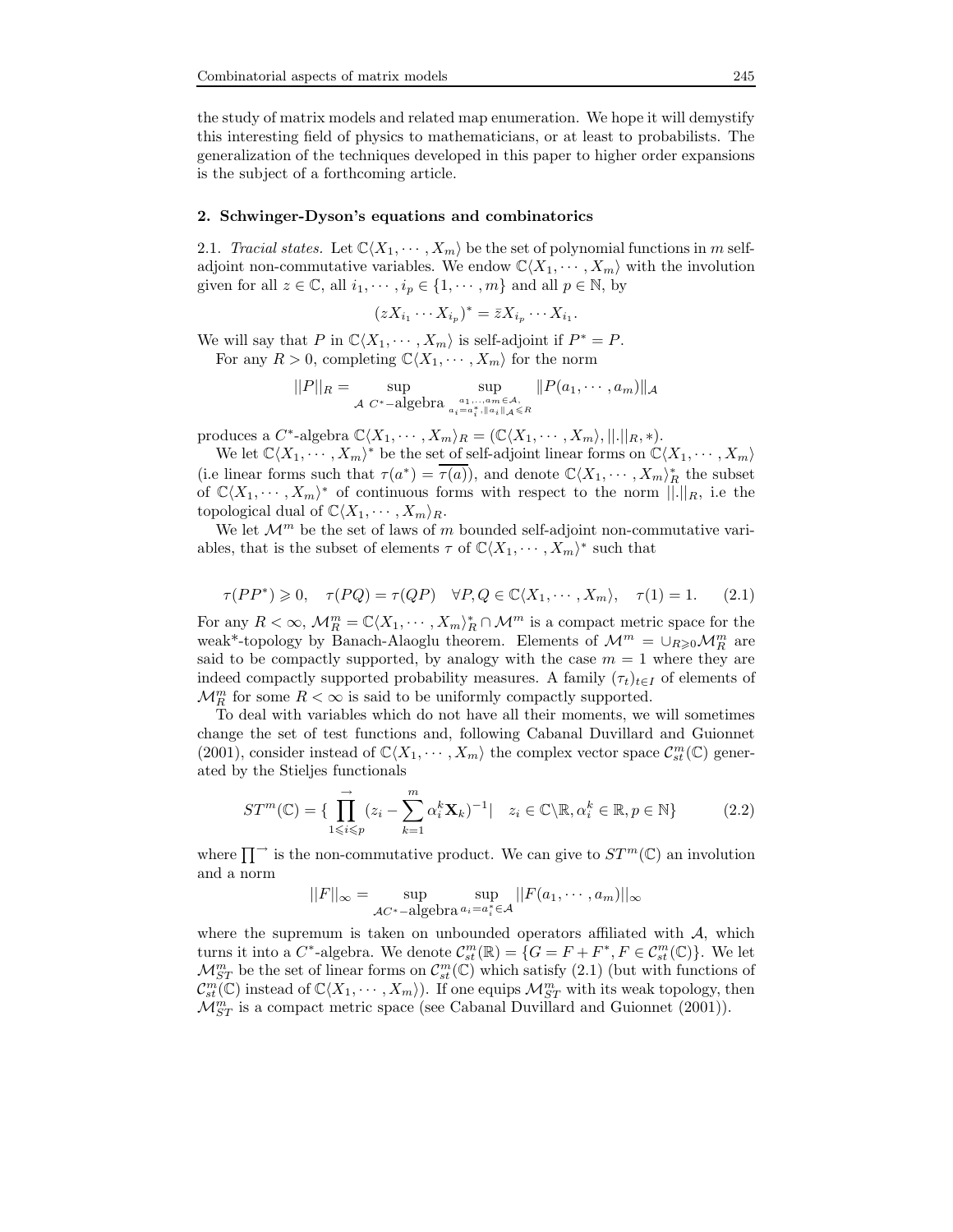the study of matrix models and related map enumeration. We hope it will demystify this interesting field of physics to mathematicians, or at least to probabilists. The generalization of the techniques developed in this paper to higher order expansions is the subject of a forthcoming article.

#### 2. Schwinger-Dyson's equations and combinatorics

2.1. Tracial states. Let  $\mathbb{C}\langle X_1, \cdots, X_m \rangle$  be the set of polynomial functions in m selfadjoint non-commutative variables. We endow  $\mathbb{C}\langle X_1, \cdots, X_m \rangle$  with the involution given for all  $z \in \mathbb{C}$ , all  $i_1, \dots, i_p \in \{1, \dots, m\}$  and all  $p \in \mathbb{N}$ , by

$$
(zX_{i_1}\cdots X_{i_p})^*=\bar{z}X_{i_p}\cdots X_{i_1}.
$$

We will say that P in  $\mathbb{C}\langle X_1, \cdots, X_m\rangle$  is self-adjoint if  $P^* = P$ .

For any  $R > 0$ , completing  $\mathbb{C}\langle X_1, \cdots, X_m \rangle$  for the norm

$$
||P||_R = \sup_{\mathcal{A} \ C^*-\text{algebra}} \sup_{a_1,\ldots,a_m \in \mathcal{A}, \atop a_i = a_i^*, ||a_i||_{\mathcal{A}} \leq R} ||P(a_1,\cdots,a_m)||_{\mathcal{A}}
$$

produces a  $C^*$ -algebra  $\mathbb{C}\langle X_1, \cdots, X_m \rangle_R = (\mathbb{C}\langle X_1, \cdots, X_m \rangle, ||.||_R, *)$ .

We let  $\mathbb{C}\langle X_1, \cdots, X_m\rangle^*$  be the set of self-adjoint linear forms on  $\mathbb{C}\langle X_1, \cdots, X_m\rangle$ (i.e linear forms such that  $\tau(a^*) = \overline{\tau(a)}$ ), and denote  $\mathbb{C}\langle X_1, \cdots, X_m \rangle_R^*$  the subset of  $\mathbb{C}\langle X_1, \cdots, X_m\rangle^*$  of continuous forms with respect to the norm  $\|\cdot\|_R$ , i.e the topological dual of  $\mathbb{C}\langle X_1, \cdots, X_m\rangle_R$ .

We let  $\mathcal{M}^m$  be the set of laws of m bounded self-adjoint non-commutative variables, that is the subset of elements  $\tau$  of  $\mathbb{C}\langle X_1, \cdots, X_m \rangle^*$  such that

$$
\tau(PP^*) \geq 0, \quad \tau(PQ) = \tau(QP) \quad \forall P, Q \in \mathbb{C}\langle X_1, \cdots, X_m \rangle, \quad \tau(1) = 1. \tag{2.1}
$$

For any  $R < \infty$ ,  $\mathcal{M}_R^m = \mathbb{C}\langle X_1, \cdots, X_m \rangle_R^* \cap \mathcal{M}^m$  is a compact metric space for the weak<sup>\*</sup>-topology by Banach-Alaoglu theorem. Elements of  $\mathcal{M}^m = \cup_{R \geq 0} \mathcal{M}_R^m$  are said to be compactly supported, by analogy with the case  $m = 1$  where they are indeed compactly supported probability measures. A family  $(\tau_t)_{t\in I}$  of elements of  $\mathcal{M}_{R}^{m}$  for some  $R < \infty$  is said to be uniformly compactly supported.

To deal with variables which do not have all their moments, we will sometimes change the set of test functions and, following Cabanal Duvillard and Guionnet (2001), consider instead of  $\mathbb{C}\langle X_1,\cdots,X_m\rangle$  the complex vector space  $\mathcal{C}_{st}^m(\mathbb{C})$  generated by the Stieljes functionals

$$
ST^m(\mathbb{C}) = \{ \prod_{1 \le i \le p}^{\longrightarrow} (z_i - \sum_{k=1}^m \alpha_i^k \mathbf{X}_k)^{-1} | \quad z_i \in \mathbb{C} \backslash \mathbb{R}, \alpha_i^k \in \mathbb{R}, p \in \mathbb{N} \}
$$
(2.2)

where  $\prod^{\rightarrow}$  is the non-commutative product. We can give to  $ST^m(\mathbb{C})$  an involution and a norm

$$
||F||_{\infty} = \sup_{\mathcal{AC}^*-\text{algebra }a_i=a_i^*\in\mathcal{A}} ||F(a_1,\cdots,a_m)||_{\infty}
$$

where the supremum is taken on unbounded operators affiliated with  $A$ , which turns it into a  $C^*$ -algebra. We denote  $\mathcal{C}_{st}^m(\mathbb{R}) = \{G = F + F^*, F \in \mathcal{C}_{st}^m(\mathbb{C})\}$ . We let  $\mathcal{M}_{ST}^m$  be the set of linear forms on  $\mathcal{C}_{st}^m(\mathbb{C})$  which satisfy  $(2.1)$  (but with functions of  $\mathcal{C}_{st}^{m}(\mathbb{C})$  instead of  $\mathbb{C}\langle X_1,\cdots,X_m\rangle$ . If one equips  $\mathcal{M}_{ST}^{m}$  with its weak topology, then  $\mathcal{M}_{ST}^{m}$  is a compact metric space (see Cabanal Duvillard and Guionnet (2001)).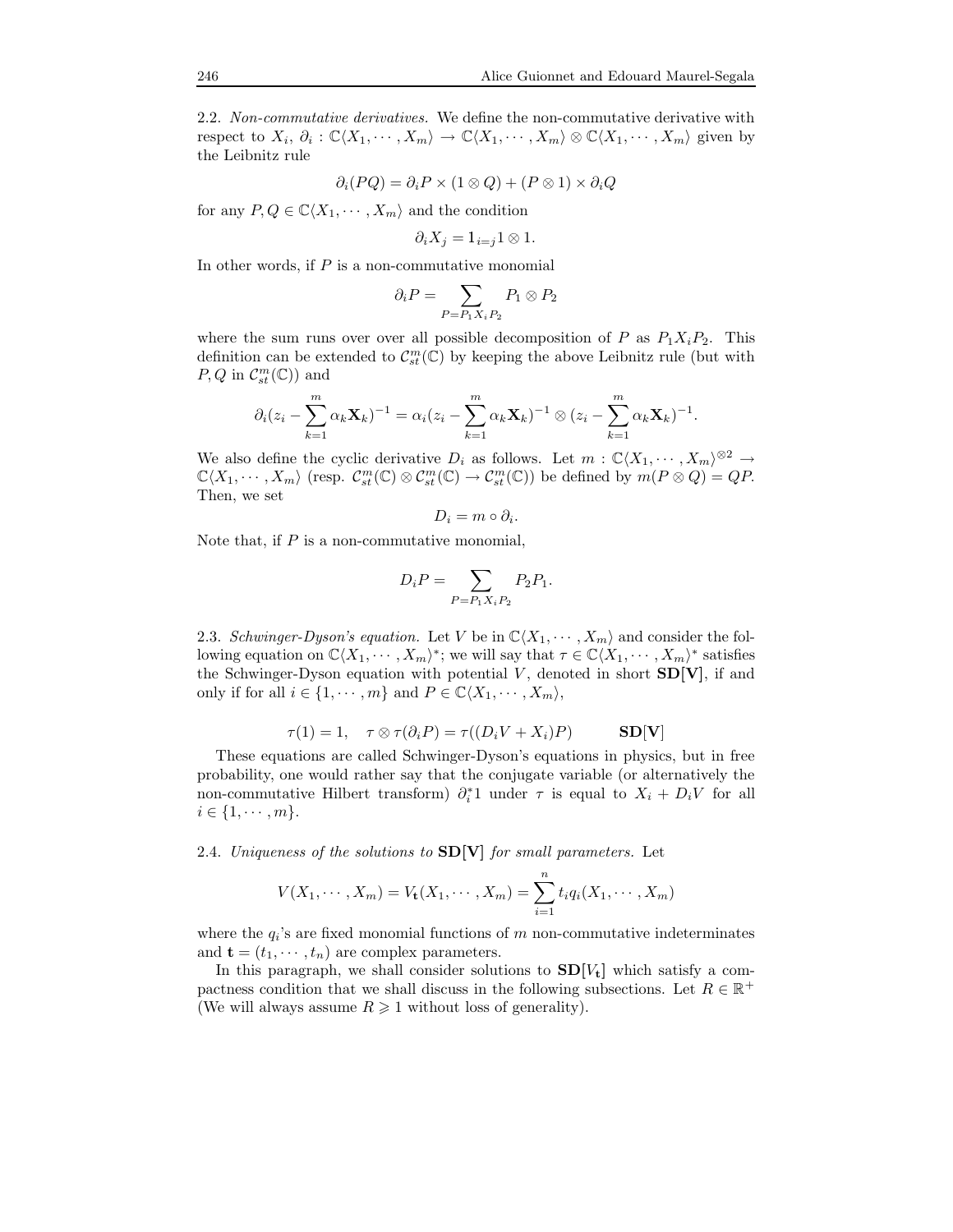2.2. Non-commutative derivatives. We define the non-commutative derivative with respect to  $X_i$ ,  $\partial_i : \mathbb{C}\langle X_1,\cdots,X_m\rangle \to \mathbb{C}\langle X_1,\cdots,X_m\rangle \otimes \mathbb{C}\langle X_1,\cdots,X_m\rangle$  given by the Leibnitz rule

$$
\partial_i(PQ) = \partial_i P \times (1 \otimes Q) + (P \otimes 1) \times \partial_i Q
$$

for any  $P, Q \in \mathbb{C}\langle X_1, \cdots, X_m \rangle$  and the condition

$$
\partial_i X_j = 1_{i=j} 1 \otimes 1.
$$

In other words, if  $P$  is a non-commutative monomial

$$
\partial_i P = \sum_{P = P_1 X_i P_2} P_1 \otimes P_2
$$

where the sum runs over over all possible decomposition of P as  $P_1X_iP_2$ . This definition can be extended to  $\mathcal{C}_{st}^m(\mathbb{C})$  by keeping the above Leibnitz rule (but with  $P, Q \text{ in } C_{st}^m(\mathbb{C})$  and

$$
\partial_i (z_i - \sum_{k=1}^m \alpha_k \mathbf{X}_k)^{-1} = \alpha_i (z_i - \sum_{k=1}^m \alpha_k \mathbf{X}_k)^{-1} \otimes (z_i - \sum_{k=1}^m \alpha_k \mathbf{X}_k)^{-1}.
$$

We also define the cyclic derivative  $D_i$  as follows. Let  $m : \mathbb{C}\langle X_1, \cdots, X_m \rangle^{\otimes 2} \to$  $\mathbb{C}\langle X_1,\cdots,X_m\rangle$  (resp.  $\mathcal{C}_{st}^m(\mathbb{C})\otimes\mathcal{C}_{st}^m(\mathbb{C})\to\mathcal{C}_{st}^m(\mathbb{C})$ ) be defined by  $m(P\otimes Q)=QP$ . Then, we set

$$
D_i = m \circ \partial_i.
$$

Note that, if  $P$  is a non-commutative monomial,

$$
D_i P = \sum_{P = P_1 X_i P_2} P_2 P_1.
$$

2.3. Schwinger-Dyson's equation. Let V be in  $\mathbb{C}\langle X_1, \cdots, X_m\rangle$  and consider the following equation on  $\mathbb{C}\langle X_1,\cdots,X_m\rangle^*$ ; we will say that  $\tau\in\mathbb{C}\langle X_1,\cdots,X_m\rangle^*$  satisfies the Schwinger-Dyson equation with potential  $V$ , denoted in short  $SD[V]$ , if and only if for all  $i \in \{1, \dots, m\}$  and  $P \in \mathbb{C}\langle X_1, \dots, X_m \rangle$ ,

$$
\tau(1) = 1, \quad \tau \otimes \tau(\partial_i P) = \tau((D_i V + X_i) P) \qquad SD[V]
$$

These equations are called Schwinger-Dyson's equations in physics, but in free probability, one would rather say that the conjugate variable (or alternatively the non-commutative Hilbert transform)  $\partial_i^*1$  under  $\tau$  is equal to  $X_i + D_iV$  for all  $i \in \{1, \cdots, m\}.$ 

2.4. Uniqueness of the solutions to  $SD[V]$  for small parameters. Let

$$
V(X_1, \dots, X_m) = V_{\mathbf{t}}(X_1, \dots, X_m) = \sum_{i=1}^n t_i q_i(X_1, \dots, X_m)
$$

where the  $q_i$ 's are fixed monomial functions of m non-commutative indeterminates and  $\mathbf{t} = (t_1, \dots, t_n)$  are complex parameters.

In this paragraph, we shall consider solutions to  $SD[V_t]$  which satisfy a compactness condition that we shall discuss in the following subsections. Let  $R \in \mathbb{R}^+$ (We will always assume  $R \geq 1$  without loss of generality).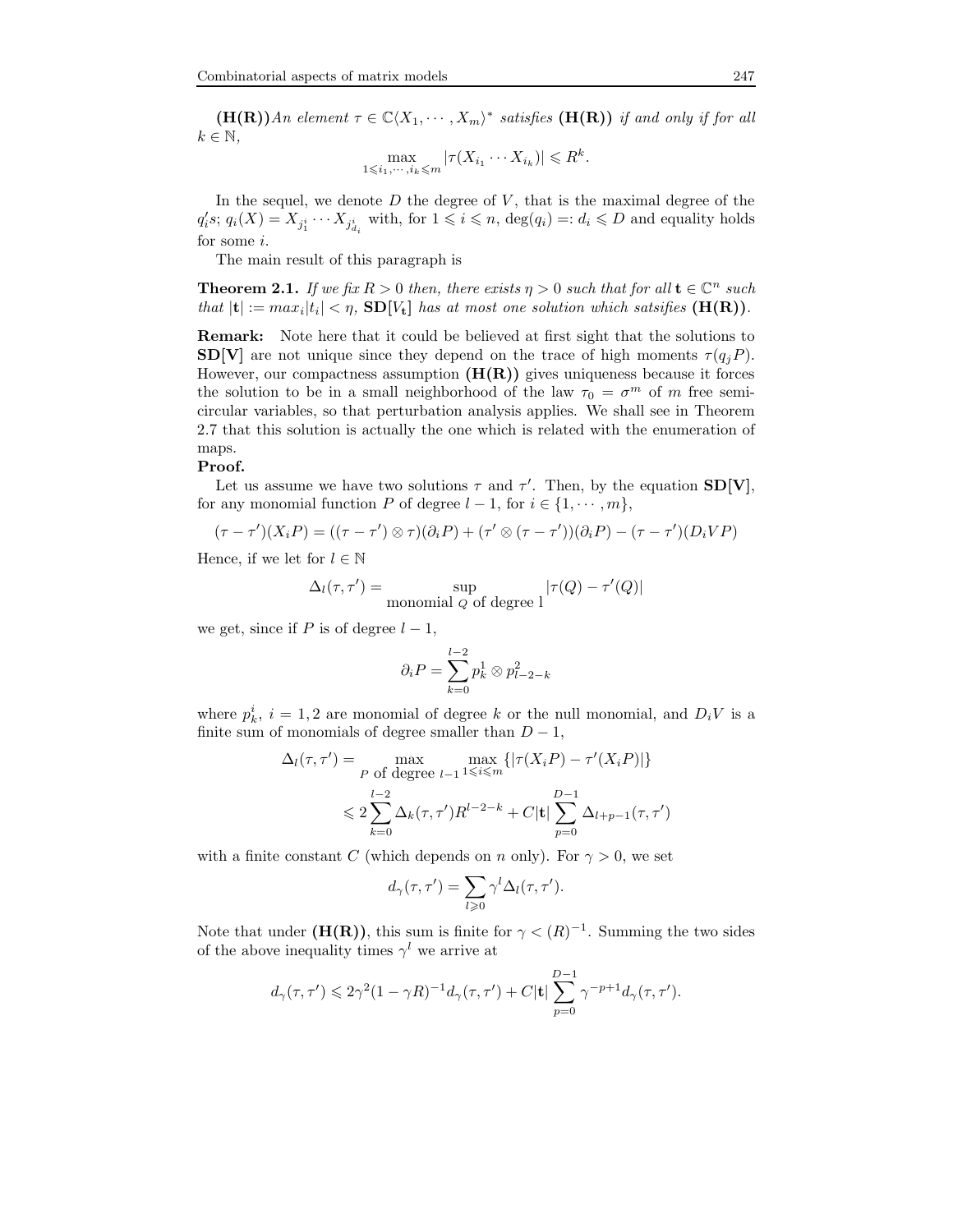$(\mathbf{H}(\mathbf{R}))$ An element  $\tau \in \mathbb{C}\langle X_1, \cdots, X_m \rangle^*$  satisfies  $(\mathbf{H}(\mathbf{R}))$  if and only if for all  $k \in \mathbb{N}$ ,

$$
\max_{1 \leq i_1, \cdots, i_k \leq m} |\tau(X_{i_1} \cdots X_{i_k})| \leq R^k.
$$

In the sequel, we denote  $D$  the degree of  $V$ , that is the maximal degree of the  $q_i's; q_i(X) = X_{j_1^i} \cdots X_{j_{d_i}^i}$  with, for  $1 \leq i \leq n$ ,  $\deg(q_i) =: d_i \leq D$  and equality holds for some i.

The main result of this paragraph is

**Theorem 2.1.** If we fix  $R > 0$  then, there exists  $\eta > 0$  such that for all  $\mathbf{t} \in \mathbb{C}^n$  such that  $|\mathbf{t}| := max_i |t_i| < \eta$ ,  $SD[V_t]$  has at most one solution which satsifies  $(\mathbf{H}(\mathbf{R}))$ .

Remark: Note here that it could be believed at first sight that the solutions to  $SD[V]$  are not unique since they depend on the trace of high moments  $\tau(q_iP)$ . However, our compactness assumption  $(H(R))$  gives uniqueness because it forces the solution to be in a small neighborhood of the law  $\tau_0 = \sigma^m$  of m free semicircular variables, so that perturbation analysis applies. We shall see in Theorem 2.7 that this solution is actually the one which is related with the enumeration of maps.

#### Proof.

Let us assume we have two solutions  $\tau$  and  $\tau'$ . Then, by the equation  $SD[V]$ , for any monomial function P of degree  $l-1$ , for  $i \in \{1, \dots, m\}$ ,

$$
(\tau - \tau')(X_i P) = ((\tau - \tau') \otimes \tau)(\partial_i P) + (\tau' \otimes (\tau - \tau'))(\partial_i P) - (\tau - \tau')(D_i VP)
$$

Hence, if we let for  $l \in \mathbb{N}$ 

$$
\Delta_l(\tau, \tau') = \sup_{\text{monomial } Q \text{ of degree } l} |\tau(Q) - \tau'(Q)|
$$

we get, since if P is of degree  $l-1$ ,

$$
\partial_i P = \sum_{k=0}^{l-2} p_k^1 \otimes p_{l-2-k}^2
$$

where  $p_k^i$ ,  $i = 1, 2$  are monomial of degree k or the null monomial, and  $D_i V$  is a finite sum of monomials of degree smaller than  $D-1$ ,

$$
\Delta_l(\tau, \tau') = \max_{P \text{ of degree } l-1} \max_{1 \le i \le m} \{ |\tau(X_i P) - \tau'(X_i P)| \}
$$
  

$$
\le 2 \sum_{k=0}^{l-2} \Delta_k(\tau, \tau') R^{l-2-k} + C |\mathbf{t}| \sum_{p=0}^{D-1} \Delta_{l+p-1}(\tau, \tau')
$$

with a finite constant C (which depends on n only). For  $\gamma > 0$ , we set

$$
d_{\gamma}(\tau, \tau') = \sum_{l \geq 0} \gamma^{l} \Delta_{l}(\tau, \tau').
$$

Note that under  $(H(R))$ , this sum is finite for  $\gamma < (R)^{-1}$ . Summing the two sides of the above inequality times  $\gamma^l$  we arrive at

$$
d_\gamma(\tau,\tau')\leqslant 2\gamma^2(1-\gamma R)^{-1}d_\gamma(\tau,\tau')+C|\mathbf{t}|\sum_{p=0}^{D-1}\gamma^{-p+1}d_\gamma(\tau,\tau').
$$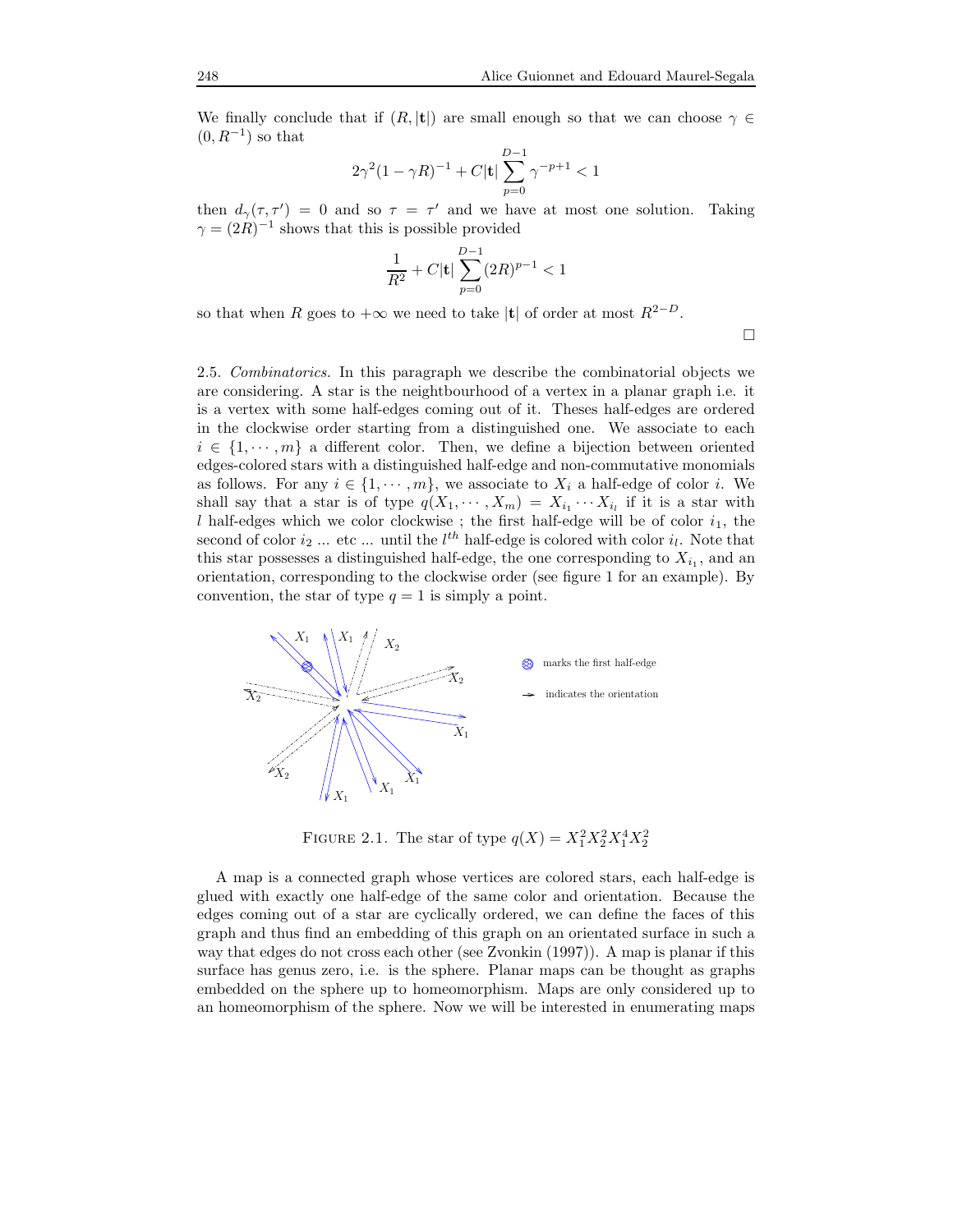We finally conclude that if  $(R, |t|)$  are small enough so that we can choose  $\gamma \in$  $(0, R^{-1})$  so that

$$
2\gamma^2(1-\gamma R)^{-1}+C|{\bf t}|\sum_{p=0}^{D-1}\gamma^{-p+1}<1
$$

then  $d_{\gamma}(\tau, \tau') = 0$  and so  $\tau = \tau'$  and we have at most one solution. Taking  $\gamma = (2R)^{-1}$  shows that this is possible provided

$$
\frac{1}{R^2}+C|\mathbf{t}|\sum_{p=0}^{D-1}(2R)^{p-1}<1
$$

so that when R goes to  $+\infty$  we need to take |t| of order at most  $R^{2-D}$ .

 $\Box$ 

2.5. Combinatorics. In this paragraph we describe the combinatorial objects we are considering. A star is the neightbourhood of a vertex in a planar graph i.e. it is a vertex with some half-edges coming out of it. Theses half-edges are ordered in the clockwise order starting from a distinguished one. We associate to each  $i \in \{1, \dots, m\}$  a different color. Then, we define a bijection between oriented edges-colored stars with a distinguished half-edge and non-commutative monomials as follows. For any  $i \in \{1, \dots, m\}$ , we associate to  $X_i$  a half-edge of color i. We shall say that a star is of type  $q(X_1, \dots, X_m) = X_{i_1} \dots X_{i_l}$  if it is a star with  $l$  half-edges which we color clockwise ; the first half-edge will be of color  $i_1$ , the second of color  $i_2$  ... etc ... until the  $l^{th}$  half-edge is colored with color  $i_l$ . Note that this star possesses a distinguished half-edge, the one corresponding to  $X_{i_1}$ , and an orientation, corresponding to the clockwise order (see figure 1 for an example). By convention, the star of type  $q = 1$  is simply a point.



FIGURE 2.1. The star of type  $q(X) = X_1^2 X_2^2 X_1^4 X_2^2$ 

A map is a connected graph whose vertices are colored stars, each half-edge is glued with exactly one half-edge of the same color and orientation. Because the edges coming out of a star are cyclically ordered, we can define the faces of this graph and thus find an embedding of this graph on an orientated surface in such a way that edges do not cross each other (see Zvonkin (1997)). A map is planar if this surface has genus zero, i.e. is the sphere. Planar maps can be thought as graphs embedded on the sphere up to homeomorphism. Maps are only considered up to an homeomorphism of the sphere. Now we will be interested in enumerating maps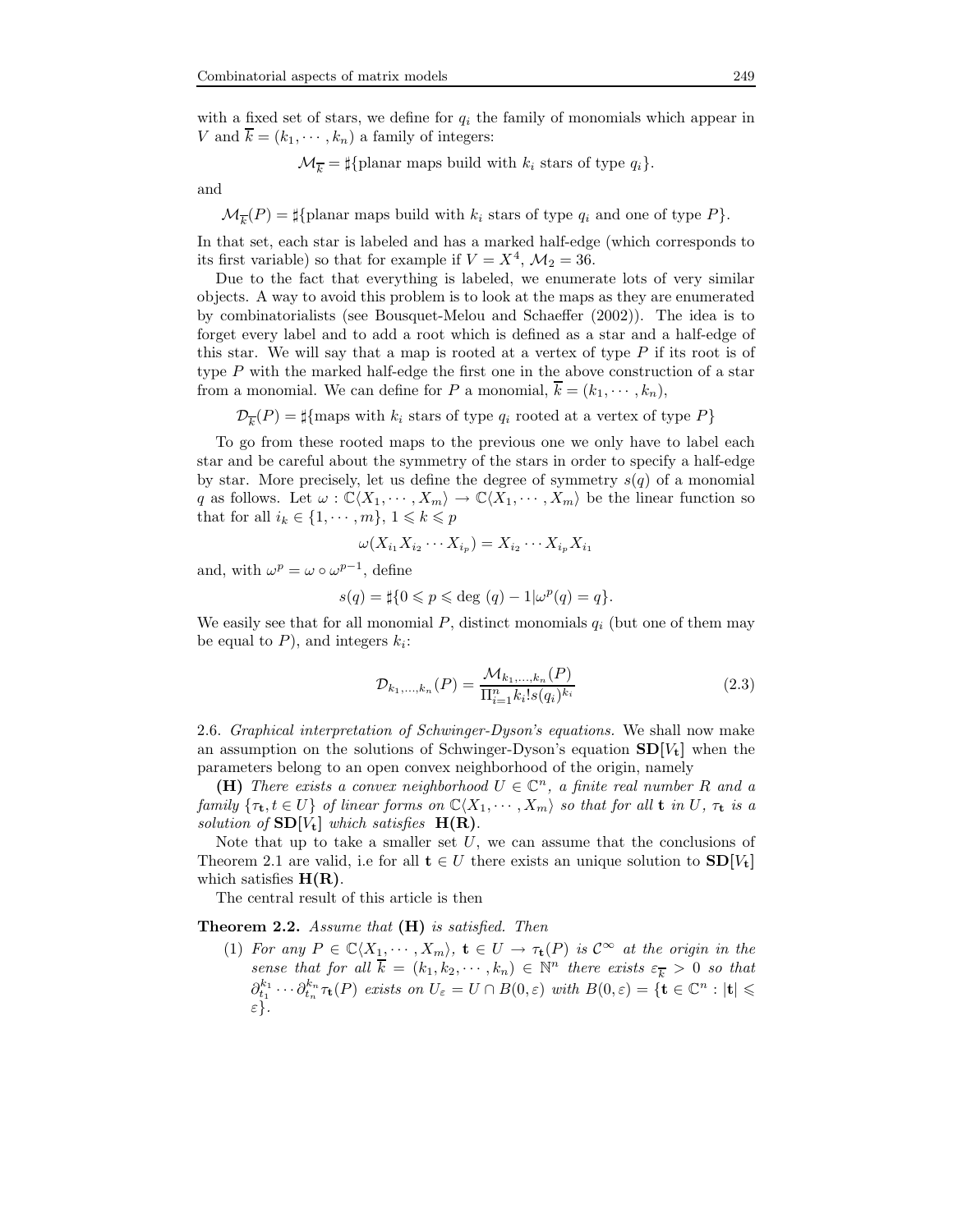with a fixed set of stars, we define for  $q_i$  the family of monomials which appear in V and  $\overline{k} = (k_1, \dots, k_n)$  a family of integers:

$$
\mathcal{M}_{\overline{k}} = \sharp \{\text{planar maps build with } k_i \text{ stars of type } q_i\}.
$$

and

$$
\mathcal{M}_{\overline{k}}(P) = \sharp \{\text{planar maps build with } k_i \text{ stars of type } q_i \text{ and one of type } P\}.
$$

In that set, each star is labeled and has a marked half-edge (which corresponds to its first variable) so that for example if  $V = X^4$ ,  $\mathcal{M}_2 = 36$ .

Due to the fact that everything is labeled, we enumerate lots of very similar objects. A way to avoid this problem is to look at the maps as they are enumerated by combinatorialists (see Bousquet-Melou and Schaeffer (2002)). The idea is to forget every label and to add a root which is defined as a star and a half-edge of this star. We will say that a map is rooted at a vertex of type  $P$  if its root is of type  $P$  with the marked half-edge the first one in the above construction of a star from a monomial. We can define for P a monomial,  $\overline{k} = (k_1, \dots, k_n)$ ,

 $\mathcal{D}_{\overline{k}}(P) = \sharp{\text{maps with } k_i \text{ stars of type } q_i \text{ rooted at a vertex of type } P}$ 

To go from these rooted maps to the previous one we only have to label each star and be careful about the symmetry of the stars in order to specify a half-edge by star. More precisely, let us define the degree of symmetry  $s(q)$  of a monomial q as follows. Let  $\omega : \mathbb{C}\langle X_1, \cdots, X_m \rangle \to \mathbb{C}\langle X_1, \cdots, X_m \rangle$  be the linear function so that for all  $i_k \in \{1, \dots, m\}, 1 \leq k \leq p$ 

$$
\omega(X_{i_1}X_{i_2}\cdots X_{i_p})=X_{i_2}\cdots X_{i_p}X_{i_1}
$$

and, with  $\omega^p = \omega \circ \omega^{p-1}$ , define

$$
s(q) = \sharp\{0 \leqslant p \leqslant \text{deg }(q) - 1 | \omega^p(q) = q\}.
$$

We easily see that for all monomial P, distinct monomials  $q_i$  (but one of them may be equal to  $P$ ), and integers  $k_i$ :

$$
\mathcal{D}_{k_1,\dots,k_n}(P) = \frac{\mathcal{M}_{k_1,\dots,k_n}(P)}{\Pi_{i=1}^n k_i! s(q_i)^{k_i}} \tag{2.3}
$$

2.6. Graphical interpretation of Schwinger-Dyson's equations. We shall now make an assumption on the solutions of Schwinger-Dyson's equation  $SD[V_t]$  when the parameters belong to an open convex neighborhood of the origin, namely

(H) There exists a convex neighborhood  $U \in \mathbb{C}^n$ , a finite real number R and a family  $\{\tau_t, t \in U\}$  of linear forms on  $\mathbb{C}\langle X_1, \cdots, X_m\rangle$  so that for all **t** in U,  $\tau_t$  is a solution of  $SD[V_t]$  which satisfies  $H(R)$ .

Note that up to take a smaller set  $U$ , we can assume that the conclusions of Theorem 2.1 are valid, i.e for all  $t \in U$  there exists an unique solution to  $SD[V_t]$ which satisfies  $H(R)$ .

The central result of this article is then

Theorem 2.2. Assume that  $(H)$  is satisfied. Then

(1) For any  $P \in \mathbb{C}\langle X_1, \cdots, X_m \rangle$ ,  $\mathbf{t} \in U \to \tau_{\mathbf{t}}(P)$  is  $\mathcal{C}^{\infty}$  at the origin in the sense that for all  $\overline{k} = (k_1, k_2, \dots, k_n) \in \mathbb{N}^n$  there exists  $\varepsilon_{\overline{k}} > 0$  so that  $\partial_{t_1}^{k_1}\cdots\partial_{t_n}^{k_n}\tau_{\mathbf{t}}(P)$  exists on  $U_{\varepsilon}=U\cap B(0,\varepsilon)$  with  $B(0,\varepsilon)=\{\mathbf{t}\in\mathbb{C}^n:\vert\mathbf{t}\vert\leqslant$ ε}.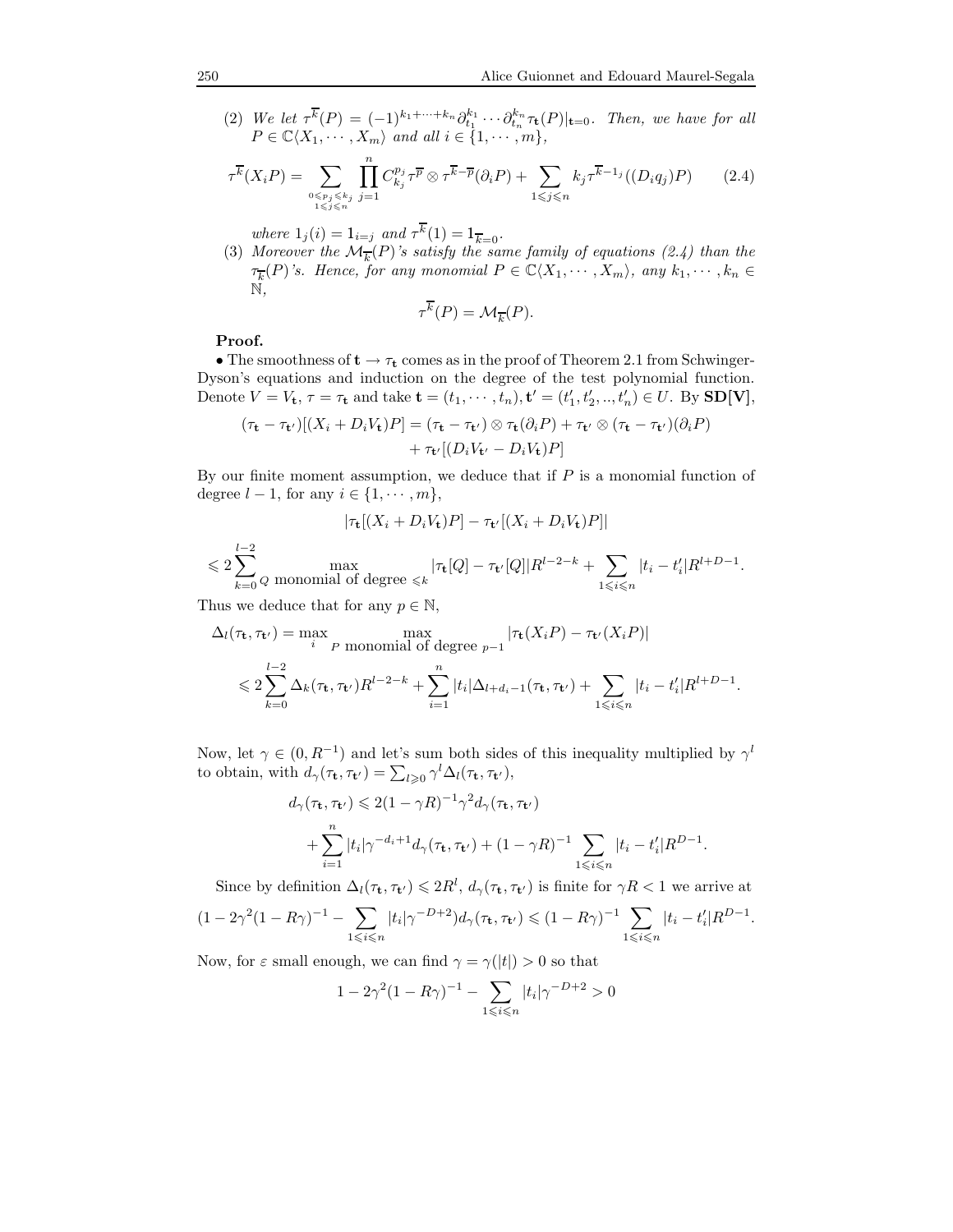(2) We let  $\tau^{\overline{k}}(P) = (-1)^{k_1 + \cdots + k_n} \partial_{t_1}^{k_1} \cdots \partial_{t_n}^{k_n} \tau_{\mathbf{t}}(P)|_{\mathbf{t}=0}$ . Then, we have for all  $P \in \mathbb{C}\langle X_1, \cdots, X_m \rangle$  and all  $i \in \{1, \cdots, m\},$ 

$$
\tau^{\overline{k}}(X_i P) = \sum_{\substack{0 \le p_j \le k_j \\ 1 \le j \le n}} \prod_{j=1}^n C_{k_j}^{p_j} \tau^{\overline{p}} \otimes \tau^{\overline{k}-\overline{p}}(\partial_i P) + \sum_{1 \le j \le n} k_j \tau^{\overline{k}-1_j}((D_i q_j) P) \qquad (2.4)
$$

where 
$$
1_j(i) = 1_{i=j}
$$
 and  $\tau^k(1) = 1_{\overline{k}=0}$ .

(3) Moreover the  $\mathcal{M}_{\overline{k}}(P)$ 's satisfy the same family of equations (2.4) than the  $\tau_{\overline{k}}(P)$ 's. Hence, for any monomial  $P \in \mathbb{C}\langle X_1, \cdots, X_m \rangle$ , any  $k_1, \cdots, k_n \in$ N,

$$
\tau^{\overline{k}}(P) = \mathcal{M}_{\overline{k}}(P).
$$

# Proof.

• The smoothness of  $t \to \tau_t$  comes as in the proof of Theorem 2.1 from Schwinger-Dyson's equations and induction on the degree of the test polynomial function. Denote  $V = V_t$ ,  $\tau = \tau_t$  and take  $\mathbf{t} = (t_1, \dots, t_n)$ ,  $\mathbf{t}' = (t'_1, t'_2, \dots, t'_n) \in U$ . By  $SD[V]$ ,

$$
(\tau_{\mathbf{t}} - \tau_{\mathbf{t'}})[(X_i + D_i V_{\mathbf{t}})P] = (\tau_{\mathbf{t}} - \tau_{\mathbf{t'}}) \otimes \tau_{\mathbf{t}}(\partial_i P) + \tau_{\mathbf{t'}} \otimes (\tau_{\mathbf{t}} - \tau_{\mathbf{t'}})(\partial_i P) + \tau_{\mathbf{t'}}[(D_i V_{\mathbf{t'}} - D_i V_{\mathbf{t}})P]
$$

By our finite moment assumption, we deduce that if  $P$  is a monomial function of degree  $l-1$ , for any  $i \in \{1, \cdots, m\}$ ,

$$
|\tau_{\mathbf{t}}[(X_i + D_i V_{\mathbf{t}})P] - \tau_{\mathbf{t}'}[(X_i + D_i V_{\mathbf{t}})P]|
$$

$$
\leqslant 2\sum_{k=0}^{l-2}Q\ \ \max_{Q\ \ \text{monomial of degree}\ \leqslant k}\ |\tau_{\mathbf{t}}[Q]-\tau_{\mathbf{t}'}[Q]|R^{l-2-k}+\sum_{1\leqslant i\leqslant n}|t_i-t_i'|R^{l+D-1}.
$$

Thus we deduce that for any  $p \in \mathbb{N}$ ,

$$
\Delta_l(\tau_t, \tau_{t'}) = \max_{i} \max_{P \text{ monomial of degree } p-1} |\tau_t(X_i P) - \tau_{t'}(X_i P)|
$$
  
\$\leqslant 2 \sum\_{k=0}^{l-2} \Delta\_k(\tau\_t, \tau\_{t'}) R^{l-2-k} + \sum\_{i=1}^n |t\_i| \Delta\_{l+d\_i-1}(\tau\_t, \tau\_{t'}) + \sum\_{1 \leqslant i \leqslant n} |t\_i - t'\_i| R^{l+D-1}\$.

Now, let  $\gamma \in (0, R^{-1})$  and let's sum both sides of this inequality multiplied by  $\gamma^l$ to obtain, with  $d_{\gamma}(\tau_{\mathbf{t}}, \tau_{\mathbf{t}'}) = \sum_{l \geq 0} \gamma^{l} \Delta_l(\tau_{\mathbf{t}}, \tau_{\mathbf{t}'})$ ,

$$
d_{\gamma}(\tau_{\mathbf{t}}, \tau_{\mathbf{t}'}) \leq 2(1 - \gamma R)^{-1} \gamma^2 d_{\gamma}(\tau_{\mathbf{t}}, \tau_{\mathbf{t}'})
$$
  
+ 
$$
\sum_{i=1}^n |t_i| \gamma^{-d_i+1} d_{\gamma}(\tau_{\mathbf{t}}, \tau_{\mathbf{t}'}) + (1 - \gamma R)^{-1} \sum_{1 \leq i \leq n} |t_i - t_i'| R^{D-1}.
$$

Since by definition  $\Delta_l(\tau_t, \tau_{t'}) \leq 2R^l$ ,  $d_\gamma(\tau_t, \tau_{t'})$  is finite for  $\gamma R < 1$  we arrive at .

$$
(1 - 2\gamma^2 (1 - R\gamma)^{-1} - \sum_{1 \le i \le n} |t_i|\gamma^{-D+2})d_\gamma(\tau_t, \tau_{t'}) \le (1 - R\gamma)^{-1} \sum_{1 \le i \le n} |t_i - t_i'|R^{D-1}
$$

Now, for  $\varepsilon$  small enough, we can find  $\gamma = \gamma(|t|) > 0$  so that

$$
1 - 2\gamma^2 (1 - R\gamma)^{-1} - \sum_{1 \leq i \leq n} |t_i| \gamma^{-D+2} > 0
$$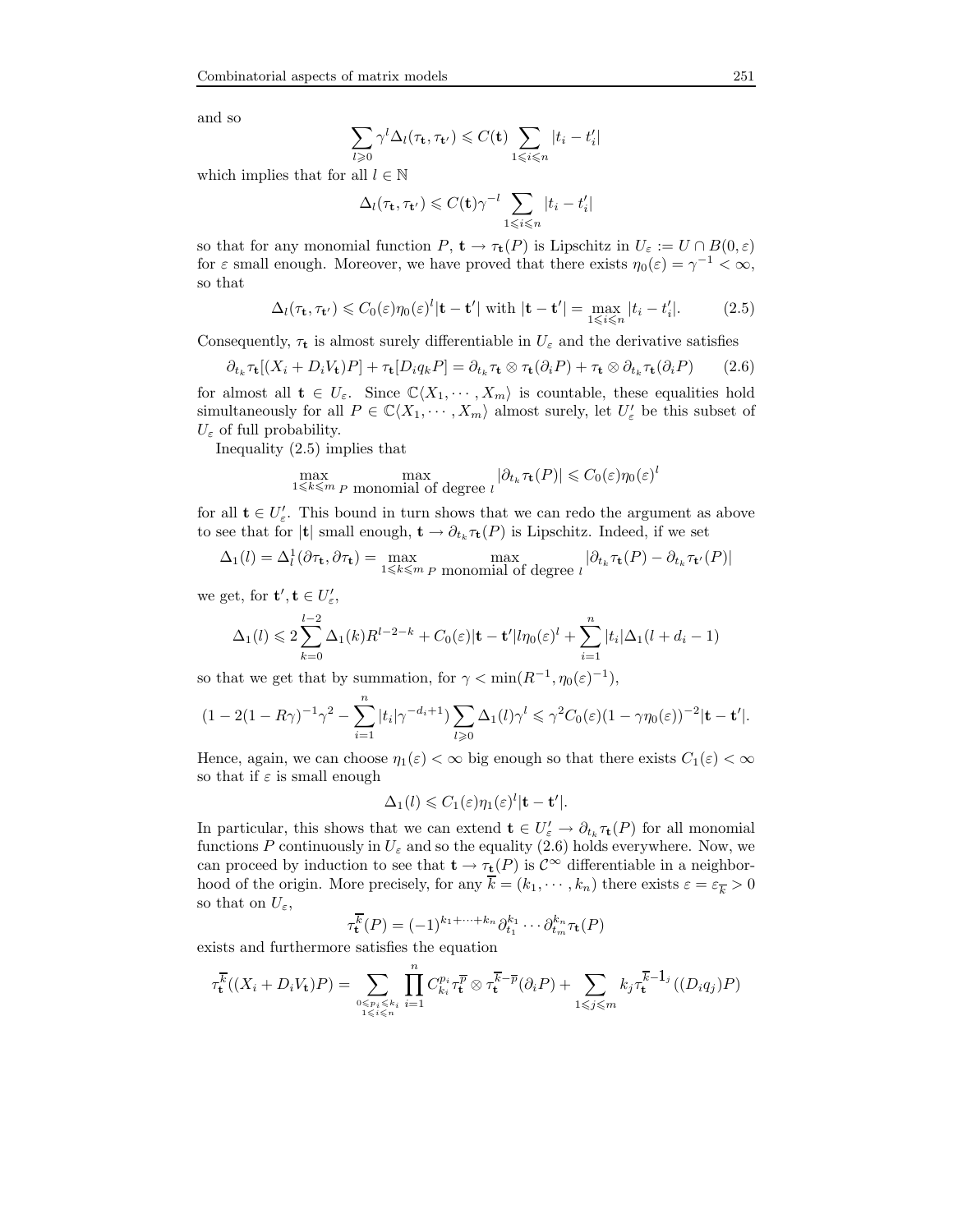and so

$$
\sum_{l\geqslant 0} \gamma^l \Delta_l(\tau_{\mathbf{t}}, \tau_{\mathbf{t}'}) \leqslant C(\mathbf{t}) \sum_{1 \leqslant i \leqslant n} |t_i - t'_i|
$$

which implies that for all  $l \in \mathbb{N}$ 

$$
\Delta_l(\tau_{\mathbf{t}}, \tau_{\mathbf{t}'}) \leqslant C(\mathbf{t})\gamma^{-l} \sum_{1 \leqslant i \leqslant n} |t_i - t'_i|
$$

so that for any monomial function P,  $\mathbf{t} \to \tau_{\mathbf{t}}(P)$  is Lipschitz in  $U_{\varepsilon} := U \cap B(0,\varepsilon)$ for  $\varepsilon$  small enough. Moreover, we have proved that there exists  $\eta_0(\varepsilon) = \gamma^{-1} < \infty$ , so that

$$
\Delta_l(\tau_t, \tau_{t'}) \leq C_0(\varepsilon) \eta_0(\varepsilon)^l |\mathbf{t} - \mathbf{t'}| \text{ with } |\mathbf{t} - \mathbf{t'}| = \max_{1 \leq i \leq n} |t_i - t'_i|.
$$
 (2.5)

Consequently,  $\tau_t$  is almost surely differentiable in  $U_{\varepsilon}$  and the derivative satisfies

$$
\partial_{t_k} \tau_t [(X_i + D_i V_t) P] + \tau_t [D_i q_k P] = \partial_{t_k} \tau_t \otimes \tau_t (\partial_i P) + \tau_t \otimes \partial_{t_k} \tau_t (\partial_i P) \qquad (2.6)
$$

for almost all  $\mathbf{t} \in U_{\varepsilon}$ . Since  $\mathbb{C}\langle X_1, \cdots, X_m\rangle$  is countable, these equalities hold simultaneously for all  $P \in \mathbb{C}\langle X_1, \cdots, X_m\rangle$  almost surely, let  $U'_{\varepsilon}$  be this subset of  $U_{\varepsilon}$  of full probability.

Inequality (2.5) implies that

$$
\max_{1 \leq k \leq m} \max_{P \text{ monomial of degree } l} |\partial_{t_k} \tau_{\mathbf{t}}(P)| \leq C_0(\varepsilon) \eta_0(\varepsilon)^l
$$

for all  $\mathbf{t} \in U'_{\varepsilon}$ . This bound in turn shows that we can redo the argument as above to see that for |**t**| small enough,  $\mathbf{t} \to \partial_{t_k} \tau_{\mathbf{t}}(P)$  is Lipschitz. Indeed, if we set

$$
\Delta_1(l) = \Delta_l^1(\partial \tau_t, \partial \tau_t) = \max_{1 \le k \le m \text{ } p \text{ monomial of degree } l} |\partial_{t_k} \tau_t(P) - \partial_{t_k} \tau_{t'}(P)|
$$

we get, for  $\mathbf{t}', \mathbf{t} \in U'_{\varepsilon}$ ,

$$
\Delta_1(l) \leq 2 \sum_{k=0}^{l-2} \Delta_1(k) R^{l-2-k} + C_0(\varepsilon) | \mathbf{t} - \mathbf{t}' | l \eta_0(\varepsilon)^l + \sum_{i=1}^n |t_i| \Delta_1(l + d_i - 1)
$$

so that we get that by summation, for  $\gamma < \min(R^{-1}, \eta_0(\varepsilon)^{-1}),$ 

$$
(1-2(1-R\gamma)^{-1}\gamma^2-\sum_{i=1}^n|t_i|\gamma^{-d_i+1})\sum_{l\geqslant 0}\Delta_1(l)\gamma^l\leqslant \gamma^2C_0(\varepsilon)(1-\gamma\eta_0(\varepsilon))^{-2}|\mathbf{t}-\mathbf{t}'|.
$$

Hence, again, we can choose  $\eta_1(\varepsilon) < \infty$  big enough so that there exists  $C_1(\varepsilon) < \infty$ so that if  $\varepsilon$  is small enough

$$
\Delta_1(l) \leqslant C_1(\varepsilon)\eta_1(\varepsilon)^l |\mathbf{t}-\mathbf{t}'|.
$$

In particular, this shows that we can extend  $\mathbf{t} \in U'_{\varepsilon} \to \partial_{t_k} \tau_{\mathbf{t}}(P)$  for all monomial functions P continuously in  $U_{\varepsilon}$  and so the equality (2.6) holds everywhere. Now, we can proceed by induction to see that  $\mathbf{t} \to \tau_{\mathbf{t}}(P)$  is  $C^{\infty}$  differentiable in a neighborhood of the origin. More precisely, for any  $\overline{k} = (k_1, \dots, k_n)$  there exists  $\varepsilon = \varepsilon_{\overline{k}} > 0$ so that on  $U_{\varepsilon}$ ,

$$
\tau_{\mathbf{t}}^{\overline{k}}(P) = (-1)^{k_1 + \dots + k_n} \partial_{t_1}^{k_1} \cdots \partial_{t_m}^{k_n} \tau_{\mathbf{t}}(P)
$$

exists and furthermore satisfies the equation

$$
\tau_t^{\overline{k}}((X_i+D_iV_t)P) = \sum_{\substack{0 \le p_i \le k_i \\ 1 \le i \le n}} \prod_{i=1}^n C_{k_i}^{p_i} \tau_t^{\overline{p}} \otimes \tau_t^{\overline{k}-\overline{p}}(\partial_i P) + \sum_{1 \le j \le m} k_j \tau_t^{\overline{k}-1_j}((D_i q_j)P)
$$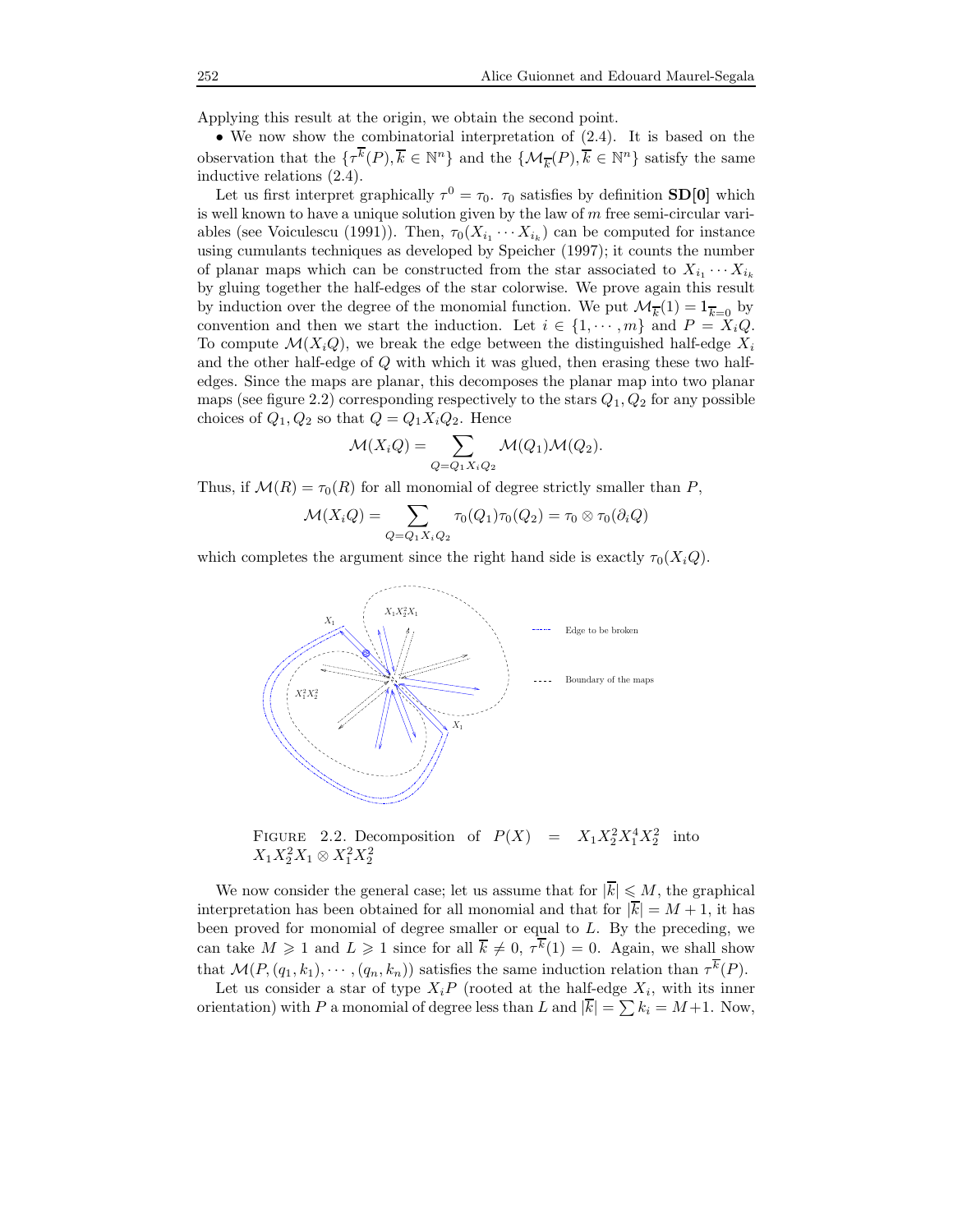Applying this result at the origin, we obtain the second point.

• We now show the combinatorial interpretation of (2.4). It is based on the observation that the  $\{\tau^{\overline{k}}(P), \overline{k} \in \mathbb{N}^n\}$  and the  $\{\mathcal{M}_{\overline{k}}(P), \overline{k} \in \mathbb{N}^n\}$  satisfy the same inductive relations (2.4).

Let us first interpret graphically  $\tau^0 = \tau_0$ .  $\tau_0$  satisfies by definition **SD[0]** which is well known to have a unique solution given by the law of  $m$  free semi-circular variables (see Voiculescu (1991)). Then,  $\tau_0(X_{i_1} \cdots X_{i_k})$  can be computed for instance using cumulants techniques as developed by Speicher (1997); it counts the number of planar maps which can be constructed from the star associated to  $X_{i_1} \cdots X_{i_k}$ by gluing together the half-edges of the star colorwise. We prove again this result by induction over the degree of the monomial function. We put  $\mathcal{M}_{\overline{k}}(1) = 1_{\overline{k}=0}$  by convention and then we start the induction. Let  $i \in \{1, \dots, m\}$  and  $P = X_i Q$ . To compute  $\mathcal{M}(X_i, Q)$ , we break the edge between the distinguished half-edge  $X_i$ and the other half-edge of Q with which it was glued, then erasing these two halfedges. Since the maps are planar, this decomposes the planar map into two planar maps (see figure 2.2) corresponding respectively to the stars  $Q_1, Q_2$  for any possible choices of  $Q_1, Q_2$  so that  $Q = Q_1 X_i Q_2$ . Hence

$$
\mathcal{M}(X_i Q) = \sum_{Q = Q_1 X_i Q_2} \mathcal{M}(Q_1) \mathcal{M}(Q_2).
$$

Thus, if  $\mathcal{M}(R) = \tau_0(R)$  for all monomial of degree strictly smaller than P,

$$
\mathcal{M}(X_iQ) = \sum_{Q=Q_1X_iQ_2}\tau_0(Q_1)\tau_0(Q_2) = \tau_0\otimes\tau_0(\partial_iQ)
$$

which completes the argument since the right hand side is exactly  $\tau_0(X_iQ)$ .



FIGURE 2.2. Decomposition of  $P(X) = X_1 X_2^2 X_1^4 X_2^2$  into  $X_1X_2^2X_1 \otimes X_1^2X_2^2$ 

We now consider the general case; let us assume that for  $|\overline{k}| \leq M$ , the graphical interpretation has been obtained for all monomial and that for  $|\overline{k}| = M + 1$ , it has been proved for monomial of degree smaller or equal to L. By the preceding, we can take  $M \geq 1$  and  $L \geq 1$  since for all  $\overline{k} \neq 0$ ,  $\tau^k(1) = 0$ . Again, we shall show that  $\mathcal{M}(P,(q_1,k_1),\cdots,(q_n,k_n))$  satisfies the same induction relation than  $\tau^k(P)$ .

Let us consider a star of type  $X_iP$  (rooted at the half-edge  $X_i$ , with its inner orientation) with P a monomial of degree less than L and  $|k| = \sum k_i = M+1$ . Now,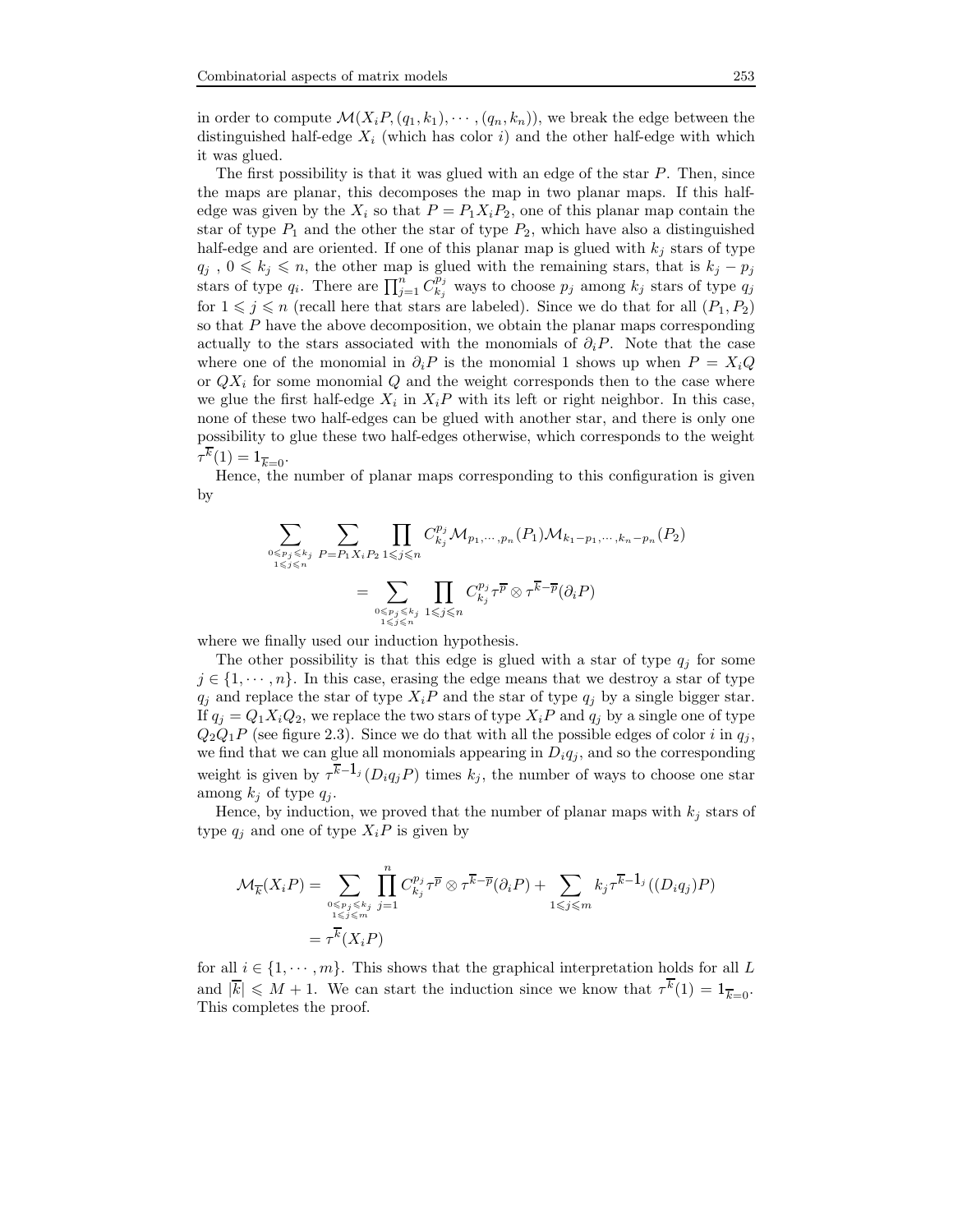in order to compute  $\mathcal{M}(X_i, P_i(q_1, k_1), \cdots, (q_n, k_n))$ , we break the edge between the distinguished half-edge  $X_i$  (which has color i) and the other half-edge with which it was glued.

The first possibility is that it was glued with an edge of the star P. Then, since the maps are planar, this decomposes the map in two planar maps. If this halfedge was given by the  $X_i$  so that  $P = P_1 X_i P_2$ , one of this planar map contain the star of type  $P_1$  and the other the star of type  $P_2$ , which have also a distinguished half-edge and are oriented. If one of this planar map is glued with  $k_j$  stars of type  $q_j$ ,  $0 \leq k_j \leq n$ , the other map is glued with the remaining stars, that is  $k_j - p_j$ stars of type  $q_i$ . There are  $\prod_{j=1}^n C_{k_j}^{\tilde{p}_j}$  $\frac{p_j}{k_j}$  ways to choose  $p_j$  among  $k_j$  stars of type  $q_j$ for  $1 \leq j \leq n$  (recall here that stars are labeled). Since we do that for all  $(P_1, P_2)$ so that  $P$  have the above decomposition, we obtain the planar maps corresponding actually to the stars associated with the monomials of  $\partial_i P$ . Note that the case where one of the monomial in  $\partial_i P$  is the monomial 1 shows up when  $P = X_i Q$ or  $QX_i$  for some monomial Q and the weight corresponds then to the case where we glue the first half-edge  $X_i$  in  $X_iP$  with its left or right neighbor. In this case, none of these two half-edges can be glued with another star, and there is only one possibility to glue these two half-edges otherwise, which corresponds to the weight  $\tau^{k}(1) = 1_{\overline{k}=0}.$ 

Hence, the number of planar maps corresponding to this configuration is given by

$$
\sum_{0 \leq p_j \leq k_j \atop 1 \leq j \leq n} \sum_{P = P_1 X_i P_2} \prod_{1 \leq j \leq n} C_{k_j}^{p_j} \mathcal{M}_{p_1, \dots, p_n}(P_1) \mathcal{M}_{k_1 - p_1, \dots, k_n - p_n}(P_2)
$$

$$
= \sum_{0 \leq p_j \leq k_j \atop 1 \leq j \leq n} \prod_{1 \leq j \leq n} C_{k_j}^{p_j} \tau^{\overline{p}} \otimes \tau^{\overline{k} - \overline{p}}(\partial_i P)
$$

where we finally used our induction hypothesis.

The other possibility is that this edge is glued with a star of type  $q_i$  for some  $j \in \{1, \dots, n\}$ . In this case, erasing the edge means that we destroy a star of type  $q_j$  and replace the star of type  $X_iP$  and the star of type  $q_j$  by a single bigger star. If  $q_j = Q_1 X_i Q_2$ , we replace the two stars of type  $X_i P$  and  $q_j$  by a single one of type  $Q_2Q_1P$  (see figure 2.3). Since we do that with all the possible edges of color i in  $q_j$ , we find that we can glue all monomials appearing in  $D_i q_j$ , and so the corresponding weight is given by  $\tau^{\overline{k}-1_j}(D_iq_jP)$  times  $k_j$ , the number of ways to choose one star among  $k_j$  of type  $q_j$ .

Hence, by induction, we proved that the number of planar maps with  $k_j$  stars of type  $q_i$  and one of type  $X_iP$  is given by

$$
\mathcal{M}_{\overline{k}}(X_i P) = \sum_{\substack{0 \le p_j \le k_j \\ 1 \le j \le m}} \prod_{j=1}^n C_{k_j}^{p_j} \tau^{\overline{p}} \otimes \tau^{\overline{k}-\overline{p}}(\partial_i P) + \sum_{1 \le j \le m} k_j \tau^{\overline{k}-1_j}((D_i q_j) P)
$$
  
= 
$$
\tau^{\overline{k}}(X_i P)
$$

for all  $i \in \{1, \dots, m\}$ . This shows that the graphical interpretation holds for all L and  $|\overline{k}| \leq M+1$ . We can start the induction since we know that  $\tau^k(1) = 1_{\overline{k}=0}$ . This completes the proof.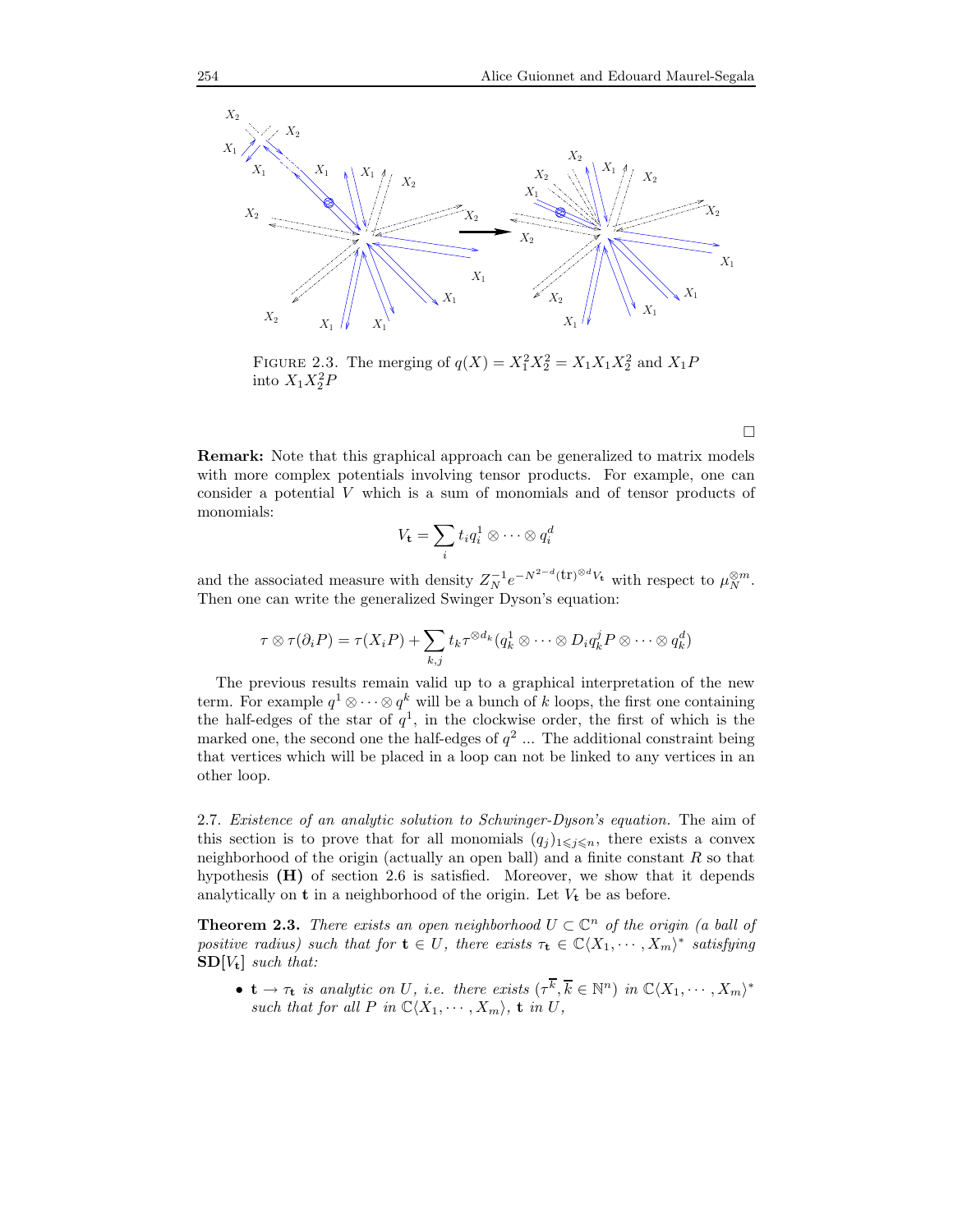

FIGURE 2.3. The merging of  $q(X) = X_1^2 X_2^2 = X_1 X_1 X_2^2$  and  $X_1 P$ into  $X_1X_2^2P$ 

Remark: Note that this graphical approach can be generalized to matrix models with more complex potentials involving tensor products. For example, one can consider a potential V which is a sum of monomials and of tensor products of monomials:

$$
V_{\mathbf{t}} = \sum_{i} t_i q_i^1 \otimes \cdots \otimes q_i^d
$$

and the associated measure with density  $Z_N^{-1}e^{-N^{2-d}(\text{tr})^{\otimes d}V_{\text{t}}}$  with respect to  $\mu_N^{\otimes m}$ . Then one can write the generalized Swinger Dyson's equation:

$$
\tau \otimes \tau(\partial_i P) = \tau(X_i P) + \sum_{k,j} t_k \tau^{\otimes d_k} (q_k^1 \otimes \cdots \otimes D_i q_k^j P \otimes \cdots \otimes q_k^d)
$$

The previous results remain valid up to a graphical interpretation of the new term. For example  $q^1 \otimes \cdots \otimes q^k$  will be a bunch of k loops, the first one containing the half-edges of the star of  $q<sup>1</sup>$ , in the clockwise order, the first of which is the marked one, the second one the half-edges of  $q^2$  ... The additional constraint being that vertices which will be placed in a loop can not be linked to any vertices in an other loop.

2.7. Existence of an analytic solution to Schwinger-Dyson's equation. The aim of this section is to prove that for all monomials  $(q_i)_{1\leqslant i\leqslant n}$ , there exists a convex neighborhood of the origin (actually an open ball) and a finite constant  $R$  so that hypothesis (H) of section 2.6 is satisfied. Moreover, we show that it depends analytically on  $t$  in a neighborhood of the origin. Let  $V_t$  be as before.

**Theorem 2.3.** There exists an open neighborhood  $U \subset \mathbb{C}^n$  of the origin (a ball of positive radius) such that for  $\mathbf{t} \in U$ , there exists  $\tau_{\mathbf{t}} \in \mathbb{C}\langle X_1, \cdots, X_m \rangle^*$  satisfying  $SD[V_t]$  such that:

•  $\mathbf{t} \to \tau_{\mathbf{t}}$  is analytic on U, i.e. there exists  $(\tau^{\overline{k}}, \overline{k} \in \mathbb{N}^n)$  in  $\mathbb{C}\langle X_1, \cdots, X_m \rangle^*$ such that for all P in  $\mathbb{C}\langle X_1, \cdots, X_m \rangle$ , **t** in U,

 $\Box$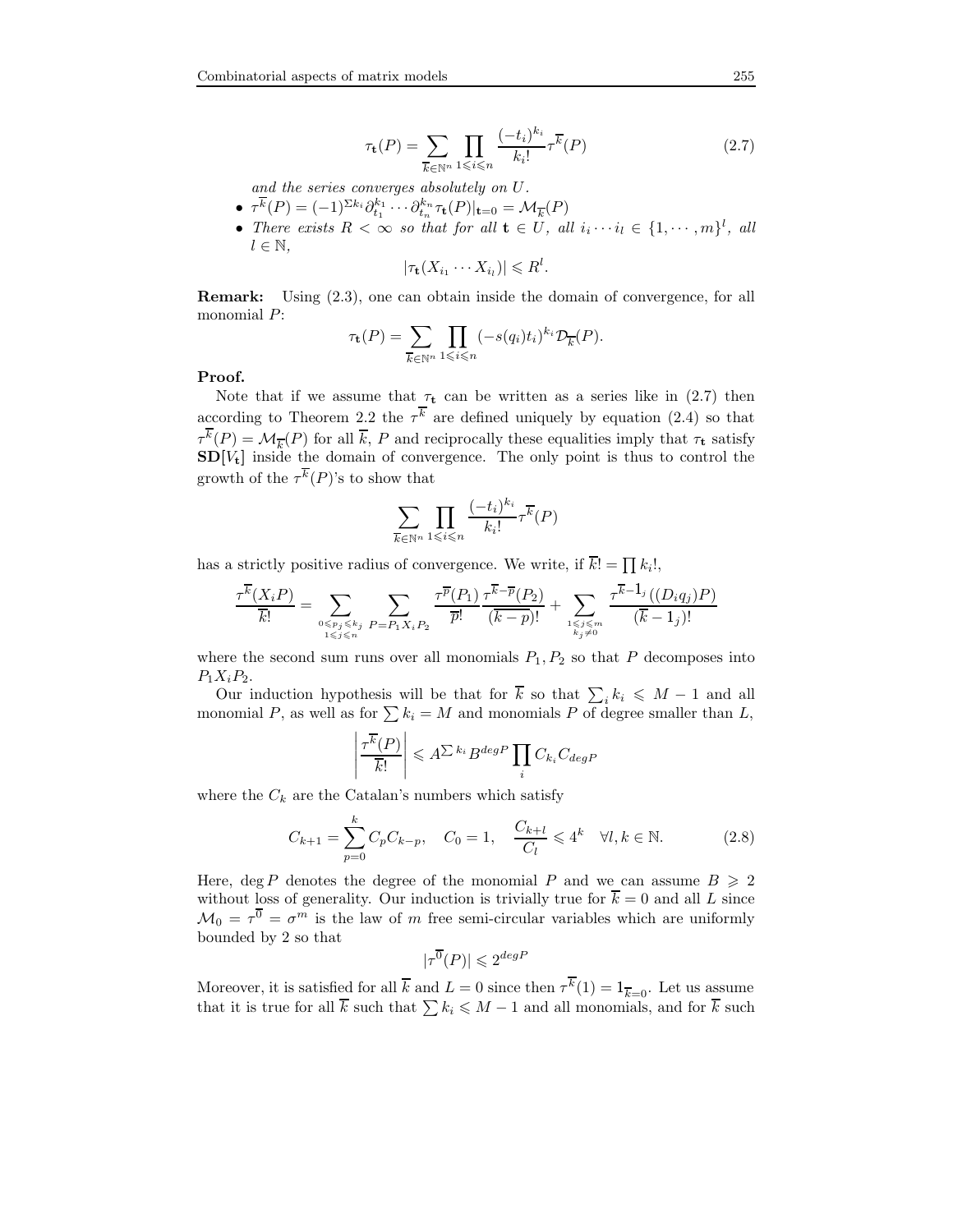$$
\tau_{\mathbf{t}}(P) = \sum_{\overline{k} \in \mathbb{N}^n} \prod_{1 \leqslant i \leqslant n} \frac{(-t_i)^{k_i}}{k_i!} \tau^{\overline{k}}(P) \tag{2.7}
$$

and the series converges absolutely on U.

- $\tau^{\overline{k}}(P) = (-1)^{\Sigma k_i} \partial_{t_1}^{k_1} \cdots \partial_{t_n}^{k_n} \tau_{\mathbf{t}}(P)|_{\mathbf{t}=0} = \mathcal{M}_{\overline{k}}(P)$
- There exists  $R < \infty$  so that for all  $\mathbf{t} \in U$ , all  $i_i \cdots i_l \in \{1, \cdots, m\}^l$ , all  $l \in \mathbb{N}$ ,

$$
|\tau_{\mathbf{t}}(X_{i_1}\cdots X_{i_l})|\leq R^l.
$$

Remark: Using (2.3), one can obtain inside the domain of convergence, for all monomial P:

$$
\tau_{\mathbf{t}}(P) = \sum_{\overline{k} \in \mathbb{N}^n} \prod_{1 \leq i \leq n} (-s(q_i)t_i)^{k_i} \mathcal{D}_{\overline{k}}(P).
$$

Proof.

Note that if we assume that  $\tau_t$  can be written as a series like in (2.7) then according to Theorem 2.2 the  $\tau^k$  are defined uniquely by equation (2.4) so that  $\tau^k(P) = \mathcal{M}_{\overline{k}}(P)$  for all  $\overline{k}, P$  and reciprocally these equalities imply that  $\tau_t$  satisfy  $SD[V_t]$  inside the domain of convergence. The only point is thus to control the growth of the  $\tau^{k}(P)$ 's to show that

$$
\sum_{\overline{k}\in\mathbb{N}^n}\prod_{1\leqslant i\leqslant n}\frac{(-t_i)^{k_i}}{k_i!}\tau^{\overline{k}}(P)
$$

has a strictly positive radius of convergence. We write, if  $k! = \prod k_i!$ ,

$$
\frac{\tau^{\overline{k}}(X_iP)}{\overline{k}!} = \sum_{0 \leqslant p_j \leqslant k_j \atop 1 \leqslant j \leqslant n} \sum_{P = P_1X_iP_2} \frac{\tau^{\overline{p}}(P_1)}{\overline{p}!} \frac{\tau^{\overline{k} - \overline{p}}(P_2)}{(\overline{k} - \overline{p})!} + \sum_{1 \leqslant j \leqslant m \atop k_j \neq 0} \frac{\tau^{\overline{k} - \mathbf{1}_j}((D_iq_j)P)}{(\overline{k} - 1_j)!}
$$

where the second sum runs over all monomials  $P_1, P_2$  so that P decomposes into  $P_1X_iP_2.$ 

Our induction hypothesis will be that for  $\overline{k}$  so that  $\sum_i k_i \leq M - 1$  and all monomial P, as well as for  $\sum k_i = M$  and monomials P of degree smaller than L,

$$
\left| \frac{\tau^{\overline{k}}(P)}{\overline{k}!} \right| \leqslant A^{\sum k_i} B^{degP} \prod_i C_{k_i} C_{degP}
$$

where the  $C_k$  are the Catalan's numbers which satisfy

$$
C_{k+1} = \sum_{p=0}^{k} C_p C_{k-p}, \quad C_0 = 1, \quad \frac{C_{k+l}}{C_l} \leqslant 4^k \quad \forall l, k \in \mathbb{N}.
$$
 (2.8)

Here, deg P denotes the degree of the monomial P and we can assume  $B \geq 2$ without loss of generality. Our induction is trivially true for  $\overline{k} = 0$  and all L since  $\mathcal{M}_0 = \tau^0 = \sigma^m$  is the law of m free semi-circular variables which are uniformly bounded by 2 so that

$$
|\tau^{\overline{0}}(P)| \leqslant 2^{degP}
$$

Moreover, it is satisfied for all  $\bar{k}$  and  $L = 0$  since then  $\tau^k(1) = 1_{\overline{k}=0}$ . Let us assume that it is true for all  $\overline{k}$  such that  $\sum k_i \leq M - 1$  and all monomials, and for  $\overline{k}$  such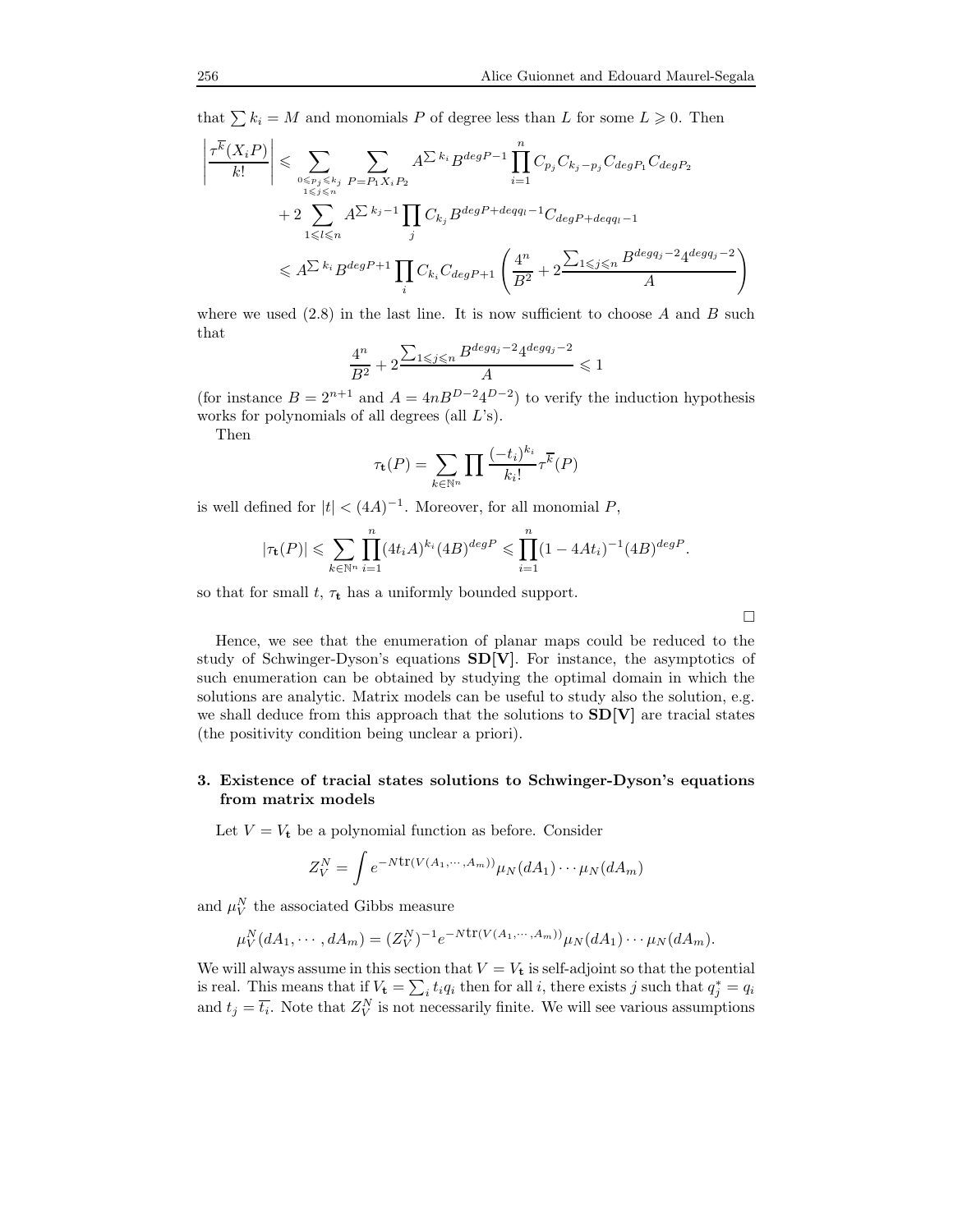that  $\sum k_i = M$  and monomials P of degree less than L for some  $L \geq 0$ . Then

$$
\left| \frac{\tau^{\overline{k}}(X_i P)}{k!} \right| \leqslant \sum_{\substack{0 \leqslant p_j \leqslant k_j \\ 1 \leqslant j \leqslant n}} \sum_{P = P_1 X_i P_2} A^{\sum k_i} B^{deg P - 1} \prod_{i=1}^n C_{p_j} C_{k_j - p_j} C_{deg P_1} C_{deg P_2}
$$
\n
$$
+ 2 \sum_{1 \leqslant l \leqslant n} A^{\sum k_j - 1} \prod_j C_{k_j} B^{deg P + deg q_l - 1} C_{deg P + deg q_l - 1}
$$
\n
$$
\leqslant A^{\sum k_i} B^{deg P + 1} \prod_i C_{k_i} C_{deg P + 1} \left( \frac{4^n}{B^2} + 2 \frac{\sum_{1 \leqslant j \leqslant n} B^{deg q_j - 2} 4^{deg q_j - 2}}{A} \right)
$$

where we used  $(2.8)$  in the last line. It is now sufficient to choose A and B such that

$$
\frac{4^n}{B^2} + 2 \frac{\sum_{1 \le j \le n} B^{\deg q_j - 2} 4^{\deg q_j - 2}}{A} \le 1
$$

(for instance  $B = 2^{n+1}$  and  $A = 4nB^{D-2}4^{D-2}$ ) to verify the induction hypothesis works for polynomials of all degrees (all L's).

Then

$$
\tau_{\mathbf{t}}(P) = \sum_{k \in \mathbb{N}^n} \prod \frac{(-t_i)^{k_i}}{k_i!} \tau^{\overline{k}}(P)
$$

is well defined for  $|t| < (4A)^{-1}$ . Moreover, for all monomial P,

$$
|\tau_{\mathbf{t}}(P)| \leq \sum_{k \in \mathbb{N}^n} \prod_{i=1}^n (4t_i A)^{k_i} (4B)^{deg P} \leq \prod_{i=1}^n (1 - 4At_i)^{-1} (4B)^{deg P}.
$$

so that for small  $t$ ,  $\tau_t$  has a uniformly bounded support.

 $\Box$ 

Hence, we see that the enumeration of planar maps could be reduced to the study of Schwinger-Dyson's equations SD[V]. For instance, the asymptotics of such enumeration can be obtained by studying the optimal domain in which the solutions are analytic. Matrix models can be useful to study also the solution, e.g. we shall deduce from this approach that the solutions to  $SD[V]$  are tracial states (the positivity condition being unclear a priori).

# 3. Existence of tracial states solutions to Schwinger-Dyson's equations from matrix models

Let  $V = V_t$  be a polynomial function as before. Consider

$$
Z_V^N = \int e^{-N \text{tr}(V(A_1, \cdots, A_m))} \mu_N(dA_1) \cdots \mu_N(dA_m)
$$

and  $\mu_V^N$  the associated Gibbs measure

$$
\mu_V^N(dA_1, \cdots, dA_m) = (Z_V^N)^{-1} e^{-Ntr(V(A_1, \cdots, A_m))} \mu_N(dA_1) \cdots \mu_N(dA_m).
$$

We will always assume in this section that  $V = V_t$  is self-adjoint so that the potential is real. This means that if  $V_t = \sum_i t_i q_i$  then for all i, there exists j such that  $q_j^* = q_i$ and  $t_j = \overline{t_i}$ . Note that  $Z_V^N$  is not necessarily finite. We will see various assumptions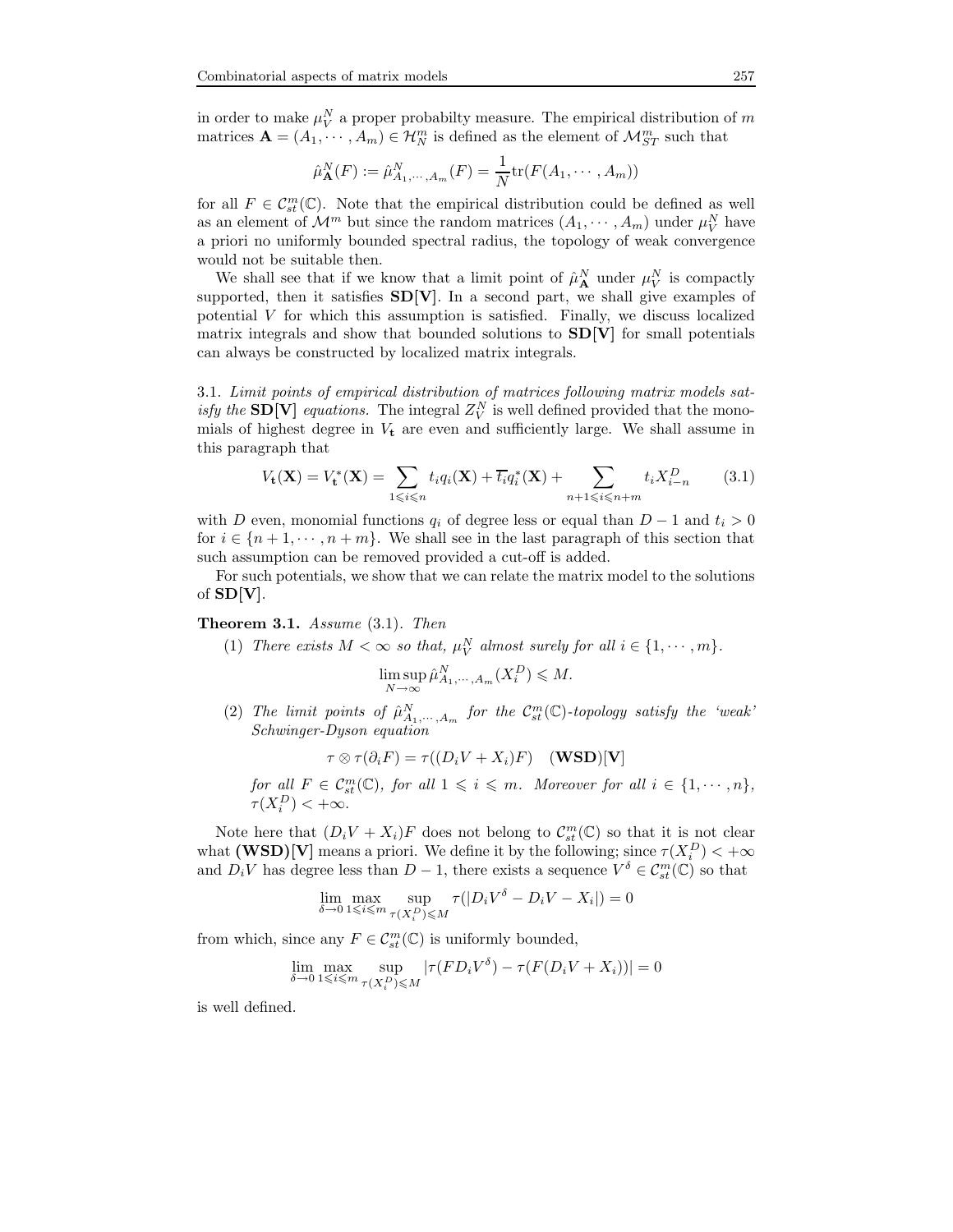in order to make  $\mu_V^N$  a proper probabilty measure. The empirical distribution of m matrices  $\mathbf{A} = (A_1, \dots, A_m) \in \mathcal{H}_N^m$  is defined as the element of  $\mathcal{M}_{ST}^m$  such that

$$
\hat{\mu}_{\mathbf{A}}^N(F) := \hat{\mu}_{A_1,\cdots,A_m}^N(F) = \frac{1}{N} \text{tr}(F(A_1,\cdots,A_m))
$$

for all  $F \in \mathcal{C}_{st}^m(\mathbb{C})$ . Note that the empirical distribution could be defined as well as an element of  $\mathcal{M}^m$  but since the random matrices  $(A_1, \dots, A_m)$  under  $\mu_V^N$  have a priori no uniformly bounded spectral radius, the topology of weak convergence would not be suitable then.

We shall see that if we know that a limit point of  $\hat{\mu}_{\mathbf{A}}^N$  under  $\mu_V^N$  is compactly supported, then it satisfies  $SD[V]$ . In a second part, we shall give examples of potential V for which this assumption is satisfied. Finally, we discuss localized matrix integrals and show that bounded solutions to  $SD[V]$  for small potentials can always be constructed by localized matrix integrals.

3.1. Limit points of empirical distribution of matrices following matrix models satisfy the **SD**[V] equations. The integral  $Z_V^N$  is well defined provided that the monomials of highest degree in  $V_t$  are even and sufficiently large. We shall assume in this paragraph that

$$
V_{t}(\mathbf{X}) = V_{t}^{*}(\mathbf{X}) = \sum_{1 \leq i \leq n} t_{i} q_{i}(\mathbf{X}) + \overline{t_{i}} q_{i}^{*}(\mathbf{X}) + \sum_{n+1 \leq i \leq n+m} t_{i} X_{i-n}^{D}
$$
(3.1)

with D even, monomial functions  $q_i$  of degree less or equal than  $D-1$  and  $t_i > 0$ for  $i \in \{n+1, \dots, n+m\}$ . We shall see in the last paragraph of this section that such assumption can be removed provided a cut-off is added.

For such potentials, we show that we can relate the matrix model to the solutions of  $SD[V]$ .

# Theorem 3.1. Assume  $(3.1)$ . Then

(1) There exists  $M < \infty$  so that,  $\mu_V^N$  almost surely for all  $i \in \{1, \dots, m\}$ .

$$
\limsup_{N \to \infty} \hat{\mu}_{A_1, \cdots, A_m}^N(X_i^D) \leqslant M.
$$

(2) The limit points of  $\hat{\mu}_{A_1,\dots,A_m}^N$  for the  $C_{st}^m(\mathbb{C})$ -topology satisfy the 'weak' Schwinger-Dyson equation

$$
\tau \otimes \tau(\partial_i F) = \tau((D_i V + X_i)F) \quad (\textbf{WSD})[\textbf{V}]
$$

for all  $F \in \mathcal{C}_{st}^m(\mathbb{C})$ , for all  $1 \leqslant i \leqslant m$ . Moreover for all  $i \in \{1, \cdots, n\}$ ,  $\tau(X_i^D) < +\infty.$ 

Note here that  $(D_i V + X_i)F$  does not belong to  $C_{st}^m(\mathbb{C})$  so that it is not clear what  $(WSD)[V]$  means a priori. We define it by the following; since  $\tau(X_i^D) < +\infty$ and  $D_iV$  has degree less than  $D-1$ , there exists a sequence  $V^{\delta} \in \mathcal{C}_{st}^m(\mathbb{C})$  so that

$$
\lim_{\delta \to 0} \max_{1 \le i \le m} \sup_{\tau(X_i^D) \le M} \tau(|D_i V^{\delta} - D_i V - X_i|) = 0
$$

from which, since any  $F \in \mathcal{C}_{st}^m(\mathbb{C})$  is uniformly bounded,

$$
\lim_{\delta \to 0} \max_{1 \le i \le m} \sup_{\tau(X_i^D) \le M} |\tau(FD_i V^{\delta}) - \tau(F(D_i V + X_i))| = 0
$$

is well defined.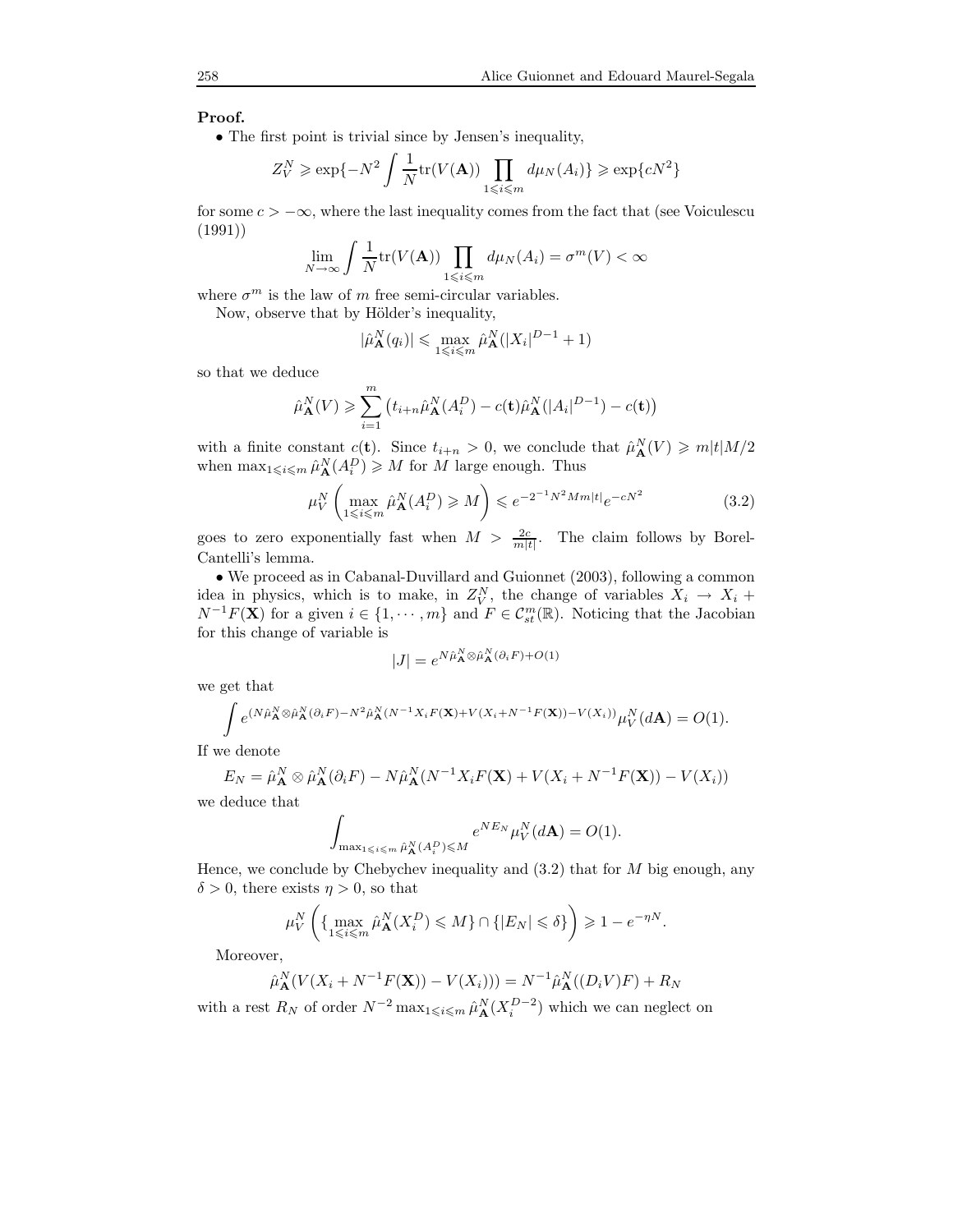# Proof.

• The first point is trivial since by Jensen's inequality,

$$
Z_V^N \ge \exp\{-N^2 \int \frac{1}{N} \text{tr}(V(\mathbf{A})) \prod_{1 \le i \le m} d\mu_N(A_i)\} \ge \exp\{cN^2\}
$$

for some  $c > -\infty$ , where the last inequality comes from the fact that (see Voiculescu (1991))

$$
\lim_{N \to \infty} \int \frac{1}{N} \text{tr}(V(\mathbf{A})) \prod_{1 \le i \le m} d\mu_N(A_i) = \sigma^m(V) < \infty
$$

where  $\sigma^m$  is the law of m free semi-circular variables.

Now, observe that by Hölder's inequality,

$$
|\hat{\mu}_{\mathbf{A}}^N(q_i)| \leq \max_{1 \leq i \leq m} \hat{\mu}_{\mathbf{A}}^N(|X_i|^{D-1} + 1)
$$

so that we deduce

$$
\hat{\mu}_{\mathbf{A}}^N(V) \geqslant \sum_{i=1}^m \left( t_{i+n} \hat{\mu}_{\mathbf{A}}^N(A_i^D) - c(\mathbf{t}) \hat{\mu}_{\mathbf{A}}^N(|A_i|^{D-1}) - c(\mathbf{t}) \right)
$$

with a finite constant  $c(t)$ . Since  $t_{i+n} > 0$ , we conclude that  $\hat{\mu}_{\mathbf{A}}^{N}(V) \geq m|t|M/2$ when  $\max_{1 \leq i \leq m} \hat{\mu}_{\mathbf{A}}^N(A_i^D) \geq M$  for M large enough. Thus

$$
\mu_V^N \left( \max_{1 \le i \le m} \hat{\mu}_{\mathbf{A}}^N(A_i^D) \ge M \right) \le e^{-2^{-1}N^2Mm|t|} e^{-cN^2}
$$
\n(3.2)

goes to zero exponentially fast when  $M > \frac{2c}{m|t|}$ . The claim follows by Borel-Cantelli's lemma.

• We proceed as in Cabanal-Duvillard and Guionnet (2003), following a common idea in physics, which is to make, in  $Z_V^N$ , the change of variables  $X_i \rightarrow X_i +$  $N^{-1}F(\mathbf{X})$  for a given  $i \in \{1, \dots, m\}$  and  $F \in \mathcal{C}_{st}^m(\mathbb{R})$ . Noticing that the Jacobian for this change of variable is

$$
|J| = e^{N\hat{\mu}_{\mathbf{A}}^N \otimes \hat{\mu}_{\mathbf{A}}^N(\partial_i F) + O(1)}
$$

we get that

$$
\int e^{(N\hat{\mu}_{\mathbf{A}}^N\otimes \hat{\mu}_{\mathbf{A}}^N(\partial_i F)-N^2\hat{\mu}_{\mathbf{A}}^N(N^{-1}X_iF(\mathbf{X})+V(X_i+N^{-1}F(\mathbf{X}))-V(X_i))}\mu_V^N(d\mathbf{A})=O(1).
$$

If we denote

$$
E_N = \hat{\mu}_{\mathbf{A}}^N \otimes \hat{\mu}_{\mathbf{A}}^N (\partial_i F) - N \hat{\mu}_{\mathbf{A}}^N (N^{-1} X_i F(\mathbf{X}) + V(X_i + N^{-1} F(\mathbf{X})) - V(X_i))
$$

we deduce that

$$
\int_{\max_{1 \leq i \leq m} \hat{\mu}_{\mathbf{A}}^N(A_i^D) \leq M} e^{N E_N} \mu_V^N(d\mathbf{A}) = O(1).
$$

Hence, we conclude by Chebychev inequality and  $(3.2)$  that for M big enough, any  $\delta > 0$ , there exists  $\eta > 0$ , so that

$$
\mu_V^N\left(\{\max_{1\leqslant i\leqslant m}\hat{\mu}_{\mathbf A}^N(X_i^D)\leqslant M\}\cap\{|E_N|\leqslant \delta\}\right)\geqslant 1-e^{-\eta N}.
$$

Moreover,

$$
\hat{\mu}_{\mathbf{A}}^N(V(X_i + N^{-1}F(\mathbf{X})) - V(X_i))) = N^{-1}\hat{\mu}_{\mathbf{A}}^N((D_iV)F) + R_N
$$

with a rest  $R_N$  of order  $N^{-2} \max_{1 \leq i \leq m} \hat{\mu}_{\mathbf{A}}^N(X_i^{D-2})$  which we can neglect on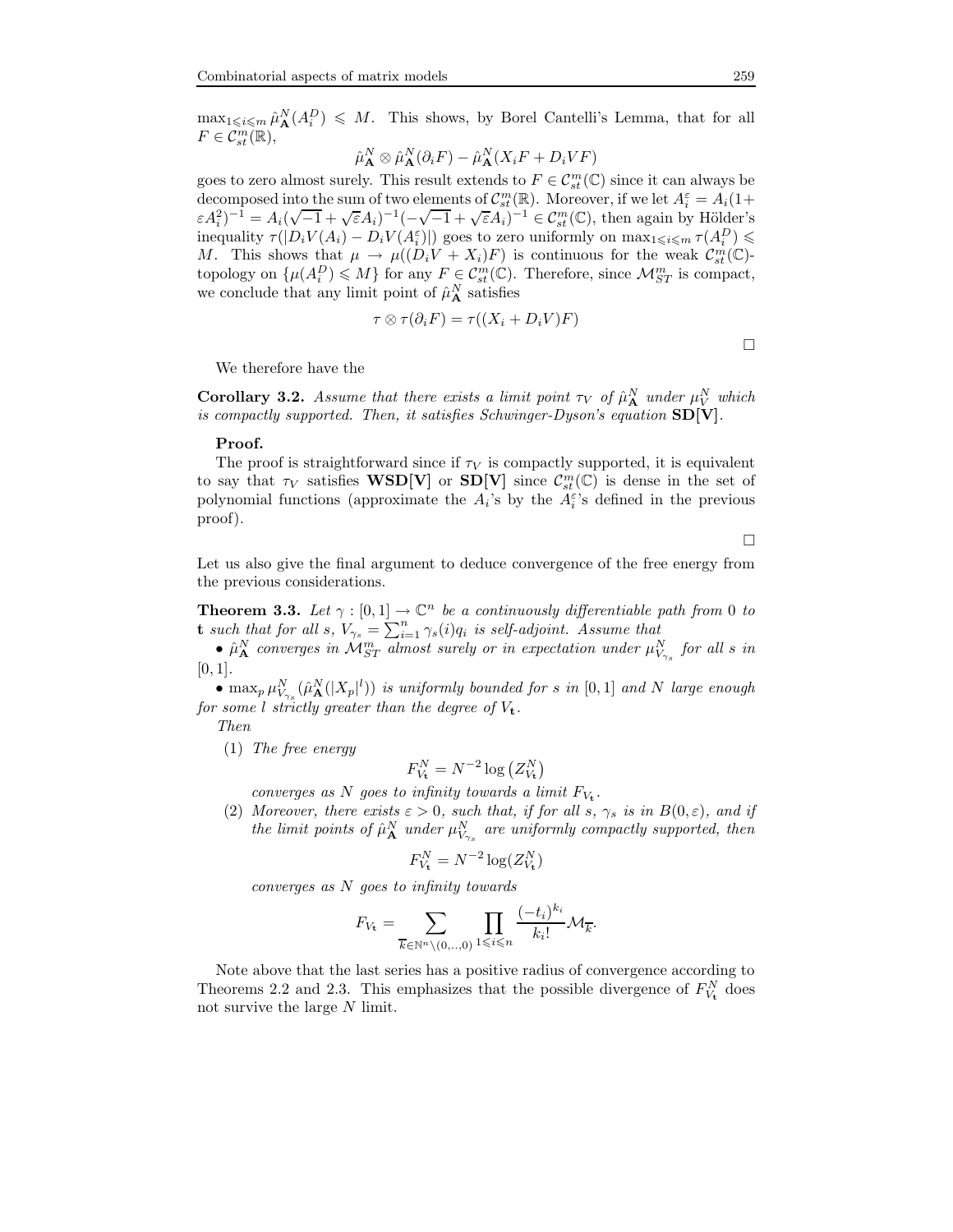$\max_{1 \leq i \leq m} \hat{\mu}_{\mathbf{A}}^N(A_i^D) \leq M$ . This shows, by Borel Cantelli's Lemma, that for all  $F\in\mathcal{C}_{st}^{m}(\mathbb{R}),$ 

$$
\hat{\mu}_{\mathbf{A}}^N \otimes \hat{\mu}_{\mathbf{A}}^N(\partial_i F) - \hat{\mu}_{\mathbf{A}}^N(X_i F + D_i V F)
$$

goes to zero almost surely. This result extends to  $F \in \mathcal{C}_{st}^m(\mathbb{C})$  since it can always be decomposed into the sum of two elements of  $\mathcal{C}_{st}^{m}(\mathbb{R})$ . Moreover, if we let  $A_i^{\varepsilon} = A_i(1+\varepsilon)$  $\epsilon A_i^2$ )<sup>-1</sup> = A<sub>i</sub>( $\sqrt{-1} + \sqrt{\epsilon A_i}$ )<sup>-1</sup>( $-\sqrt{-1} + \sqrt{\epsilon A_i}$ )<sup>-1</sup>  $\in C_{st}^m(\mathbb{C})$ , then again by Hölder's inequality  $\tau(|D_i V(A_i) - D_i V(A_i^{\varepsilon})|)$  goes to zero uniformly on  $\max_{1 \leq i \leq m} \tau(A_i^D) \leq$ M. This shows that  $\mu \to \mu((D_i V + X_i) F)$  is continuous for the weak  $\mathcal{C}_{st}^m(\mathbb{C})$ topology on  $\{\mu(A_i^D) \leqslant M\}$  for any  $F \in \mathcal{C}_{st}^m(\mathbb{C})$ . Therefore, since  $\mathcal{M}_{ST}^m$  is compact, we conclude that any limit point of  $\hat{\mu}^N_{\mathbf{A}}$  satisfies

$$
\tau \otimes \tau(\partial_i F) = \tau((X_i + D_i V)F)
$$

 $\Box$ 

We therefore have the

**Corollary 3.2.** Assume that there exists a limit point  $\tau_V$  of  $\hat{\mu}_{\mathbf{A}}^N$  under  $\mu_V^N$  which is compactly supported. Then, it satisfies Schwinger-Dyson's equation  $SD[V]$ .

### Proof.

The proof is straightforward since if  $\tau_V$  is compactly supported, it is equivalent to say that  $\tau_V$  satisfies **WSD[V]** or **SD[V]** since  $C_{st}^m(\mathbb{C})$  is dense in the set of polynomial functions (approximate the  $A_i$ 's by the  $A_i^{\varepsilon}$ 's defined in the previous proof).

 $\Box$ 

Let us also give the final argument to deduce convergence of the free energy from the previous considerations.

**Theorem 3.3.** Let  $\gamma : [0,1] \to \mathbb{C}^n$  be a continuously differentiable path from 0 to **t** such that for all s,  $V_{\gamma_s} = \sum_{i=1}^n \gamma_s(i)q_i$  is self-adjoint. Assume that

•  $\hat{\mu}^N_{\mathbf{A}}$  converges in  $\mathcal{M}^m_{ST}$  almost surely or in expectation under  $\mu^N_{V_{\gamma_s}}$  for all s in  $[0, 1]$ .

•  $\max_p \mu_{V_{\gamma_s}}^N(\hat{\mu}_{\mathbf{A}}^N(|X_p|^l))$  is uniformly bounded for s in  $[0,1]$  and N large enough for some l strictly greater than the degree of  $V_t$ .

Then

(1) The free energy

$$
F_{V_{\mathbf{t}}}^N = N^{-2} \log \left( Z_{V_{\mathbf{t}}}^N \right)
$$

converges as N goes to infinity towards a limit  $F_{V_t}$ .

(2) Moreover, there exists  $\varepsilon > 0$ , such that, if for all s,  $\gamma_s$  is in  $B(0, \varepsilon)$ , and if the limit points of  $\hat{\mu}^N_{\mathbf{A}}$  under  $\mu^N_{V_{\gamma_s}}$  are uniformly compactly supported, then

$$
F_{V_{\mathbf{t}}}^N = N^{-2} \log(Z_{V_{\mathbf{t}}}^N)
$$

converges as N goes to infinity towards

$$
F_{V_{\mathbf{t}}} = \sum_{\overline{k} \in \mathbb{N}^n \setminus (0, \ldots, 0)} \prod_{1 \leqslant i \leqslant n} \frac{(-t_i)^{k_i}}{k_i!} \mathcal{M}_{\overline{k}}.
$$

Note above that the last series has a positive radius of convergence according to Theorems 2.2 and 2.3. This emphasizes that the possible divergence of  $F_{V_t}^N$  does not survive the large  $N$  limit.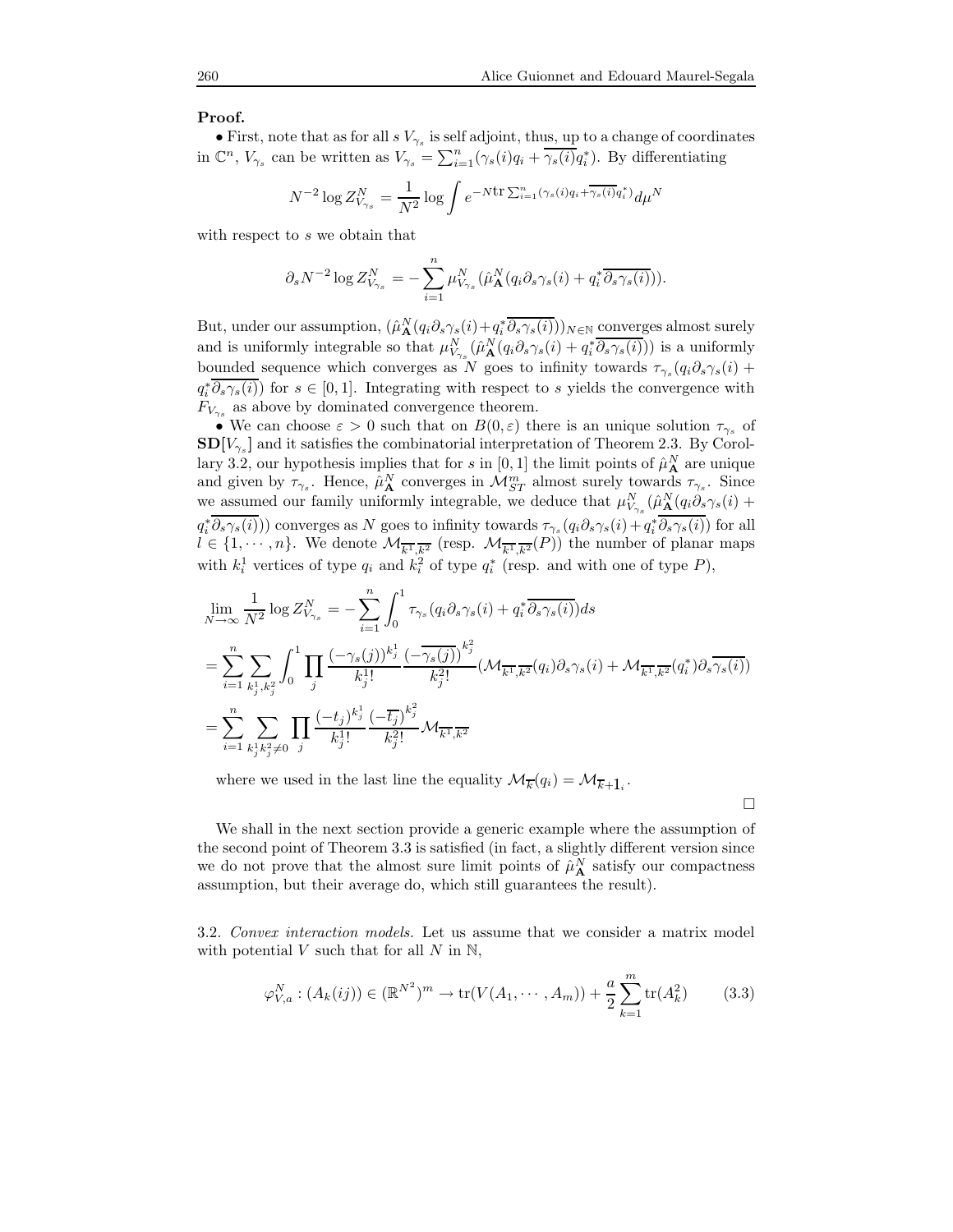#### Proof.

• First, note that as for all  $s V_{\gamma_s}$  is self adjoint, thus, up to a change of coordinates in  $\mathbb{C}^n$ ,  $V_{\gamma_s}$  can be written as  $V_{\gamma_s} = \sum_{i=1}^n (\gamma_s(i)q_i + \overline{\gamma_s(i)}q_i^*)$ . By differentiating

$$
N^{-2}\log Z_{V_{\gamma_s}}^N = \frac{1}{N^2}\log \int e^{-N \mathrm{tr} \sum_{i=1}^n (\gamma_s(i)q_i + \overline{\gamma_s(i)}q_i^*)} d\mu^N
$$

with respect to s we obtain that

$$
\partial_s N^{-2} \log Z^N_{V_{\gamma_s}} = -\sum_{i=1}^n \mu^N_{V_{\gamma_s}}(\hat{\mu}^N_{\mathbf{A}}(q_i \partial_s \gamma_s(i) + q_i^* \overline{\partial_s \gamma_s(i)})).
$$

But, under our assumption,  $(\hat{\mu}_{\mathbf{A}}^N(q_i \partial_s \gamma_s(i) + q_i^* \overline{\partial_s \gamma_s(i)}))_{N \in \mathbb{N}}$  converges almost surely and is uniformly integrable so that  $\mu_{V_{\gamma_s}}^N(\hat{\mu}_{\mathbf{A}}^N(q_i \partial_s \gamma_s(i) + q_i^* \overline{\partial_s \gamma_s(i)}))$  is a uniformly bounded sequence which converges as N goes to infinity towards  $\tau_{\gamma_s}(q_i\partial_s\gamma_s(i))$  $q_i^* \partial_s \gamma_s(i)$  for  $s \in [0, 1]$ . Integrating with respect to s yields the convergence with  $F_{V_{\gamma_s}}$  as above by dominated convergence theorem.

• We can choose  $\varepsilon > 0$  such that on  $B(0, \varepsilon)$  there is an unique solution  $\tau_{\gamma_s}$  of  $SD[V_{\gamma_s}]$  and it satisfies the combinatorial interpretation of Theorem 2.3. By Corollary 3.2, our hypothesis implies that for s in [0, 1] the limit points of  $\hat{\mu}_{\bf A}^N$  are unique and given by  $\tau_{\gamma_s}$ . Hence,  $\hat{\mu}_{\bf A}^N$  converges in  $\mathcal{M}_{ST}^m$  almost surely towards  $\tau_{\gamma_s}$ . Since we assumed our family uniformly integrable, we deduce that  $\mu_{V_{\gamma_s}}^N(\hat{\mu}_{\mathbf{A}}^N(q_i \partial_s \gamma_s(i) +$  $(q_i^*\partial_s\gamma_s(i)))$  converges as N goes to infinity towards  $\tau_{\gamma_s}(q_i\partial_s\gamma_s(i)+q_i^*\partial_s\gamma_s(i))$  for all  $l \in \{1, \dots, n\}$ . We denote  $\mathcal{M}_{\overline{k^1}, \overline{k^2}}$  (resp.  $\mathcal{M}_{\overline{k^1}, \overline{k^2}}(P)$ ) the number of planar maps with  $k_i^1$  vertices of type  $q_i$  and  $k_i^2$  of type  $q_i^*$  (resp. and with one of type  $P$ ),

$$
\begin{aligned} &\lim_{N\to\infty}\frac{1}{N^2}\log Z^N_{V_{\gamma_s}}=-\sum_{i=1}^n\int_0^1\tau_{\gamma_s}(q_i\partial_s\gamma_s(i)+q_i^*\overline{\partial_s\gamma_s(i)})ds\\ &=\sum_{i=1}^n\sum_{k_j^1,k_j^2}\int_0^1\prod_j\frac{(-\gamma_s(j))^{k_j^1}}{k_j^1!}\frac{(-\overline{\gamma_s(j)})^{k_j^2}}{k_j^2!}(\mathcal{M}_{\overline{k^1},\overline{k^2}}(q_i)\partial_s\gamma_s(i)+\mathcal{M}_{\overline{k^1},\overline{k^2}}(q_i^*)\partial_s\overline{\gamma_s(i)})\\ &=\sum_{i=1}^n\sum_{k_j^1k_j^2\neq0}\prod_j\frac{(-t_j)^{k_j^1}}{k_j^1!}\frac{(-\overline{t_j})^{k_j^2}}{k_j^2!}\mathcal{M}_{\overline{k^1},\overline{k^2}}\end{aligned}
$$

where we used in the last line the equality  $\mathcal{M}_{\overline{k}}(q_i) = \mathcal{M}_{\overline{k}+1_i}$ .

 $\Box$ 

We shall in the next section provide a generic example where the assumption of the second point of Theorem 3.3 is satisfied (in fact, a slightly different version since we do not prove that the almost sure limit points of  $\hat{\mu}_{\bf A}^N$  satisfy our compactness assumption, but their average do, which still guarantees the result).

3.2. Convex interaction models. Let us assume that we consider a matrix model with potential  $V$  such that for all  $N$  in  $\mathbb{N}$ ,

$$
\varphi_{V,a}^N : (A_k(ij)) \in (\mathbb{R}^{N^2})^m \to \text{tr}(V(A_1, \cdots, A_m)) + \frac{a}{2} \sum_{k=1}^m \text{tr}(A_k^2)
$$
(3.3)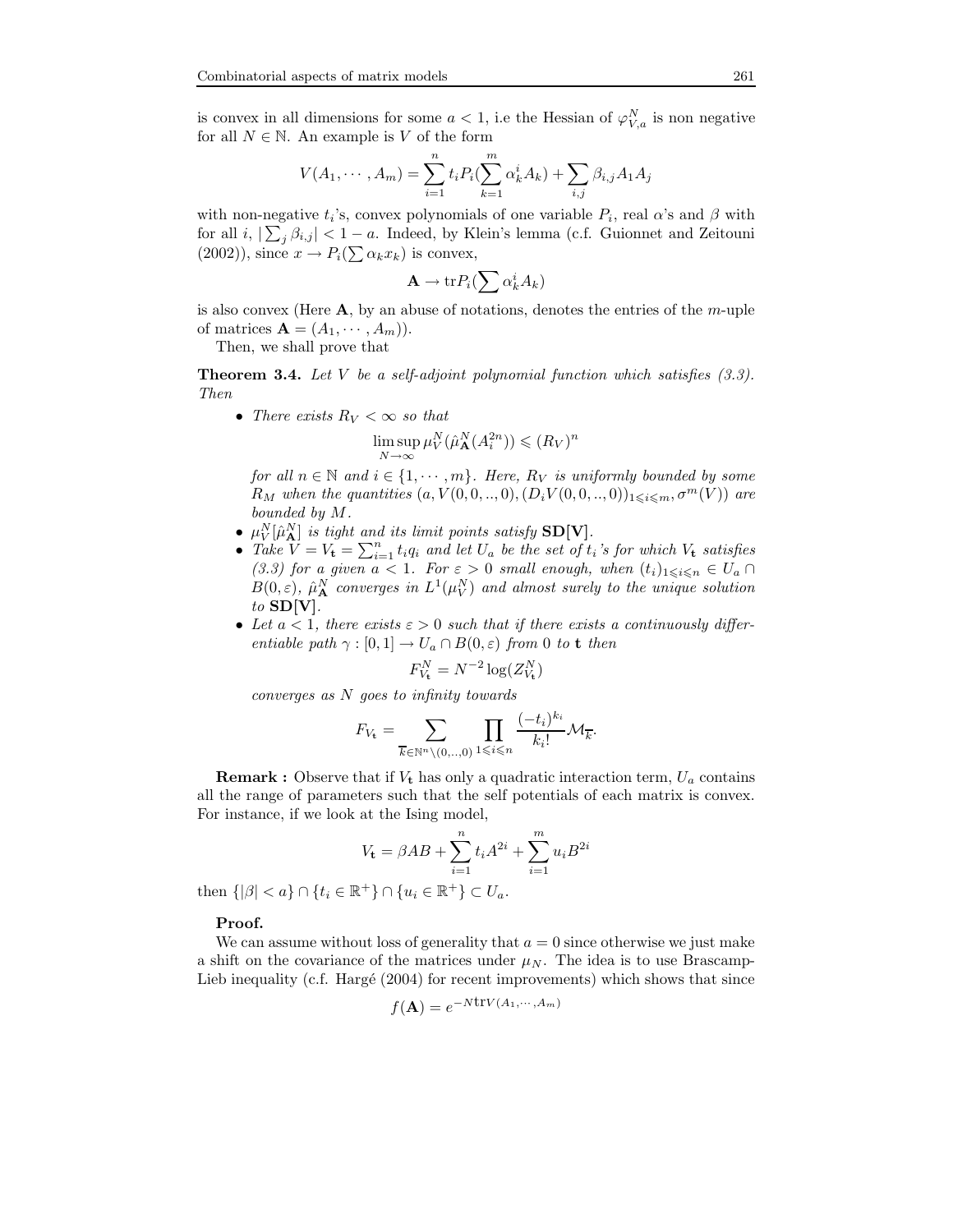is convex in all dimensions for some  $a < 1$ , i.e the Hessian of  $\varphi_{V,a}^N$  is non negative for all  $N \in \mathbb{N}$ . An example is V of the form

$$
V(A_1, \cdots, A_m) = \sum_{i=1}^n t_i P_i(\sum_{k=1}^m \alpha_k^i A_k) + \sum_{i,j} \beta_{i,j} A_1 A_j
$$

with non-negative  $t_i$ 's, convex polynomials of one variable  $P_i$ , real  $\alpha$ 's and  $\beta$  with for all  $i, \lfloor \sum_j \beta_{i,j} \rfloor < 1 - a$ . Indeed, by Klein's lemma (c.f. Guionnet and Zeitouni  $(2002)$ , since  $x \to P_i(\sum \alpha_k x_k)$  is convex,

$$
\mathbf{A} \to \mathrm{tr} P_i(\sum \alpha_k^i A_k)
$$

is also convex (Here  $\bf{A}$ , by an abuse of notations, denotes the entries of the *m*-uple of matrices  $\mathbf{A} = (A_1, \dots, A_m)$ .

Then, we shall prove that

**Theorem 3.4.** Let  $V$  be a self-adjoint polynomial function which satisfies  $(3.3)$ . Then

• There exists  $R_V < \infty$  so that

$$
\limsup_{N \to \infty} \mu_V^N(\hat{\mu}_{\mathbf{A}}^N(A_i^{2n})) \leqslant (R_V)^n
$$

for all  $n \in \mathbb{N}$  and  $i \in \{1, \dots, m\}$ . Here,  $R_V$  is uniformly bounded by some  $R_M$  when the quantities  $(a, V(0, 0, ..., 0), (D_i V(0, 0, ..., 0))_{1 \leq i \leq m}, \sigma^m(V))$  are bounded by M.

- $\mu^N_V[\hat{\mu}^N_{\bf A}]$  is tight and its limit points satisfy SD[V].
- $\mu_V$  [ $\mu_A$ ] is tight and its timit points satisfy  $\text{SD}[\mathbf{v}]$ .<br>• Take  $V = V_t = \sum_{i=1}^n t_i q_i$  and let  $U_a$  be the set of  $t_i$ 's for which  $V_t$  satisfies (3.3) for a given  $a < 1$ . For  $\varepsilon > 0$  small enough, when  $(t_i)_{1 \leq i \leq n} \in U_a \cap$  $B(0, \varepsilon)$ ,  $\hat{\mu}_{\bf A}^N$  converges in  $L^1(\mu_V^N)$  and almost surely to the unique solution to  $SD[V]$ .
- Let  $a < 1$ , there exists  $\varepsilon > 0$  such that if there exists a continuously differentiable path  $\gamma : [0,1] \to U_a \cap B(0,\varepsilon)$  from 0 to t then

$$
F_{V_{\mathbf{t}}}^N = N^{-2} \log(Z_{V_{\mathbf{t}}}^N)
$$

converges as N goes to infinity towards

$$
F_{V_{\mathbf{t}}} = \sum_{\overline{k} \in \mathbb{N}^n \setminus (0, \ldots, 0)} \prod_{1 \leqslant i \leqslant n} \frac{(-t_i)^{k_i}}{k_i!} \mathcal{M}_{\overline{k}}.
$$

**Remark :** Observe that if  $V_t$  has only a quadratic interaction term,  $U_a$  contains all the range of parameters such that the self potentials of each matrix is convex. For instance, if we look at the Ising model,

$$
V_{\mathbf{t}} = \beta AB + \sum_{i=1}^{n} t_i A^{2i} + \sum_{i=1}^{m} u_i B^{2i}
$$

then  $\{|\beta| < a\} \cap \{t_i \in \mathbb{R}^+\} \cap \{u_i \in \mathbb{R}^+\} \subset U_a$ .

#### Proof.

We can assume without loss of generality that  $a = 0$  since otherwise we just make a shift on the covariance of the matrices under  $\mu<sub>N</sub>$ . The idea is to use Brascamp-Lieb inequality (c.f. Hargé  $(2004)$  for recent improvements) which shows that since

$$
f(\mathbf{A}) = e^{-N\text{tr}V(A_1,\cdots,A_m)}
$$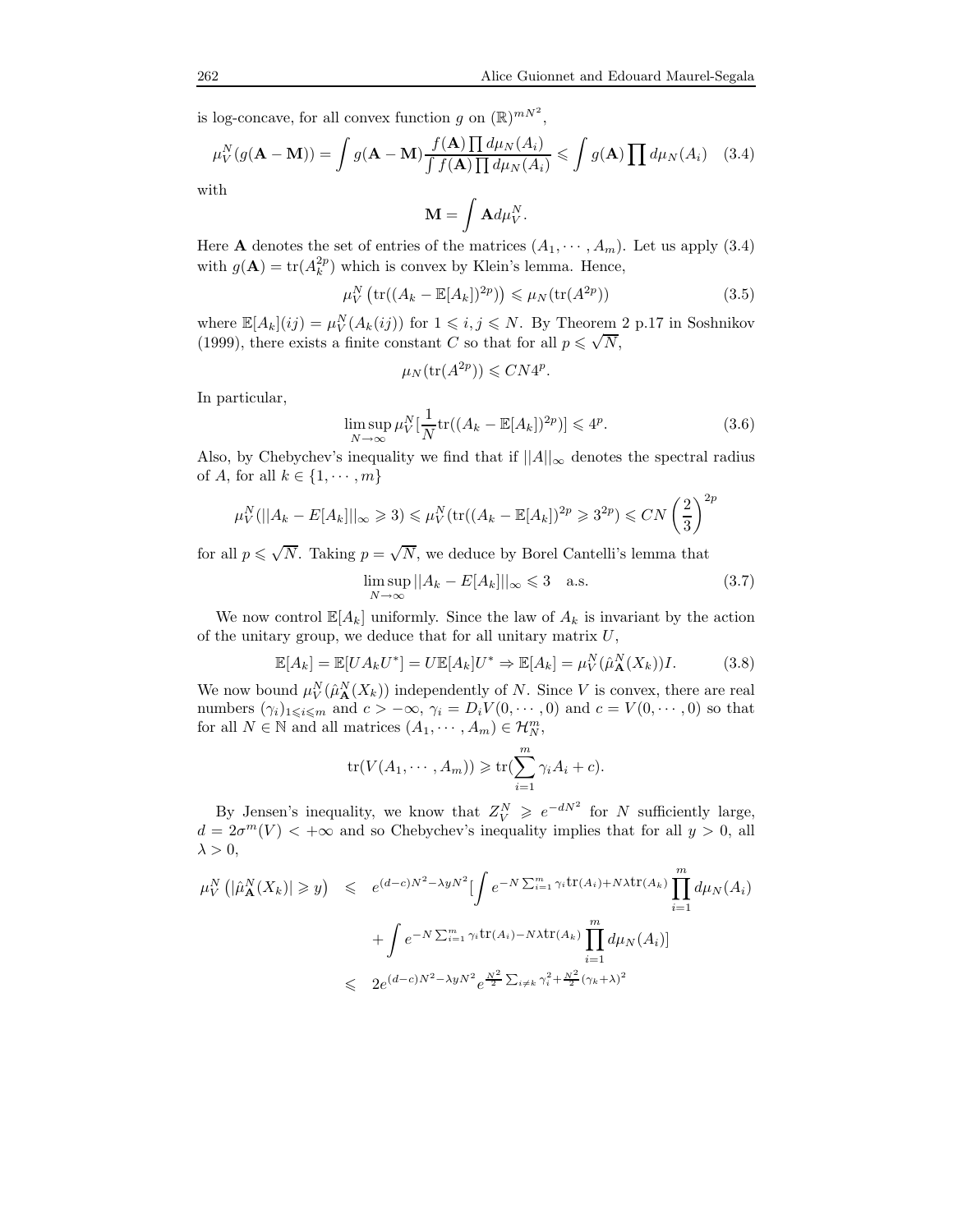is log-concave, for all convex function g on  $(\mathbb{R})^{mN^2}$ ,

$$
\mu_V^N(g(\mathbf{A} - \mathbf{M})) = \int g(\mathbf{A} - \mathbf{M}) \frac{f(\mathbf{A}) \prod d\mu_N(A_i)}{\int f(\mathbf{A}) \prod d\mu_N(A_i)} \leqslant \int g(\mathbf{A}) \prod d\mu_N(A_i) \quad (3.4)
$$

with

$$
\mathbf{M} = \int \mathbf{A} d\mu_V^N.
$$

Here **A** denotes the set of entries of the matrices  $(A_1, \dots, A_m)$ . Let us apply (3.4) with  $g(\mathbf{A}) = \text{tr}(A_k^{2p})$  which is convex by Klein's lemma. Hence,

$$
\mu_V^N \left( \text{tr}((A_k - \mathbb{E}[A_k])^{2p}) \right) \leq \mu_N(\text{tr}(A^{2p})) \tag{3.5}
$$

where  $\mathbb{E}[A_k](ij) = \mu_V^N(A_k(ij))$  for  $1 \leq i, j \leq N$ . By Theorem 2 p.17 in Soshnikov (1999), there exists a finite constant C so that for all  $p \leq \sqrt{N}$ ,

$$
\mu_N(\text{tr}(A^{2p})) \leqslant C N 4^p.
$$

In particular,

$$
\limsup_{N \to \infty} \mu_V^N \left[ \frac{1}{N} \text{tr}((A_k - \mathbb{E}[A_k])^{2p}) \right] \leq 4^p. \tag{3.6}
$$

Also, by Chebychev's inequality we find that if  $||A||_{\infty}$  denotes the spectral radius of A, for all  $k \in \{1, \cdots, m\}$ 

$$
\mu_V^N(||A_k - E[A_k]||_{\infty} \ge 3) \le \mu_V^N(\text{tr}((A_k - \mathbb{E}[A_k])^{2p} \ge 3^{2p}) \le CN\left(\frac{2}{3}\right)^{2p}
$$

for all  $p \leq \sqrt{N}$ . Taking  $p = \sqrt{N}$ , we deduce by Borel Cantelli's lemma that

$$
\limsup_{N \to \infty} ||A_k - E[A_k]||_{\infty} \leq 3 \quad \text{a.s.} \tag{3.7}
$$

We now control  $\mathbb{E}[A_k]$  uniformly. Since the law of  $A_k$  is invariant by the action of the unitary group, we deduce that for all unitary matrix  $U$ ,

$$
\mathbb{E}[A_k] = \mathbb{E}[UA_k U^*] = U \mathbb{E}[A_k] U^* \Rightarrow \mathbb{E}[A_k] = \mu_V^N(\hat{\mu}_{\mathbf{A}}^N(X_k))I. \tag{3.8}
$$

We now bound  $\mu_V^N(\hat{\mu}_{\mathbf{A}}^N(X_k))$  independently of N. Since V is convex, there are real numbers  $(\gamma_i)_{1\leqslant i\leqslant m}$  and  $c > -\infty$ ,  $\gamma_i = D_i V(0, \dots, 0)$  and  $c = V(0, \dots, 0)$  so that for all  $N \in \mathbb{N}$  and all matrices  $(A_1, \dots, A_m) \in \mathcal{H}_N^m$ ,

$$
\operatorname{tr}(V(A_1, \cdots, A_m)) \geq \operatorname{tr}(\sum_{i=1}^m \gamma_i A_i + c).
$$

By Jensen's inequality, we know that  $Z_V^N \geqslant e^{-dN^2}$  for N sufficiently large,  $d = 2\sigma^m(V) < +\infty$  and so Chebychev's inequality implies that for all  $y > 0$ , all  $\lambda > 0$ ,

$$
\mu_V^N\left(|\hat{\mu}_{\mathbf{A}}^N(X_k)| \ge y\right) \le e^{(d-c)N^2 - \lambda yN^2} \left[\int e^{-N\sum_{i=1}^m \gamma_i \text{tr}(A_i) + N\lambda \text{tr}(A_k)} \prod_{i=1}^m d\mu_N(A_i)\right]
$$
  
+ 
$$
\int e^{-N\sum_{i=1}^m \gamma_i \text{tr}(A_i) - N\lambda \text{tr}(A_k)} \prod_{i=1}^m d\mu_N(A_i) \right]
$$
  

$$
\le 2e^{(d-c)N^2 - \lambda yN^2} e^{\frac{N^2}{2} \sum_{i \ne k} \gamma_i^2 + \frac{N^2}{2} (\gamma_k + \lambda)^2}
$$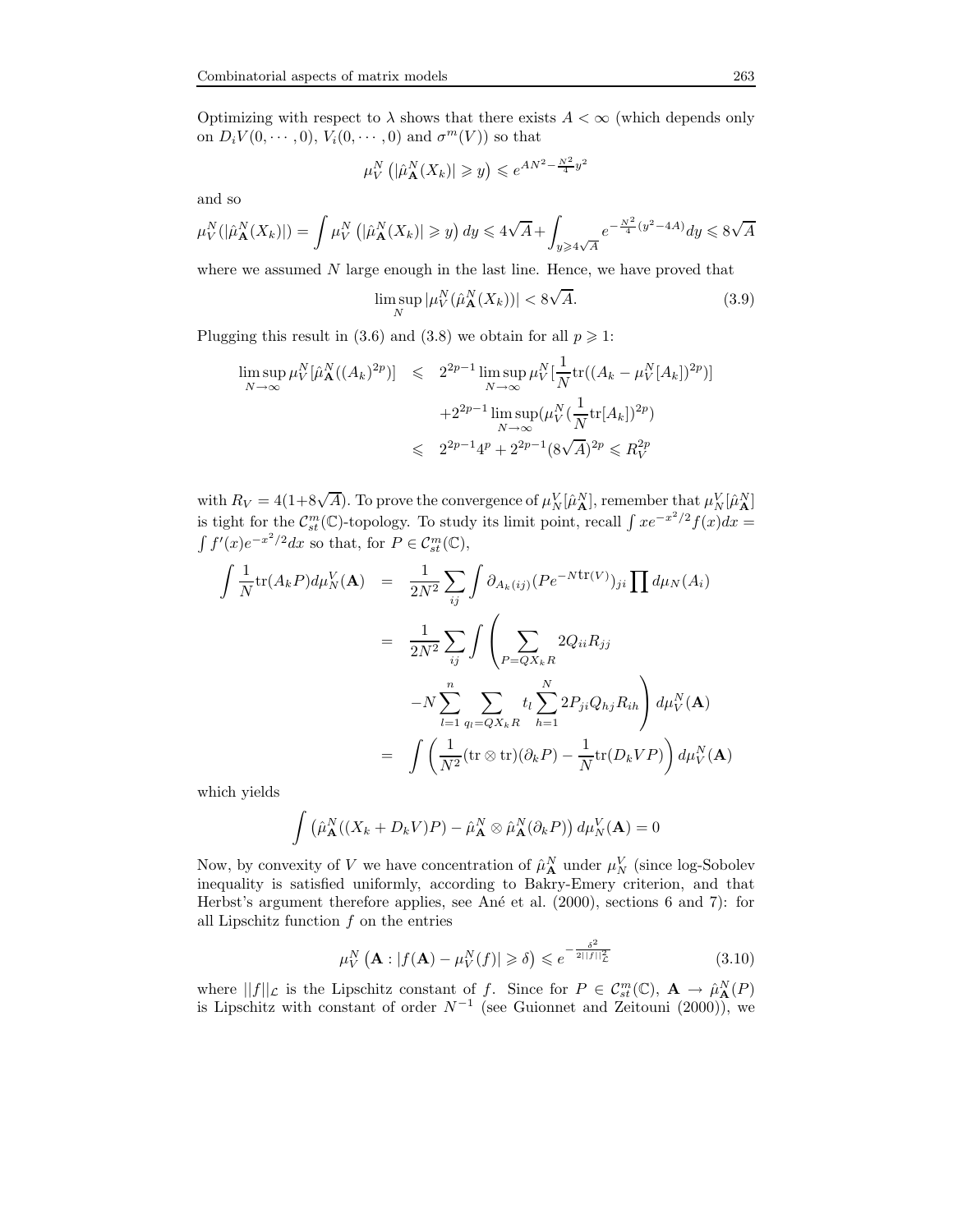Optimizing with respect to  $\lambda$  shows that there exists  $A < \infty$  (which depends only on  $D_i V(0, \dots, 0)$ ,  $V_i(0, \dots, 0)$  and  $\sigma^m(V)$  so that

$$
\mu_V^N\left( \left| \hat{\mu}_{\mathbf{A}}^N(X_k) \right| \geqslant y \right) \leqslant e^{AN^2 - \frac{N^2}{4}y^2}
$$

and so

$$
\mu_V^N(|\hat{\mu}_{\mathbf{A}}^N(X_k)|) = \int \mu_V^N\left(|\hat{\mu}_{\mathbf{A}}^N(X_k)| \ge y\right) dy \le 4\sqrt{A} + \int_{y \ge 4\sqrt{A}} e^{-\frac{N^2}{4}(y^2 - 4A)} dy \le 8\sqrt{A}
$$

where we assumed  $N$  large enough in the last line. Hence, we have proved that

$$
\limsup_{N} |\mu_V^N(\hat{\mu}_{\mathbf{A}}^N(X_k))| < 8\sqrt{A}.\tag{3.9}
$$

Plugging this result in (3.6) and (3.8) we obtain for all  $p \geq 1$ :

$$
\limsup_{N \to \infty} \mu_V^N[\hat{\mu}_{\mathbf{A}}^N((A_k)^{2p})] \leq 2^{2p-1} \limsup_{N \to \infty} \mu_V^N[\frac{1}{N} tr((A_k - \mu_V^N[A_k])^{2p})]
$$
  
+2<sup>2p-1</sup>  $\limsup_{N \to \infty} (\mu_V^N(\frac{1}{N} tr[A_k])^{2p})$   
 $\leq 2^{2p-1} 4^p + 2^{2p-1} (8\sqrt{A})^{2p} \leq R_V^{2p}$ 

with  $R_V = 4(1+8\sqrt{A})$ . To prove the convergence of  $\mu_N^V[\hat{\mu}_{\mathbf{A}}^N]$ , remember that  $\mu_N^V[\hat{\mu}_{\mathbf{A}}^N]$ is tight for the  $\mathcal{C}_{st}^m(\mathbb{C})$ -topology. To study its limit point, recall  $\int xe^{-x^2/2}f(x)dx =$  $\int f'(x)e^{-x^2/2}dx$  so that, for  $P \in \mathcal{C}_{st}^m(\mathbb{C}),$ 

$$
\int \frac{1}{N} \text{tr}(A_k P) d\mu_N^V(\mathbf{A}) = \frac{1}{2N^2} \sum_{ij} \int \partial_{A_k(ij)} (P e^{-N \text{tr}(V)})_{ji} \prod d\mu_N(A_i)
$$

$$
= \frac{1}{2N^2} \sum_{ij} \int \left( \sum_{P=QX_{kR}} 2Q_{ii} R_{jj}
$$

$$
-N \sum_{l=1}^n \sum_{q_l=QX_kR} t_l \sum_{h=1}^N 2P_{ji} Q_{hj} R_{ih} \right) d\mu_N^N(\mathbf{A})
$$

$$
= \int \left( \frac{1}{N^2} (\text{tr} \otimes \text{tr})(\partial_k P) - \frac{1}{N} \text{tr}(D_k VP) \right) d\mu_N^N(\mathbf{A})
$$

which yields

$$
\int (\hat{\mu}_{\mathbf{A}}^N((X_k + D_k V)P) - \hat{\mu}_{\mathbf{A}}^N \otimes \hat{\mu}_{\mathbf{A}}^N(\partial_k P)) d\mu_N^V(\mathbf{A}) = 0
$$

Now, by convexity of V we have concentration of  $\hat{\mu}_{\mathbf{A}}^N$  under  $\mu_N^V$  (since log-Sobolev inequality is satisfied uniformly, according to Bakry-Emery criterion, and that Herbst's argument therefore applies, see Ané et al. (2000), sections 6 and 7): for all Lipschitz function  $f$  on the entries

$$
\mu_V^N\left(\mathbf{A} : |f(\mathbf{A}) - \mu_V^N(f)| \ge \delta\right) \le e^{-\frac{\delta^2}{2||f||^2_{\mathcal{L}}}}
$$
\n(3.10)

where  $||f||_{\mathcal{L}}$  is the Lipschitz constant of f. Since for  $P \in \mathcal{C}_{st}^m(\mathbb{C}), \mathbf{A} \to \hat{\mu}_{\mathbf{A}}^N(P)$ is Lipschitz with constant of order  $N^{-1}$  (see Guionnet and Zeitouni (2000)), we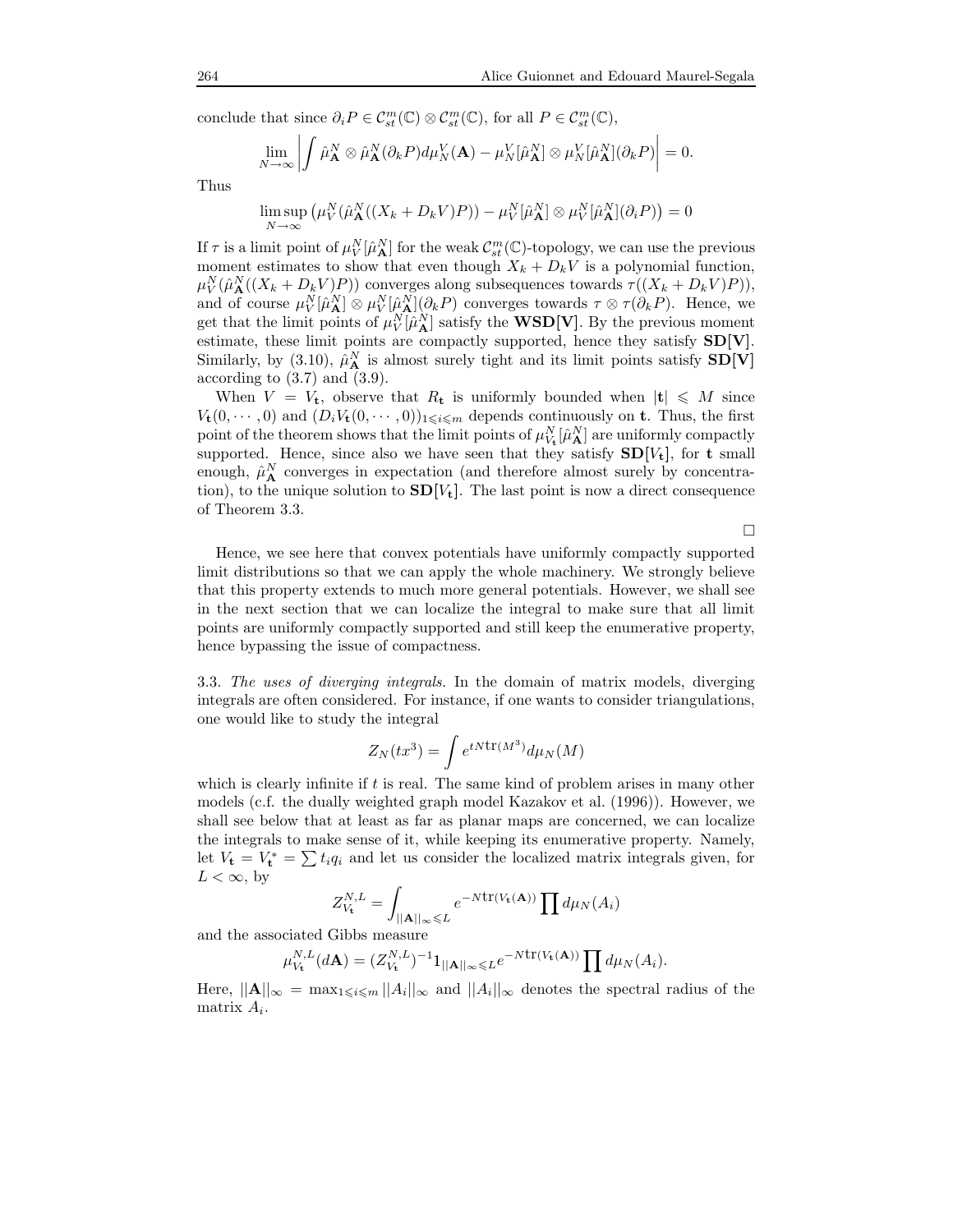conclude that since  $\partial_i P \in \mathcal{C}_{st}^m(\mathbb{C}) \otimes \mathcal{C}_{st}^m(\mathbb{C})$ , for all  $P \in \mathcal{C}_{st}^m(\mathbb{C})$ ,

$$
\lim_{N\to\infty}\left|\int\hat{\mu}_{\mathbf{A}}^N\otimes\hat{\mu}_{\mathbf{A}}^N(\partial_kP)d\mu_N^V(\mathbf{A})-\mu_N^V[\hat{\mu}_{\mathbf{A}}^N]\otimes\mu_N^V[\hat{\mu}_{\mathbf{A}}^N](\partial_kP)\right|=0.
$$

Thus

$$
\limsup_{N \to \infty} (\mu_V^N(\hat{\mu}_{\mathbf{A}}^N((X_k + D_k V)P)) - \mu_V^N[\hat{\mu}_{\mathbf{A}}^N] \otimes \mu_V^N[\hat{\mu}_{\mathbf{A}}^N](\partial_i P)) = 0
$$

If  $\tau$  is a limit point of  $\mu_V^N[\hat{\mu}_{\bf A}^N]$  for the weak  $\mathcal{C}_{st}^m(\mathbb{C})$ -topology, we can use the previous moment estimates to show that even though  $X_k + D_k V$  is a polynomial function,  $\mu_V^N(\hat{\mu}_{\mathbf{A}}^N((X_k + D_k V)P))$  converges along subsequences towards  $\tau((X_k + D_k V)P)),$ and of course  $\mu_V^N[\hat{\mu}_{\mathbf{A}}^N] \otimes \mu_V^N[\hat{\mu}_{\mathbf{A}}^N](\partial_k P)$  converges towards  $\tau \otimes \tau(\partial_k P)$ . Hence, we get that the limit points of  $\mu_V^N[\hat{\mu}_{\bf A}^N]$  satisfy the **WSD[V**]. By the previous moment estimate, these limit points are compactly supported, hence they satisfy SD[V]. Similarly, by (3.10),  $\hat{\mu}_{\bf A}^N$  is almost surely tight and its limit points satisfy  $SD[V]$ according to  $(3.7)$  and  $(3.9)$ .

When  $V = V_t$ , observe that  $R_t$  is uniformly bounded when  $|t| \leq M$  since  $V_{\mathbf{t}}(0,\dots,0)$  and  $(D_iV_{\mathbf{t}}(0,\dots,0))_{1\leqslant i\leqslant m}$  depends continuously on **t**. Thus, the first point of the theorem shows that the limit points of  $\mu_{V_{\mathbf{t}}}^{N}[\hat{\mu}_{\mathbf{A}}^{N}]$  are uniformly compactly supported. Hence, since also we have seen that they satisfy  $SD[V_t]$ , for t small enough,  $\hat{\mu}_{\mathbf{A}}^{N}$  converges in expectation (and therefore almost surely by concentration), to the unique solution to  $SD[V_t]$ . The last point is now a direct consequence of Theorem 3.3.

 $\Box$ 

Hence, we see here that convex potentials have uniformly compactly supported limit distributions so that we can apply the whole machinery. We strongly believe that this property extends to much more general potentials. However, we shall see in the next section that we can localize the integral to make sure that all limit points are uniformly compactly supported and still keep the enumerative property, hence bypassing the issue of compactness.

3.3. The uses of diverging integrals. In the domain of matrix models, diverging integrals are often considered. For instance, if one wants to consider triangulations, one would like to study the integral

$$
Z_N(tx^3) = \int e^{tN \text{tr}(M^3)} d\mu_N(M)
$$

which is clearly infinite if t is real. The same kind of problem arises in many other models (c.f. the dually weighted graph model Kazakov et al. (1996)). However, we shall see below that at least as far as planar maps are concerned, we can localize the integrals to make sense of it, while keeping its enumerative property. Namely, let  $V_{\mathbf{t}} = V_{\mathbf{t}}^* = \sum t_i q_i$  and let us consider the localized matrix integrals given, for  $L < \infty$ , by

$$
Z_{V_{\mathbf{t}}}^{N,L} = \int_{||\mathbf{A}||_{\infty} \leqslant L} e^{-N \text{tr}(V_{\mathbf{t}}(\mathbf{A}))} \prod d\mu_N(A_i)
$$

and the associated Gibbs measure

$$
\mu_{V_{\mathbf{t}}}^{N,L}(d\mathbf{A}) = (Z_{V_{\mathbf{t}}}^{N,L})^{-1} \mathbf{1}_{||\mathbf{A}||_{\infty} \leqslant L} e^{-N \operatorname{tr}(V_{\mathbf{t}}(\mathbf{A}))} \prod d\mu_N(A_i).
$$

Here,  $||\mathbf{A}||_{\infty} = \max_{1 \leq i \leq m} ||A_i||_{\infty}$  and  $||A_i||_{\infty}$  denotes the spectral radius of the matrix  $A_i$ .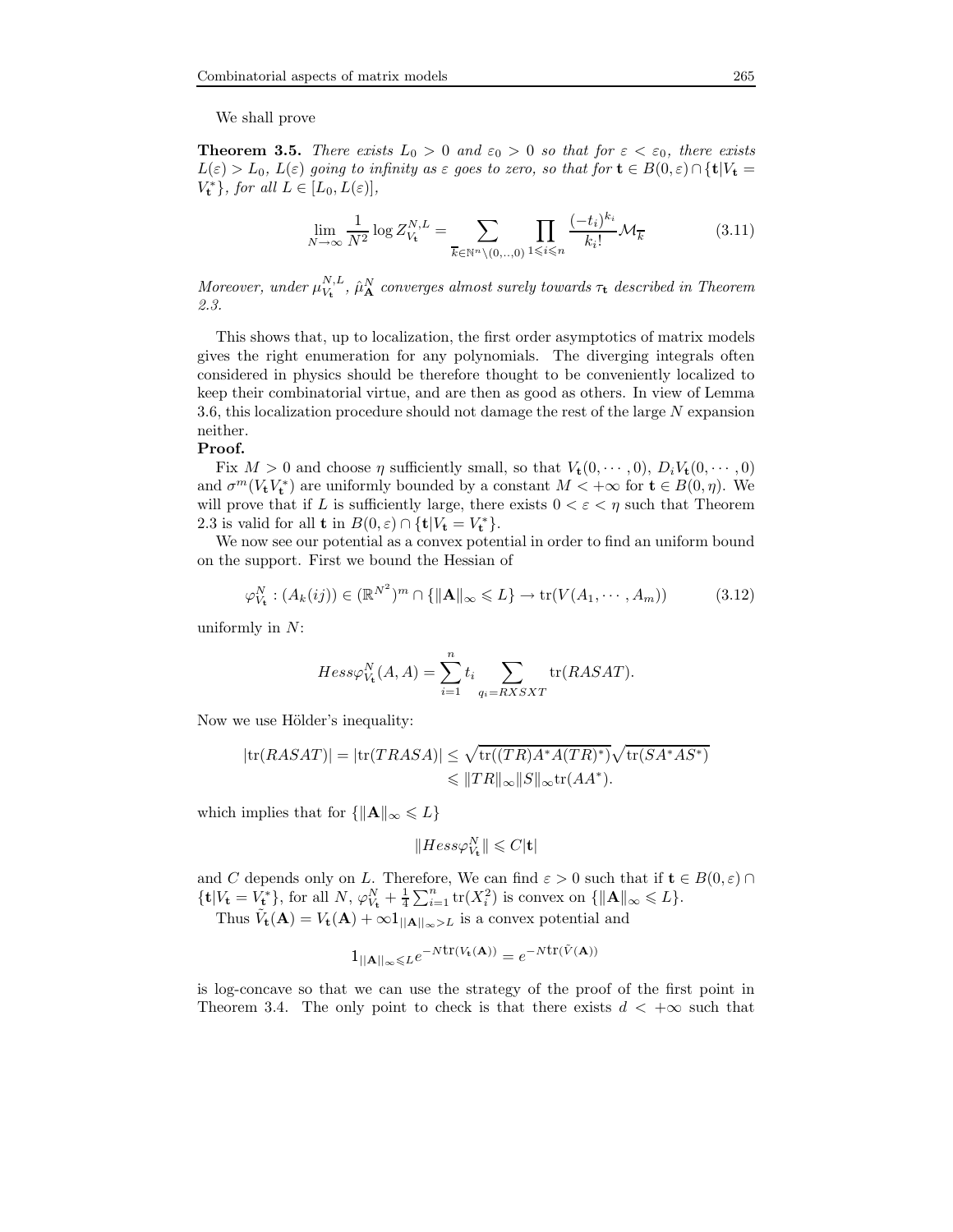We shall prove

**Theorem 3.5.** There exists  $L_0 > 0$  and  $\varepsilon_0 > 0$  so that for  $\varepsilon < \varepsilon_0$ , there exists  $L(\varepsilon) > L_0$ ,  $L(\varepsilon)$  going to infinity as  $\varepsilon$  goes to zero, so that for  $\mathbf{t} \in B(0,\varepsilon) \cap {\mathbf{t}} | V_{\mathbf{t}} =$  $V_{\mathbf{t}}^*$ , for all  $L \in [L_0, L(\varepsilon)],$ 

$$
\lim_{N \to \infty} \frac{1}{N^2} \log Z_{V_t}^{N,L} = \sum_{\overline{k} \in \mathbb{N}^n \setminus (0, \dots, 0)} \prod_{1 \leqslant i \leqslant n} \frac{(-t_i)^{k_i}}{k_i!} \mathcal{M}_{\overline{k}}
$$
(3.11)

Moreover, under  $\mu_{V_t}^{N,L}$ ,  $\hat{\mu}_{\bf A}^N$  converges almost surely towards  $\tau_t$  described in Theorem 2.3.

This shows that, up to localization, the first order asymptotics of matrix models gives the right enumeration for any polynomials. The diverging integrals often considered in physics should be therefore thought to be conveniently localized to keep their combinatorial virtue, and are then as good as others. In view of Lemma 3.6, this localization procedure should not damage the rest of the large N expansion neither.

#### Proof.

Fix  $M > 0$  and choose  $\eta$  sufficiently small, so that  $V_t(0, \dots, 0), D_t V_t(0, \dots, 0)$ and  $\sigma^m(V_tV_t^*)$  are uniformly bounded by a constant  $M < +\infty$  for  $t \in B(0, \eta)$ . We will prove that if L is sufficiently large, there exists  $0 < \varepsilon < \eta$  such that Theorem 2.3 is valid for all **t** in  $B(0, \varepsilon) \cap {\{\mathbf{t}} | V_{\mathbf{t}} = V_{\mathbf{t}}^* \}.$ 

We now see our potential as a convex potential in order to find an uniform bound on the support. First we bound the Hessian of

$$
\varphi_{V_{\mathbf{t}}}^{N} : (A_{k}(ij)) \in (\mathbb{R}^{N^{2}})^{m} \cap \{ \|\mathbf{A}\|_{\infty} \leqslant L \} \to \text{tr}(V(A_{1}, \cdots, A_{m})) \tag{3.12}
$$

uniformly in  $N$ :

$$
Hess\varphi_{V_{\mathbf{t}}}^{N}(A,A) = \sum_{i=1}^{n} t_{i} \sum_{q_{i}=RXSXT} \text{tr}(RASAT).
$$

Now we use Hölder's inequality:

$$
|\text{tr}(RASAT)| = |\text{tr}(TRASA)| \leq \sqrt{\text{tr}((TR)A^*A(TR)^*)} \sqrt{\text{tr}(SA^*AS^*)}
$$
  

$$
\leq ||TR||_{\infty}||S||_{\infty} \text{tr}(AA^*).
$$

which implies that for  $\{\|\mathbf{A}\|_{\infty} \leqslant L\}$ 

$$
\|Hess\varphi^N_{V_{\bf t}}\|\leqslant C |{\bf t}|
$$

and C depends only on L. Therefore, We can find  $\varepsilon > 0$  such that if  $\mathbf{t} \in B(0,\varepsilon) \cap$  ${\textstyle\{\mathbf{t}|V_{\mathbf{t}}=V_{\mathbf{t}}^*\}}$ , for all  $N$ ,  $\varphi_{V_{\mathbf{t}}^k}^N+\frac{1}{4}\sum_{i=1}^n\text{tr}(X_i^2)$  is convex on  ${\|\mathbf{A}\|_\infty\leq L\}}$ .

Thus  $\tilde{V}_{\mathbf{t}}(\mathbf{A}) = V_{\mathbf{t}}(\mathbf{A}) + \infty \mathbf{1}_{||\mathbf{A}||_{\infty} > L}$  is a convex potential and

$$
1_{||\mathbf{A}||_{\infty} \leq L} e^{-N \text{tr}(V_{\mathbf{t}}(\mathbf{A}))} = e^{-N \text{tr}(\tilde{V}(\mathbf{A}))}
$$

is log-concave so that we can use the strategy of the proof of the first point in Theorem 3.4. The only point to check is that there exists  $d < +\infty$  such that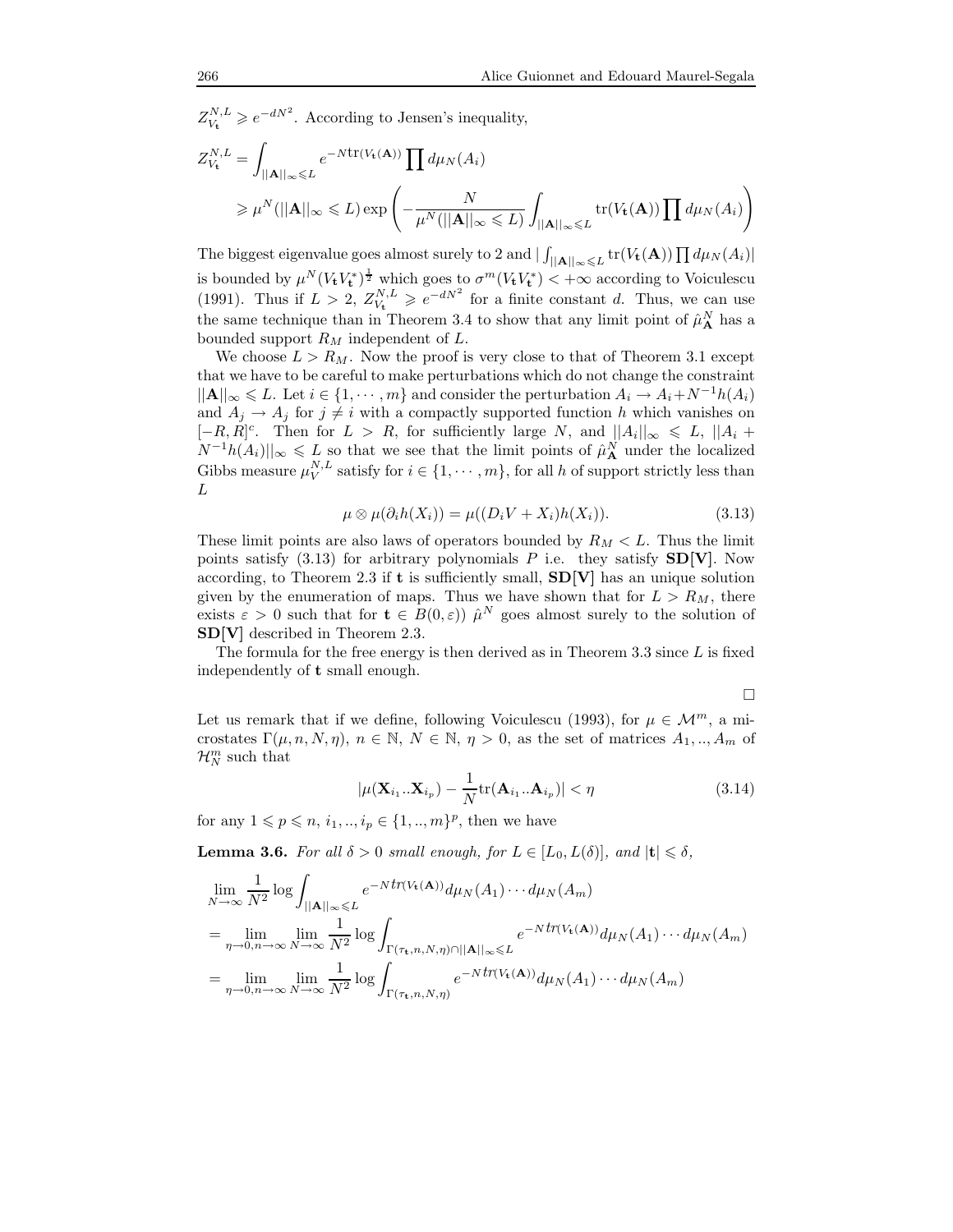$Z_{V_{\mathbf{t}}}^{N,L} \geqslant e^{-dN^2}$ . According to Jensen's inequality,

$$
Z_{V_{\mathbf{t}}}^{N,L} = \int_{||\mathbf{A}||_{\infty} \leqslant L} e^{-N \text{tr}(V_{\mathbf{t}}(\mathbf{A}))} \prod d\mu_N(A_i)
$$
  
\n
$$
\geqslant \mu^N(||\mathbf{A}||_{\infty} \leqslant L) \exp\left(-\frac{N}{\mu^N(||\mathbf{A}||_{\infty} \leqslant L)} \int_{||\mathbf{A}||_{\infty} \leqslant L} \text{tr}(V_{\mathbf{t}}(\mathbf{A})) \prod d\mu_N(A_i)\right)
$$

The biggest eigenvalue goes almost surely to 2 and  $|\int_{||\mathbf{A}||_{\infty} \leq L}$  tr $(V_{\mathbf{t}}(\mathbf{A})) \prod d\mu_N(A_i)|$ is bounded by  $\mu^N (V_t V_t^*)^{\frac{1}{2}}$  which goes to  $\sigma^m (V_t V_t^*) < +\infty$  according to Voiculescu (1991). Thus if  $L > 2$ ,  $Z_{V_t}^{N,L} \geq e^{-dN^2}$  for a finite constant d. Thus, we can use the same technique than in Theorem 3.4 to show that any limit point of  $\hat{\mu}_{\bf A}^N$  has a bounded support  $R_M$  independent of  $L$ .

We choose  $L > R_M$ . Now the proof is very close to that of Theorem 3.1 except that we have to be careful to make perturbations which do not change the constraint  $||\mathbf{A}||_{\infty} \leqslant L$ . Let  $i \in \{1, \dots, m\}$  and consider the perturbation  $A_i \to A_i + N^{-1}h(A_i)$ and  $A_i \rightarrow A_j$  for  $j \neq i$  with a compactly supported function h which vanishes on  $[-R, R]^c$ . Then for  $L > R$ , for sufficiently large N, and  $||A_i||_{\infty} \le L$ ,  $||A_i +$  $||N^{-1}h(A_i)||_{\infty} \leqslant L$  so that we see that the limit points of  $\hat{\mu}_{\bf A}^N$  under the localized Gibbs measure  $\mu_V^{N,L}$  satisfy for  $i \in \{1, \dots, m\}$ , for all h of support strictly less than L

$$
\mu \otimes \mu(\partial_i h(X_i)) = \mu((D_i V + X_i)h(X_i)). \tag{3.13}
$$

These limit points are also laws of operators bounded by  $R_M < L$ . Thus the limit points satisfy  $(3.13)$  for arbitrary polynomials P i.e. they satisfy  $SD[V]$ . Now according, to Theorem 2.3 if t is sufficiently small,  $SD[V]$  has an unique solution given by the enumeration of maps. Thus we have shown that for  $L > R_M$ , there exists  $\varepsilon > 0$  such that for  $\mathbf{t} \in B(0,\varepsilon)$   $\hat{\mu}^N$  goes almost surely to the solution of SD[V] described in Theorem 2.3.

The formula for the free energy is then derived as in Theorem 3.3 since  $L$  is fixed independently of t small enough.

$$
\Box
$$

Let us remark that if we define, following Voiculescu (1993), for  $\mu \in \mathcal{M}^m$ , a microstates  $\Gamma(\mu, n, N, \eta), n \in \mathbb{N}, N \in \mathbb{N}, \eta > 0$ , as the set of matrices  $A_1, ..., A_m$  of  $\mathcal{H}_N^m$  such that

$$
|\mu(\mathbf{X}_{i_1}..\mathbf{X}_{i_p}) - \frac{1}{N} tr(\mathbf{A}_{i_1}..\mathbf{A}_{i_p})| < \eta
$$
\n(3.14)

for any  $1 \leq p \leq n, i_1, ..., i_p \in \{1, ..., m\}^p$ , then we have

**Lemma 3.6.** For all  $\delta > 0$  small enough, for  $L \in [L_0, L(\delta)]$ , and  $|\mathbf{t}| \leq \delta$ ,

$$
\lim_{N \to \infty} \frac{1}{N^2} \log \int_{\|\mathbf{A}\|_{\infty} \le L} e^{-Nt \eta (V_t(\mathbf{A}))} d\mu_N(A_1) \cdots d\mu_N(A_m)
$$
\n
$$
= \lim_{\eta \to 0, n \to \infty} \lim_{N \to \infty} \frac{1}{N^2} \log \int_{\Gamma(\tau_t, n, N, \eta) \cap \|\mathbf{A}\|_{\infty} \le L} e^{-Nt \eta (V_t(\mathbf{A}))} d\mu_N(A_1) \cdots d\mu_N(A_m)
$$
\n
$$
= \lim_{\eta \to 0, n \to \infty} \lim_{N \to \infty} \frac{1}{N^2} \log \int_{\Gamma(\tau_t, n, N, \eta)} e^{-Nt \eta (V_t(\mathbf{A}))} d\mu_N(A_1) \cdots d\mu_N(A_m)
$$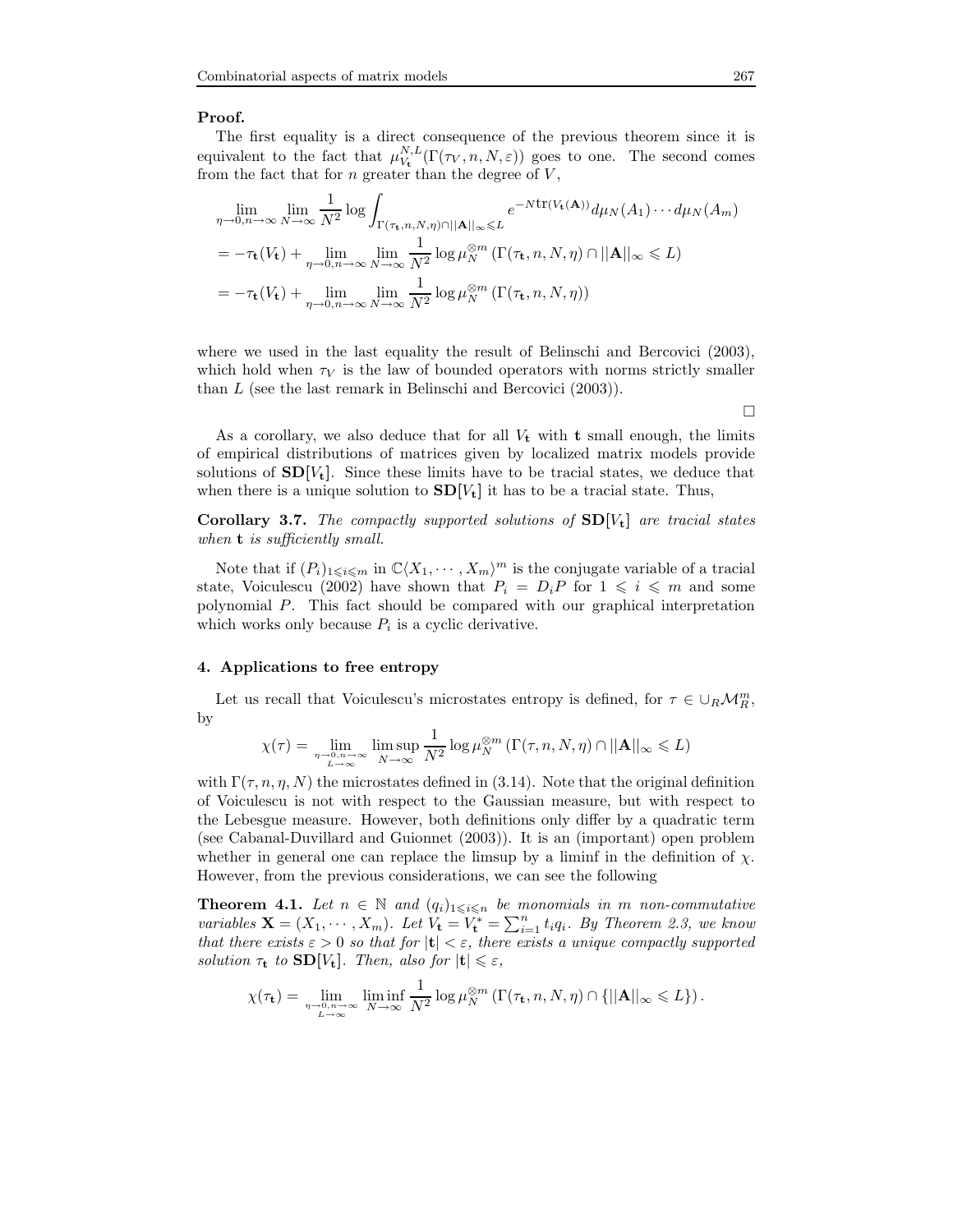# Proof.

The first equality is a direct consequence of the previous theorem since it is equivalent to the fact that  $\mu_{V_t}^{N,L}(\Gamma(\tau_V,n,N,\varepsilon))$  goes to one. The second comes from the fact that for  $n$  greater than the degree of  $V$ ,

$$
\lim_{\eta \to 0, n \to \infty} \lim_{N \to \infty} \frac{1}{N^2} \log \int_{\Gamma(\tau_t, n, N, \eta) \cap ||\mathbf{A}||_{\infty} \le L} e^{-N \text{tr}(V_t(\mathbf{A}))} d\mu_N(A_1) \cdots d\mu_N(A_m)
$$
\n
$$
= -\tau_t(V_t) + \lim_{\eta \to 0, n \to \infty} \lim_{N \to \infty} \frac{1}{N^2} \log \mu_N^{\otimes m} \left( \Gamma(\tau_t, n, N, \eta) \cap ||\mathbf{A}||_{\infty} \le L \right)
$$
\n
$$
= -\tau_t(V_t) + \lim_{\eta \to 0, n \to \infty} \lim_{N \to \infty} \frac{1}{N^2} \log \mu_N^{\otimes m} \left( \Gamma(\tau_t, n, N, \eta) \right)
$$

where we used in the last equality the result of Belinschi and Bercovici (2003), which hold when  $\tau_V$  is the law of bounded operators with norms strictly smaller than L (see the last remark in Belinschi and Bercovici (2003)).

 $\Box$ 

As a corollary, we also deduce that for all  $V_t$  with **t** small enough, the limits of empirical distributions of matrices given by localized matrix models provide solutions of  $SD[V_t]$ . Since these limits have to be tracial states, we deduce that when there is a unique solution to  $SD[V_t]$  it has to be a tracial state. Thus,

Corollary 3.7. The compactly supported solutions of  $SD[V_t]$  are tracial states when **t** is sufficiently small.

Note that if  $(P_i)_{1\leqslant i\leqslant m}$  in  $\mathbb{C}\langle X_1,\cdots,X_m\rangle^m$  is the conjugate variable of a tracial state, Voiculescu (2002) have shown that  $P_i = D_i P$  for  $1 \leq i \leq m$  and some polynomial P. This fact should be compared with our graphical interpretation which works only because  $P_i$  is a cyclic derivative.

#### 4. Applications to free entropy

Let us recall that Voiculescu's microstates entropy is defined, for  $\tau \in \cup_R \mathcal{M}_R^m$ , by

$$
\chi(\tau) = \lim_{\substack{\eta \to 0, n \to \infty \\ L \to \infty}} \limsup_{N \to \infty} \frac{1}{N^2} \log \mu_N^{\otimes m} \left( \Gamma(\tau, n, N, \eta) \cap ||\mathbf{A}||_{\infty} \leq L \right)
$$

with  $\Gamma(\tau, n, \eta, N)$  the microstates defined in (3.14). Note that the original definition of Voiculescu is not with respect to the Gaussian measure, but with respect to the Lebesgue measure. However, both definitions only differ by a quadratic term (see Cabanal-Duvillard and Guionnet (2003)). It is an (important) open problem whether in general one can replace the limsup by a liminf in the definition of  $\chi$ . However, from the previous considerations, we can see the following

**Theorem 4.1.** Let  $n \in \mathbb{N}$  and  $(q_i)_{1 \leq i \leq n}$  be monomials in m non-commutative variables  $\mathbf{X} = (X_1, \dots, X_m)$ . Let  $V_t = V_t^* = \sum_{i=1}^n t_i q_i$ . By Theorem 2.3, we know that there exists  $\varepsilon > 0$  so that for  $|t| < \varepsilon$ , there exists a unique compactly supported solution  $\tau_t$  to  $SD[V_t]$ . Then, also for  $|t| \leq \varepsilon$ ,

$$
\chi(\tau_{\mathbf{t}}) = \lim_{\substack{n \to 0, n \to \infty \\ L \to \infty}} \liminf_{N \to \infty} \frac{1}{N^2} \log \mu_N^{\otimes m} \left( \Gamma(\tau_{\mathbf{t}}, n, N, \eta) \cap \{ ||\mathbf{A}||_{\infty} \leq L \} \right).
$$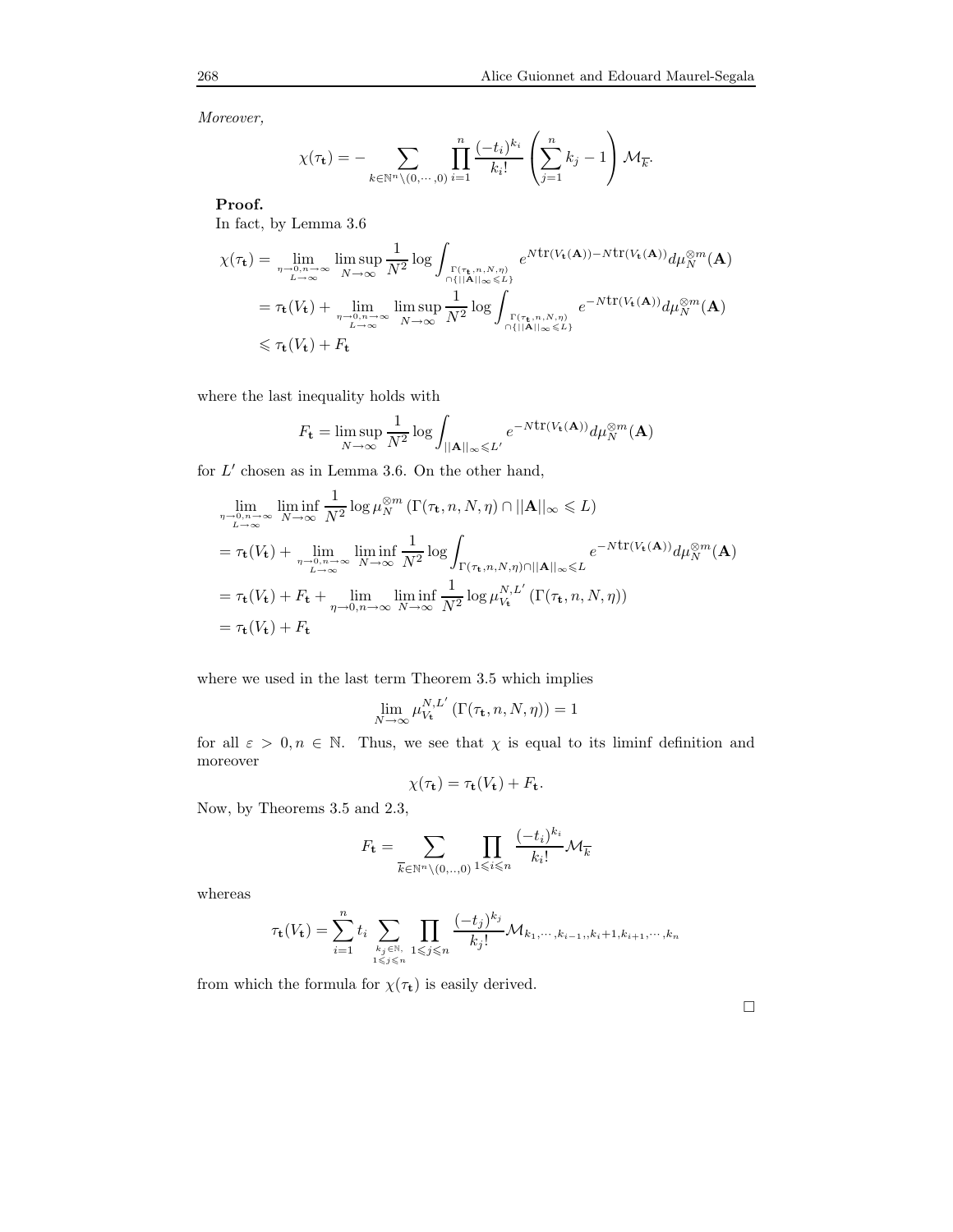Moreover,

$$
\chi(\tau_{\mathbf{t}}) = -\sum_{k \in \mathbb{N}^n \setminus (0, \cdots, 0)} \prod_{i=1}^n \frac{(-t_i)^{k_i}}{k_i!} \left(\sum_{j=1}^n k_j - 1\right) \mathcal{M}_{\overline{k}}.
$$

Proof.

In fact, by Lemma 3.6

$$
\chi(\tau_{\mathbf{t}}) = \lim_{\substack{\eta \to 0, n \to \infty \\ L \to \infty}} \limsup_{N \to \infty} \frac{1}{N^2} \log \int_{\substack{\Gamma(\tau_{\mathbf{t}}, n, N, \eta) \\ \cap \{||\mathbf{A}||_{\infty} \le L\}}} e^{Ntr(V_{\mathbf{t}}(\mathbf{A})) - Ntr(V_{\mathbf{t}}(\mathbf{A}))} d\mu_N^{\otimes m}(\mathbf{A})
$$
  
\n
$$
= \tau_{\mathbf{t}}(V_{\mathbf{t}}) + \lim_{\substack{\eta \to 0, n \to \infty \\ L \to \infty}} \limsup_{N \to \infty} \frac{1}{N^2} \log \int_{\substack{\Gamma(\tau_{\mathbf{t}}, n, N, \eta) \\ \cap \{||\mathbf{A}||_{\infty} \le L\}}} e^{-Ntr(V_{\mathbf{t}}(\mathbf{A}))} d\mu_N^{\otimes m}(\mathbf{A})
$$
  
\n
$$
\leq \tau_{\mathbf{t}}(V_{\mathbf{t}}) + F_{\mathbf{t}}
$$

where the last inequality holds with

$$
F_{\mathbf{t}} = \limsup_{N \to \infty} \frac{1}{N^2} \log \int_{||\mathbf{A}||_{\infty} \le L'} e^{-N \text{tr}(V_{\mathbf{t}}(\mathbf{A}))} d\mu_N^{\otimes m}(\mathbf{A})
$$

for  $L'$  chosen as in Lemma 3.6. On the other hand,

$$
\lim_{\substack{\eta \to 0, n \to \infty \\ L \to \infty}} \liminf_{N \to \infty} \frac{1}{N^2} \log \mu_N^{\otimes m} (\Gamma(\tau_t, n, N, \eta) \cap ||\mathbf{A}||_{\infty} \le L)
$$
\n
$$
= \tau_t(V_t) + \lim_{\substack{\eta \to 0, n \to \infty \\ L \to \infty}} \liminf_{N \to \infty} \frac{1}{N^2} \log \int_{\Gamma(\tau_t, n, N, \eta) \cap ||\mathbf{A}||_{\infty} \le L} e^{-N \text{tr}(V_t(\mathbf{A}))} d\mu_N^{\otimes m}(\mathbf{A})
$$
\n
$$
= \tau_t(V_t) + F_t + \lim_{\eta \to 0, n \to \infty} \liminf_{N \to \infty} \frac{1}{N^2} \log \mu_{V_t}^{N, L'} (\Gamma(\tau_t, n, N, \eta))
$$
\n
$$
= \tau_t(V_t) + F_t
$$

where we used in the last term Theorem 3.5 which implies

$$
\lim_{N \to \infty} \mu_{V_{\mathbf{t}}}^{N,L'}\left(\Gamma(\tau_{\mathbf{t}}, n, N, \eta)\right) = 1
$$

for all  $\varepsilon > 0, n \in \mathbb{N}$ . Thus, we see that  $\chi$  is equal to its liminf definition and moreover

$$
\chi(\tau_{\mathbf{t}}) = \tau_{\mathbf{t}}(V_{\mathbf{t}}) + F_{\mathbf{t}}.
$$

Now, by Theorems 3.5 and 2.3,

$$
F_{\mathbf{t}} = \sum_{\overline{k} \in \mathbb{N}^n \setminus (0, \ldots, 0)} \prod_{1 \leqslant i \leqslant n} \frac{(-t_i)^{k_i}}{k_i!} \mathcal{M}_{\overline{k}}
$$

whereas

$$
\tau_{\mathbf{t}}(V_{\mathbf{t}}) = \sum_{i=1}^{n} t_i \sum_{k_j \in \mathbb{N}, \atop 1 \leqslant j \leqslant n} \prod_{1 \leqslant j \leqslant n} \frac{(-t_j)^{k_j}}{k_j!} \mathcal{M}_{k_1, \cdots, k_{i-1}, k_i+1, k_{i+1}, \cdots, k_n}
$$

from which the formula for  $\chi(\tau_{\mathbf{t}})$  is easily derived.

 $\Box$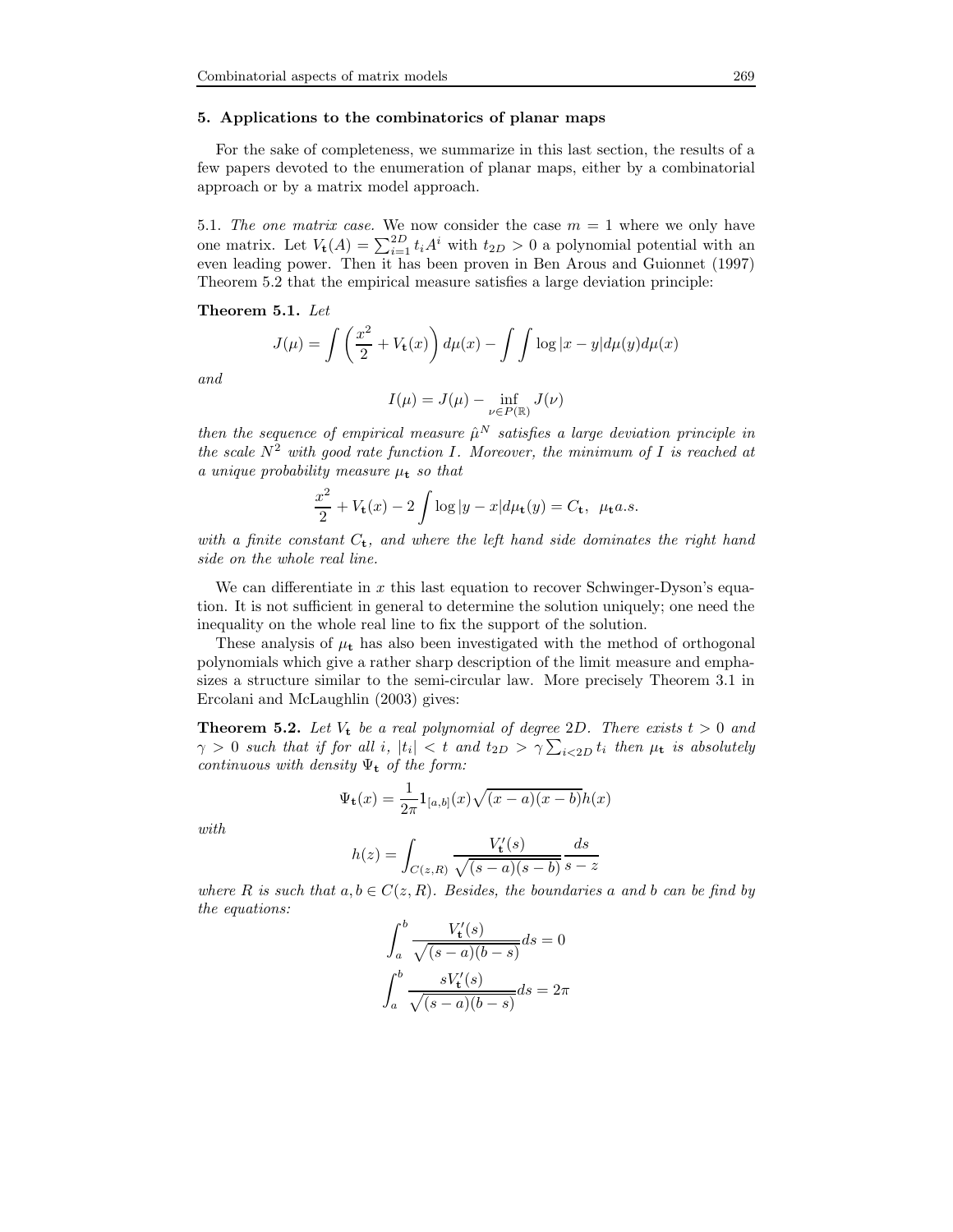# 5. Applications to the combinatorics of planar maps

For the sake of completeness, we summarize in this last section, the results of a few papers devoted to the enumeration of planar maps, either by a combinatorial approach or by a matrix model approach.

5.1. The one matrix case. We now consider the case  $m = 1$  where we only have one matrix. Let  $V_t(A) = \sum_{i=1}^{2D} t_i A^i$  with  $t_{2D} > 0$  a polynomial potential with an even leading power. Then it has been proven in Ben Arous and Guionnet (1997) Theorem 5.2 that the empirical measure satisfies a large deviation principle:

Theorem 5.1. Let

$$
J(\mu) = \int \left(\frac{x^2}{2} + V_{\mathbf{t}}(x)\right) d\mu(x) - \int \int \log|x - y| d\mu(y) d\mu(x)
$$

and

$$
I(\mu) = J(\mu) - \inf_{\nu \in P(\mathbb{R})} J(\nu)
$$

then the sequence of empirical measure  $\hat{\mu}^N$  satisfies a large deviation principle in the scale  $N^2$  with good rate function I. Moreover, the minimum of I is reached at a unique probability measure  $\mu_t$  so that

$$
\frac{x^2}{2} + V_{\mathbf{t}}(x) - 2 \int \log|y - x| d\mu_{\mathbf{t}}(y) = C_{\mathbf{t}}, \ \mu_{\mathbf{t}} a.s.
$$

with a finite constant  $C_t$ , and where the left hand side dominates the right hand side on the whole real line.

We can differentiate in  $x$  this last equation to recover Schwinger-Dyson's equation. It is not sufficient in general to determine the solution uniquely; one need the inequality on the whole real line to fix the support of the solution.

These analysis of  $\mu_t$  has also been investigated with the method of orthogonal polynomials which give a rather sharp description of the limit measure and emphasizes a structure similar to the semi-circular law. More precisely Theorem 3.1 in Ercolani and McLaughlin (2003) gives:

**Theorem 5.2.** Let  $V_t$  be a real polynomial of degree 2D. There exists  $t > 0$  and  $\gamma > 0$  such that if for all i,  $|t_i| < t$  and  $t_{2D} > \gamma \sum_{i < 2D} t_i$  then  $\mu_{\mathbf{t}}$  is absolutely continuous with density  $\Psi_t$  of the form:

$$
\Psi_{\mathbf{t}}(x) = \frac{1}{2\pi} 1_{[a,b]}(x) \sqrt{(x-a)(x-b)} h(x)
$$

with

$$
h(z) = \int_{C(z,R)} \frac{V'_\mathbf{t}(s)}{\sqrt{(s-a)(s-b)}} \frac{ds}{s-z}
$$

where R is such that  $a, b \in C(z, R)$ . Besides, the boundaries a and b can be find by the equations:

$$
\int_{a}^{b} \frac{V'_\mathbf{t}(s)}{\sqrt{(s-a)(b-s)}} ds = 0
$$

$$
\int_{a}^{b} \frac{sV'_\mathbf{t}(s)}{\sqrt{(s-a)(b-s)}} ds = 2\pi
$$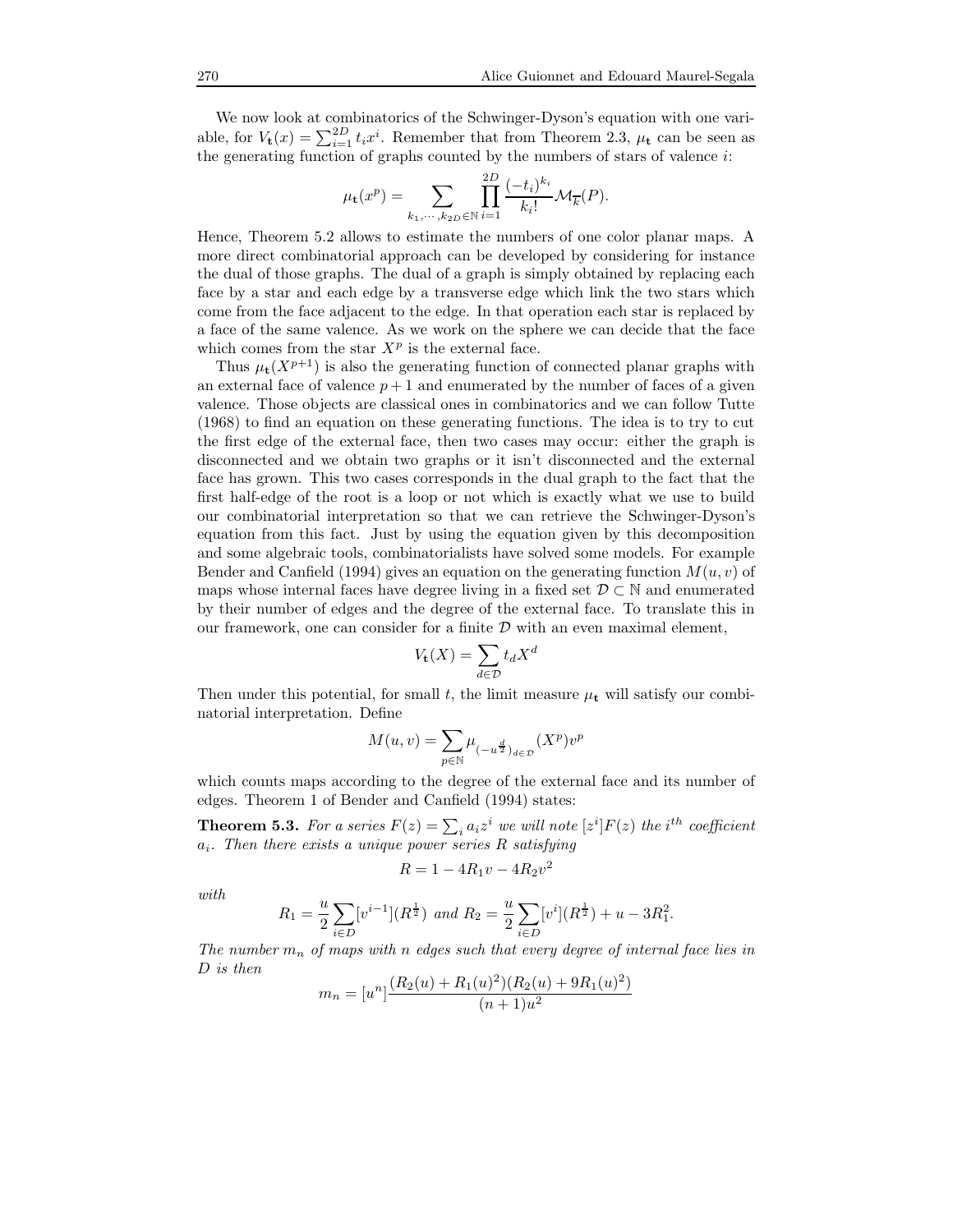We now look at combinatorics of the Schwinger-Dyson's equation with one variable, for  $V_t(x) = \sum_{i=1}^{2D} t_i x^i$ . Remember that from Theorem 2.3,  $\mu_t$  can be seen as the generating function of graphs counted by the numbers of stars of valence  $i$ :

$$
\mu_{\mathbf{t}}(x^p) = \sum_{k_1,\cdots,k_{2D} \in \mathbb{N}} \prod_{i=1}^{2D} \frac{(-t_i)^{k_i}}{k_i!} \mathcal{M}_{\overline{k}}(P).
$$

Hence, Theorem 5.2 allows to estimate the numbers of one color planar maps. A more direct combinatorial approach can be developed by considering for instance the dual of those graphs. The dual of a graph is simply obtained by replacing each face by a star and each edge by a transverse edge which link the two stars which come from the face adjacent to the edge. In that operation each star is replaced by a face of the same valence. As we work on the sphere we can decide that the face which comes from the star  $X^p$  is the external face.

Thus  $\mu_t(X^{p+1})$  is also the generating function of connected planar graphs with an external face of valence  $p + 1$  and enumerated by the number of faces of a given valence. Those objects are classical ones in combinatorics and we can follow Tutte (1968) to find an equation on these generating functions. The idea is to try to cut the first edge of the external face, then two cases may occur: either the graph is disconnected and we obtain two graphs or it isn't disconnected and the external face has grown. This two cases corresponds in the dual graph to the fact that the first half-edge of the root is a loop or not which is exactly what we use to build our combinatorial interpretation so that we can retrieve the Schwinger-Dyson's equation from this fact. Just by using the equation given by this decomposition and some algebraic tools, combinatorialists have solved some models. For example Bender and Canfield (1994) gives an equation on the generating function  $M(u, v)$  of maps whose internal faces have degree living in a fixed set  $\mathcal{D} \subset \mathbb{N}$  and enumerated by their number of edges and the degree of the external face. To translate this in our framework, one can consider for a finite  $\mathcal D$  with an even maximal element,

$$
V_{\mathbf{t}}(X) = \sum_{d \in \mathcal{D}} t_d X^d
$$

Then under this potential, for small t, the limit measure  $\mu_t$  will satisfy our combinatorial interpretation. Define

$$
M(u,v) = \sum_{p \in \mathbb{N}} \mu_{(-u^{\frac{d}{2}})_{d \in \mathcal{D}}}(X^p) v^p
$$

which counts maps according to the degree of the external face and its number of edges. Theorem 1 of Bender and Canfield (1994) states:

**Theorem 5.3.** For a series  $F(z) = \sum_i a_i z^i$  we will note  $[z^i]F(z)$  the i<sup>th</sup> coefficient  $a_i$ . Then there exists a unique power series R satisfying

$$
R = 1 - 4R_1v - 4R_2v^2
$$

with

$$
R_1 = \frac{u}{2} \sum_{i \in D} [v^{i-1}](R^{\frac{1}{2}}) \text{ and } R_2 = \frac{u}{2} \sum_{i \in D} [v^i](R^{\frac{1}{2}}) + u - 3R_1^2.
$$

The number  $m_n$  of maps with n edges such that every degree of internal face lies in D is then

$$
m_n = [u^n] \frac{(R_2(u) + R_1(u)^2)(R_2(u) + 9R_1(u)^2)}{(n+1)u^2}
$$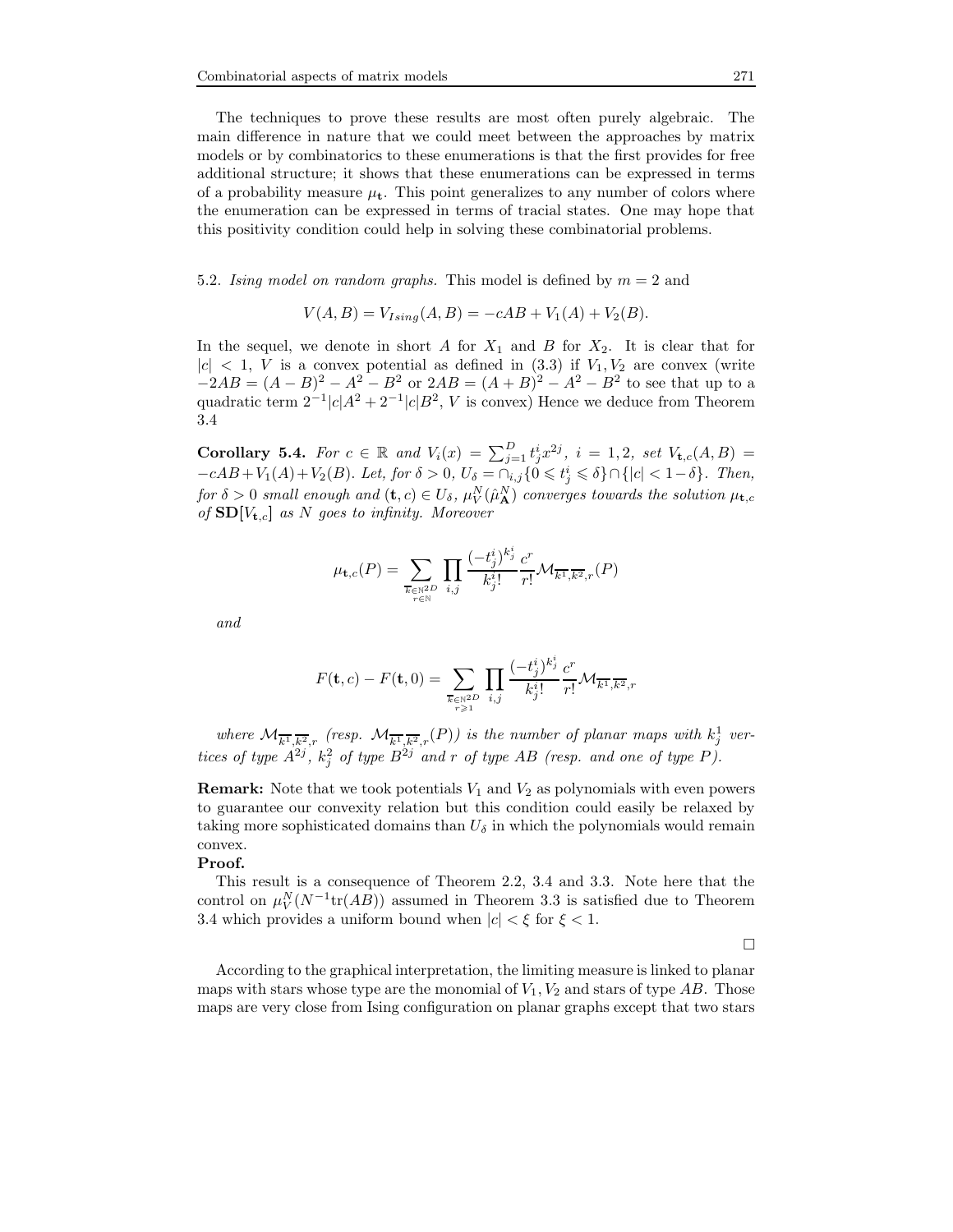The techniques to prove these results are most often purely algebraic. The main difference in nature that we could meet between the approaches by matrix models or by combinatorics to these enumerations is that the first provides for free additional structure; it shows that these enumerations can be expressed in terms of a probability measure  $\mu_{t}$ . This point generalizes to any number of colors where the enumeration can be expressed in terms of tracial states. One may hope that this positivity condition could help in solving these combinatorial problems.

5.2. Ising model on random graphs. This model is defined by  $m = 2$  and

 $V(A, B) = V_{Ising}(A, B) = -cAB + V_1(A) + V_2(B).$ 

In the sequel, we denote in short A for  $X_1$  and B for  $X_2$ . It is clear that for  $|c| < 1$ , V is a convex potential as defined in  $(3.3)$  if  $V_1, V_2$  are convex (write  $-2AB = (A - B)^2 - A^2 - B^2$  or  $2AB = (A + B)^2 - A^2 - B^2$  to see that up to a quadratic term  $2^{-1}|c|A^2 + 2^{-1}|c|B^2$ , V is convex) Hence we deduce from Theorem 3.4

Corollary 5.4. For  $c \in \mathbb{R}$  and  $V_i(x) = \sum_{j=1}^D t_j^i x^{2j}$ ,  $i = 1, 2$ , set  $V_{\mathbf{t},c}(A,B) =$  $-cAB+V_1(A)+V_2(B)$ . Let, for  $\delta > 0$ ,  $U_{\delta} = \cap_{i,j} \{0 \leq t_j^i \leq \delta\} \cap \{|c| < 1-\delta\}$ . Then, for  $\delta > 0$  small enough and  $(\mathbf{t}, c) \in U_{\delta}$ ,  $\mu_{V}^{N}(\hat{\mu}_{\mathbf{A}}^{N})$  converges towards the solution  $\mu_{\mathbf{t},c}$ of  $SD[V_{t,c}]$  as N goes to infinity. Moreover

$$
\mu_{\mathbf{t},c}(P) = \sum_{\overline{k} \in \mathbb{N}^{2D} \atop r \in \mathbb{N}} \prod_{i,j} \frac{(-t^i_j)^{k^i_j}}{k^i_j!} \frac{c^r}{r!} \mathcal{M}_{\overline{k^1},\overline{k^2},r}(P)
$$

and

$$
F(\mathbf{t}, c) - F(\mathbf{t}, 0) = \sum_{\substack{\overline{k} \in \mathbb{N}^{2D} \\ r \geq 1}} \prod_{i,j} \frac{(-t_j^i)^{k_j^i}}{k_j^{i}!} \frac{c^r}{r!} \mathcal{M}_{\overline{k^1}, \overline{k^2}, r}
$$

where  $\mathcal{M}_{\overline{k^1},\overline{k^2},r}$  (resp.  $\mathcal{M}_{\overline{k^1},\overline{k^2},r}(P)$ ) is the number of planar maps with  $k_j^1$  vertices of type  $A^{2j}$ ,  $k_j^2$  of type  $B^{2j}$  and r of type AB (resp. and one of type P).

**Remark:** Note that we took potentials  $V_1$  and  $V_2$  as polynomials with even powers to guarantee our convexity relation but this condition could easily be relaxed by taking more sophisticated domains than  $U_{\delta}$  in which the polynomials would remain convex.

# Proof.

This result is a consequence of Theorem 2.2, 3.4 and 3.3. Note here that the control on  $\mu_V^N(N^{-1}tr(AB))$  assumed in Theorem 3.3 is satisfied due to Theorem 3.4 which provides a uniform bound when  $|c| < \xi$  for  $\xi < 1$ .

 $\Box$ 

According to the graphical interpretation, the limiting measure is linked to planar maps with stars whose type are the monomial of  $V_1, V_2$  and stars of type AB. Those maps are very close from Ising configuration on planar graphs except that two stars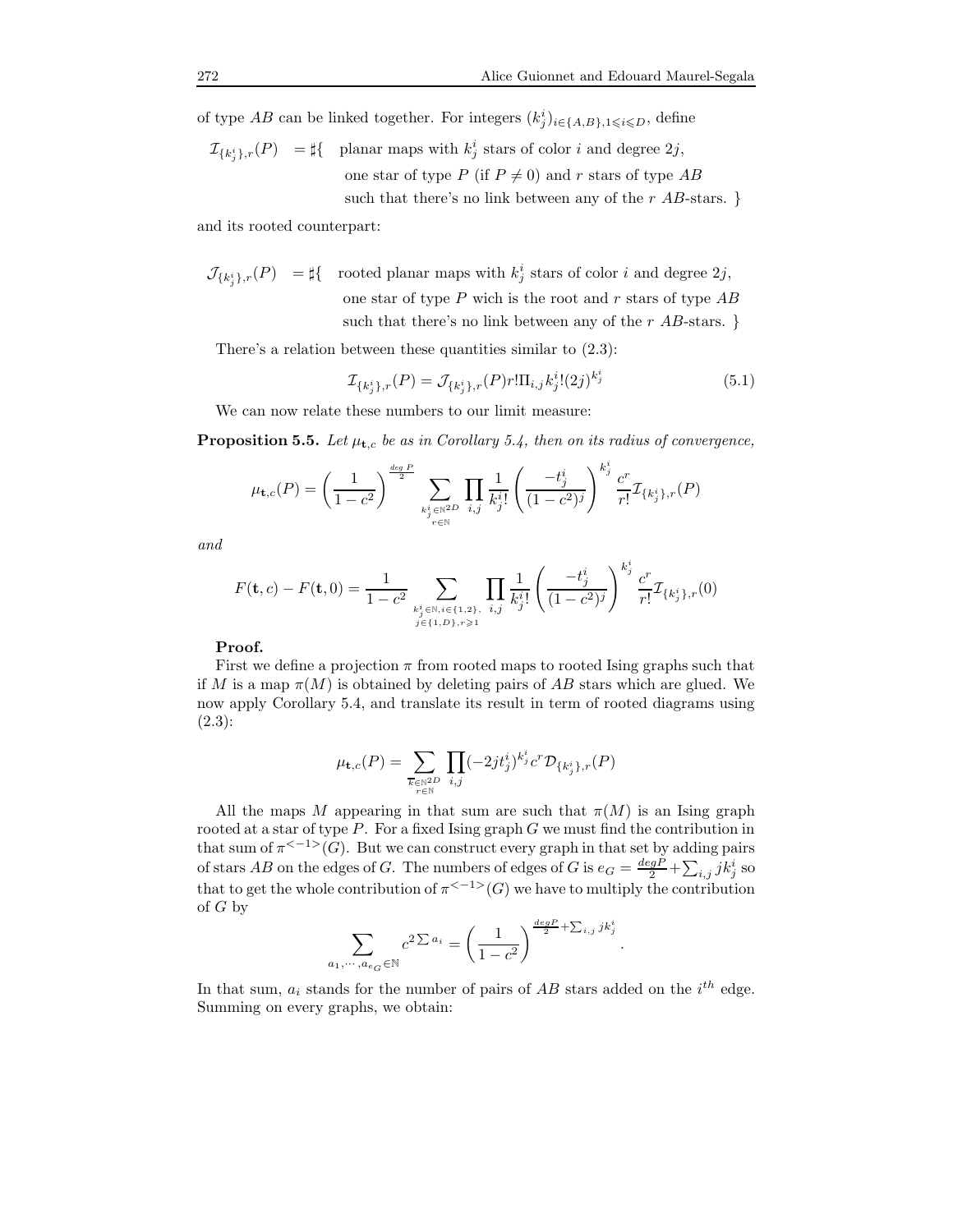of type  $AB$  can be linked together. For integers  $(k_j^i)_{i \in \{A, B\}, 1 \leq i \leq D}$ , define

$$
\mathcal{I}_{\{k_j^i\},r}(P) = \sharp\{\quad \text{planar maps with } k_j^i \text{ stars of color } i \text{ and degree } 2j,
$$
\none star of type  $P$  (if  $P \neq 0$ ) and  $r$  stars of type  $AB$  such that there's no link between any of the  $r$   $AB$ -stars.

and its rooted counterpart:

$$
\mathcal{J}_{\{k_j^i\},r}(P) = \sharp \{ \text{ rooted planar maps with } k_j^i \text{ stars of color } i \text{ and degree } 2j, \\ \text{one star of type } P \text{ which is the root and } r \text{ stars of type } AB \text{ such that there's no link between any of the } r \text{ } AB\text{-stars. }\}
$$

There's a relation between these quantities similar to  $(2.3)$ :

$$
\mathcal{I}_{\{k_j^i\},r}(P) = \mathcal{J}_{\{k_j^i\},r}(P)r!\Pi_{i,j}k_j^i!(2j)^{k_j^i}
$$
\n(5.1)

We can now relate these numbers to our limit measure:

**Proposition 5.5.** Let  $\mu_{t,c}$  be as in Corollary 5.4, then on its radius of convergence,

$$
\mu_{\mathbf{t},c}(P) = \left(\frac{1}{1-c^2}\right)^{\frac{deg P}{2}} \sum_{k_j^i \in \mathbb{N}^{2D}} \prod_{i,j} \frac{1}{k_j^i!} \left(\frac{-t_j^i}{(1-c^2)^j}\right)^{k_j^i} \frac{c^r}{r!} \mathcal{I}_{\{k_j^i\},r}(P)
$$

and

$$
F(\mathbf{t},c) - F(\mathbf{t},0) = \frac{1}{1-c^2} \sum_{\substack{k_j^i \in \mathbb{N}, i \in \{1,2\}, \\ j \in \{1,D\}, r \ge 1}} \prod_{i,j} \frac{1}{k_j^i!} \left( \frac{-t_j^i}{(1-c^2)^j} \right)^{k_j^i} \frac{c^r}{r!} \mathcal{I}_{\{k_j^i\},r}(0)
$$

# Proof.

First we define a projection  $\pi$  from rooted maps to rooted Ising graphs such that if M is a map  $\pi(M)$  is obtained by deleting pairs of AB stars which are glued. We now apply Corollary 5.4, and translate its result in term of rooted diagrams using (2.3):

$$
\mu_{\mathbf{t},c}(P) = \sum_{\substack{\overline{k} \in \mathbb{N}^{2D} \\ r \in \mathbb{N}}} \prod_{i,j} (-2jt_j^i)^{k_j^i} c^r \mathcal{D}_{\{k_j^i\},r}(P)
$$

All the maps M appearing in that sum are such that  $\pi(M)$  is an Ising graph rooted at a star of type  $P$ . For a fixed Ising graph  $G$  we must find the contribution in that sum of  $\pi^{(-1)}(G)$ . But we can construct every graph in that set by adding pairs of stars AB on the edges of G. The numbers of edges of G is  $e_G = \frac{deg P}{2} + \sum_{i,j} j k_j^i$  so that to get the whole contribution of  $\pi^{(-1)}(G)$  we have to multiply the contribution of G by

$$
\sum_{a_1,\cdots,a_{e_G}\in\mathbb{N}} c^{2\sum a_i} = \left(\frac{1}{1-c^2}\right)^{\frac{\deg P}{2} + \sum_{i,j} j k_j^i}.
$$

In that sum,  $a_i$  stands for the number of pairs of  $AB$  stars added on the  $i^{th}$  edge. Summing on every graphs, we obtain: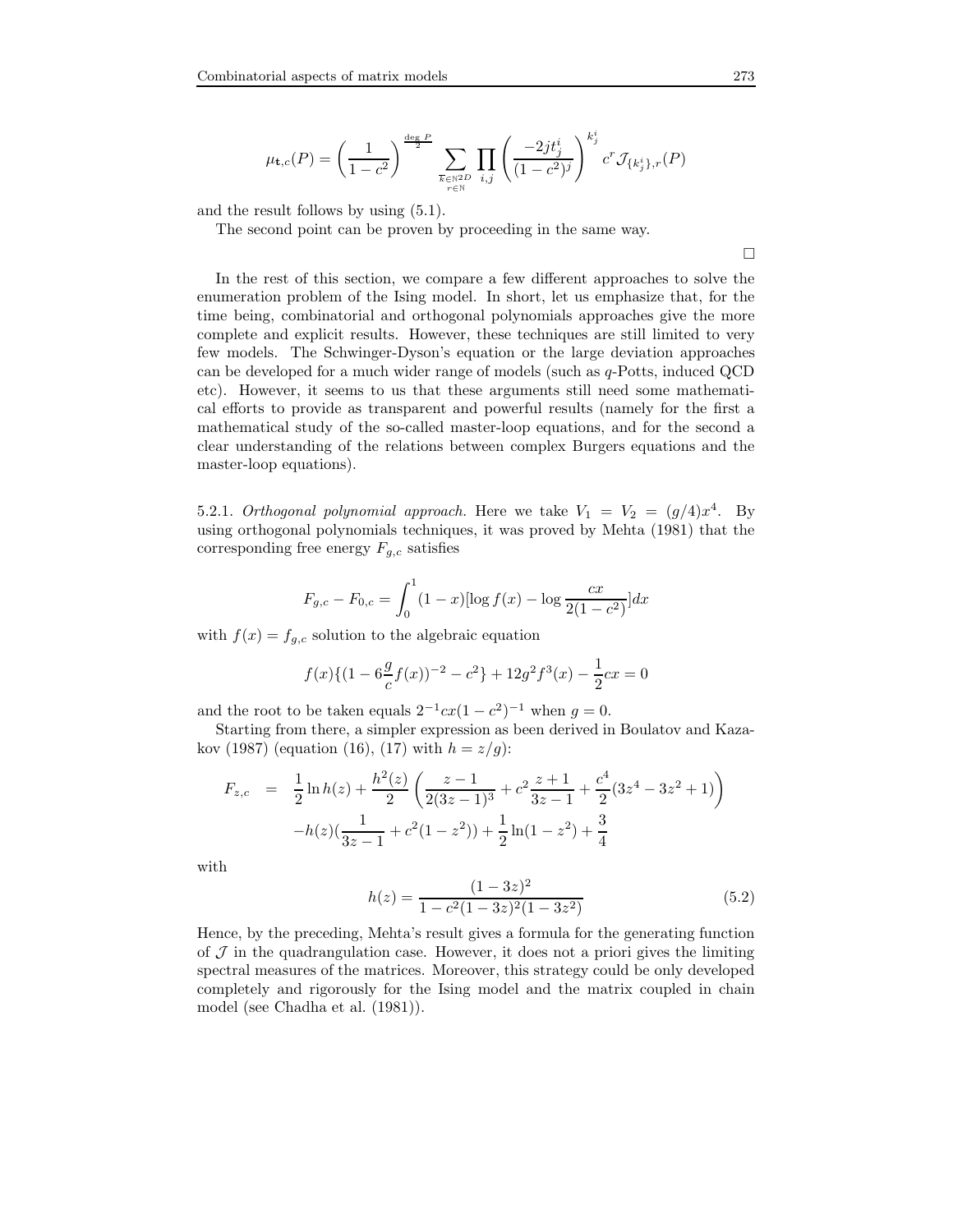$$
\mu_{\mathbf{t},c}(P) = \left(\frac{1}{1-c^2}\right)^{\frac{\deg P}{2}} \sum_{\substack{\overline{k} \in \mathbb{N}^{2D} \\ r \in \mathbb{N}}} \prod_{i,j} \left(\frac{-2jt_j^i}{(1-c^2)^j}\right)^{k_j^i} c^r \mathcal{J}_{\{k_j^i\},r}(P)
$$

and the result follows by using (5.1).

The second point can be proven by proceeding in the same way.

 $\Box$ 

In the rest of this section, we compare a few different approaches to solve the enumeration problem of the Ising model. In short, let us emphasize that, for the time being, combinatorial and orthogonal polynomials approaches give the more complete and explicit results. However, these techniques are still limited to very few models. The Schwinger-Dyson's equation or the large deviation approaches can be developed for a much wider range of models (such as q-Potts, induced QCD etc). However, it seems to us that these arguments still need some mathematical efforts to provide as transparent and powerful results (namely for the first a mathematical study of the so-called master-loop equations, and for the second a clear understanding of the relations between complex Burgers equations and the master-loop equations).

5.2.1. Orthogonal polynomial approach. Here we take  $V_1 = V_2 = (g/4)x^4$ . By using orthogonal polynomials techniques, it was proved by Mehta (1981) that the corresponding free energy  $F_{g,c}$  satisfies

$$
F_{g,c} - F_{0,c} = \int_0^1 (1-x)[\log f(x) - \log \frac{cx}{2(1-c^2)}]dx
$$

with  $f(x) = f_{g,c}$  solution to the algebraic equation

$$
f(x)\{(1-6\frac{g}{c}f(x))^{-2} - c^2\} + 12g^2f^3(x) - \frac{1}{2}cx = 0
$$

and the root to be taken equals  $2^{-1}cx(1-c^2)^{-1}$  when  $g=0$ .

Starting from there, a simpler expression as been derived in Boulatov and Kazakov (1987) (equation (16), (17) with  $h = z/g$ ):

$$
F_{z,c} = \frac{1}{2} \ln h(z) + \frac{h^2(z)}{2} \left( \frac{z-1}{2(3z-1)^3} + c^2 \frac{z+1}{3z-1} + \frac{c^4}{2} (3z^4 - 3z^2 + 1) \right) -h(z) \left( \frac{1}{3z-1} + c^2 (1-z^2) \right) + \frac{1}{2} \ln(1-z^2) + \frac{3}{4}
$$

with

$$
h(z) = \frac{(1 - 3z)^2}{1 - c^2(1 - 3z)^2(1 - 3z^2)}
$$
(5.2)

Hence, by the preceding, Mehta's result gives a formula for the generating function of  $J$  in the quadrangulation case. However, it does not a priori gives the limiting spectral measures of the matrices. Moreover, this strategy could be only developed completely and rigorously for the Ising model and the matrix coupled in chain model (see Chadha et al. (1981)).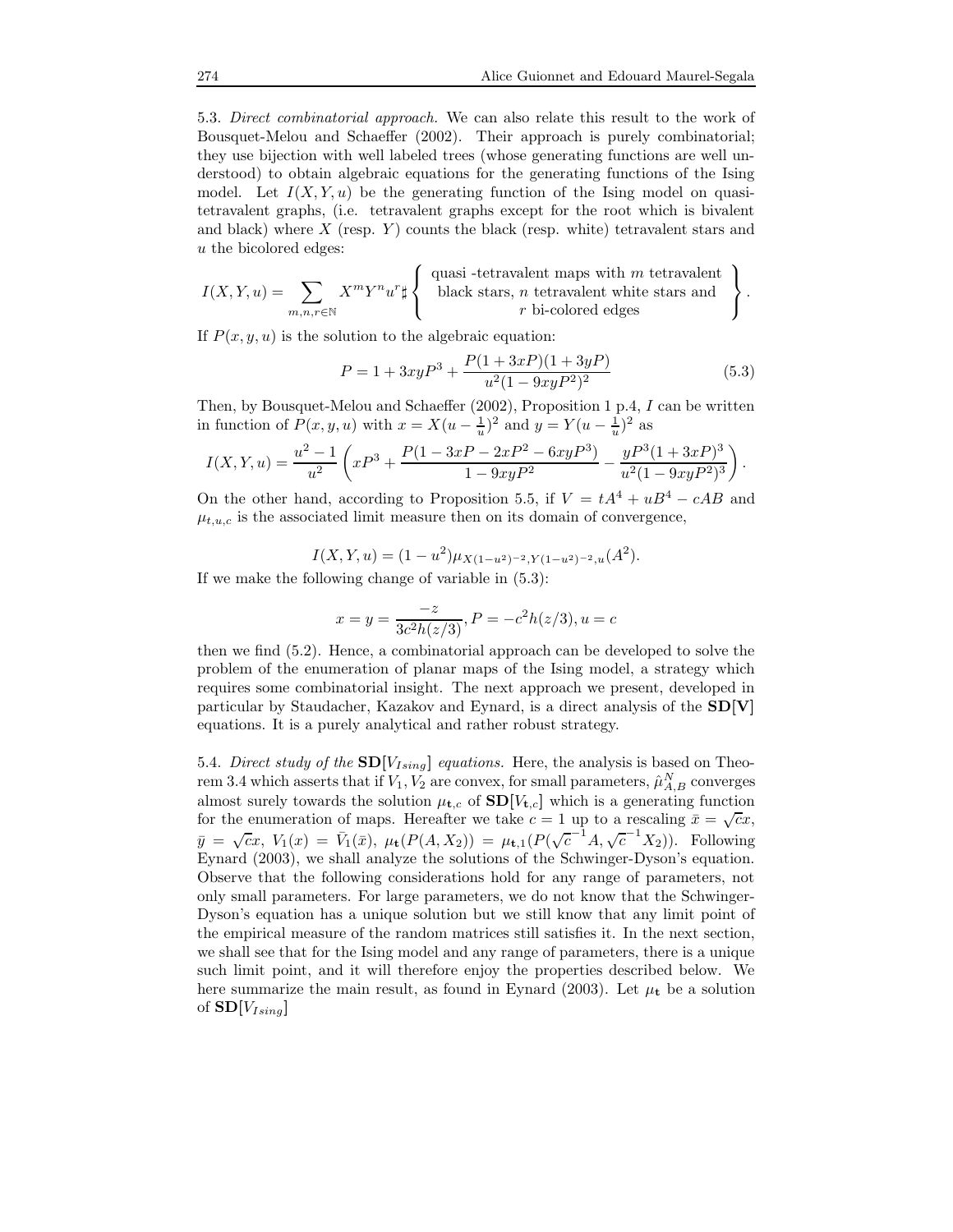5.3. Direct combinatorial approach. We can also relate this result to the work of Bousquet-Melou and Schaeffer (2002). Their approach is purely combinatorial; they use bijection with well labeled trees (whose generating functions are well understood) to obtain algebraic equations for the generating functions of the Ising model. Let  $I(X, Y, u)$  be the generating function of the Ising model on quasitetravalent graphs, (i.e. tetravalent graphs except for the root which is bivalent and black) where  $X$  (resp.  $Y$ ) counts the black (resp. white) tetravalent stars and u the bicolored edges:

$$
I(X,Y,u) = \sum_{m,n,r \in \mathbb{N}} X^m Y^n u^r \sharp \left\{ \begin{array}{c} \text{quasi -tetravalent maps with } m \text{ tetravalent} \\ \text{black stars, } n \text{ tetravalent white stars and} \\ r \text{ bi-colored edges} \end{array} \right\}.
$$

If  $P(x, y, u)$  is the solution to the algebraic equation:

$$
P = 1 + 3xyP^{3} + \frac{P(1+3xP)(1+3yP)}{u^{2}(1-9xyP^{2})^{2}}
$$
\n(5.3)

Then, by Bousquet-Melou and Schaeffer (2002), Proposition 1 p.4, I can be written in function of  $P(x, y, u)$  with  $x = X(u - \frac{1}{u})^2$  and  $y = Y(u - \frac{1}{u})^2$  as

$$
I(X,Y,u)=\frac{u^2-1}{u^2}\left(xP^3+\frac{P(1-3xP-2xP^2-6xyP^3)}{1-9xyP^2}-\frac{yP^3(1+3xP)^3}{u^2(1-9xyP^2)^3}\right).
$$

On the other hand, according to Proposition 5.5, if  $V = tA^4 + uB^4 - cAB$  and  $\mu_{t,u,c}$  is the associated limit measure then on its domain of convergence,

$$
I(X, Y, u) = (1 - u^2)\mu_{X(1 - u^2)^{-2}, Y(1 - u^2)^{-2}, u}(A^2).
$$

If we make the following change of variable in (5.3):

$$
x = y = \frac{-z}{3c^2h(z/3)}, P = -c^2h(z/3), u = c
$$

then we find (5.2). Hence, a combinatorial approach can be developed to solve the problem of the enumeration of planar maps of the Ising model, a strategy which requires some combinatorial insight. The next approach we present, developed in particular by Staudacher, Kazakov and Eynard, is a direct analysis of the SD[V] equations. It is a purely analytical and rather robust strategy.

5.4. Direct study of the  $SD[V_{Ising}]$  equations. Here, the analysis is based on Theorem 3.4 which asserts that if  $V_1, V_2$  are convex, for small parameters,  $\hat{\mu}_{A,B}^N$  converges almost surely towards the solution  $\mu_{t,c}$  of  $SD[V_{t,c}]$  which is a generating function for the enumeration of maps. Hereafter we take  $c = 1$  up to a rescaling  $\bar{x} = \sqrt{c}x$ ,  $\bar{y} = \sqrt{c}x, V_1(x) = \bar{V}_1(\bar{x}), \mu_t(P(A, X_2)) = \mu_{t,1}(P(\sqrt{c}^{-1}A, \sqrt{c}^{-1}X_2)).$  Following Eynard (2003), we shall analyze the solutions of the Schwinger-Dyson's equation. Observe that the following considerations hold for any range of parameters, not only small parameters. For large parameters, we do not know that the Schwinger-Dyson's equation has a unique solution but we still know that any limit point of the empirical measure of the random matrices still satisfies it. In the next section, we shall see that for the Ising model and any range of parameters, there is a unique such limit point, and it will therefore enjoy the properties described below. We here summarize the main result, as found in Eynard (2003). Let  $\mu_{\mathbf{t}}$  be a solution of  $SD[V_{Ising}]$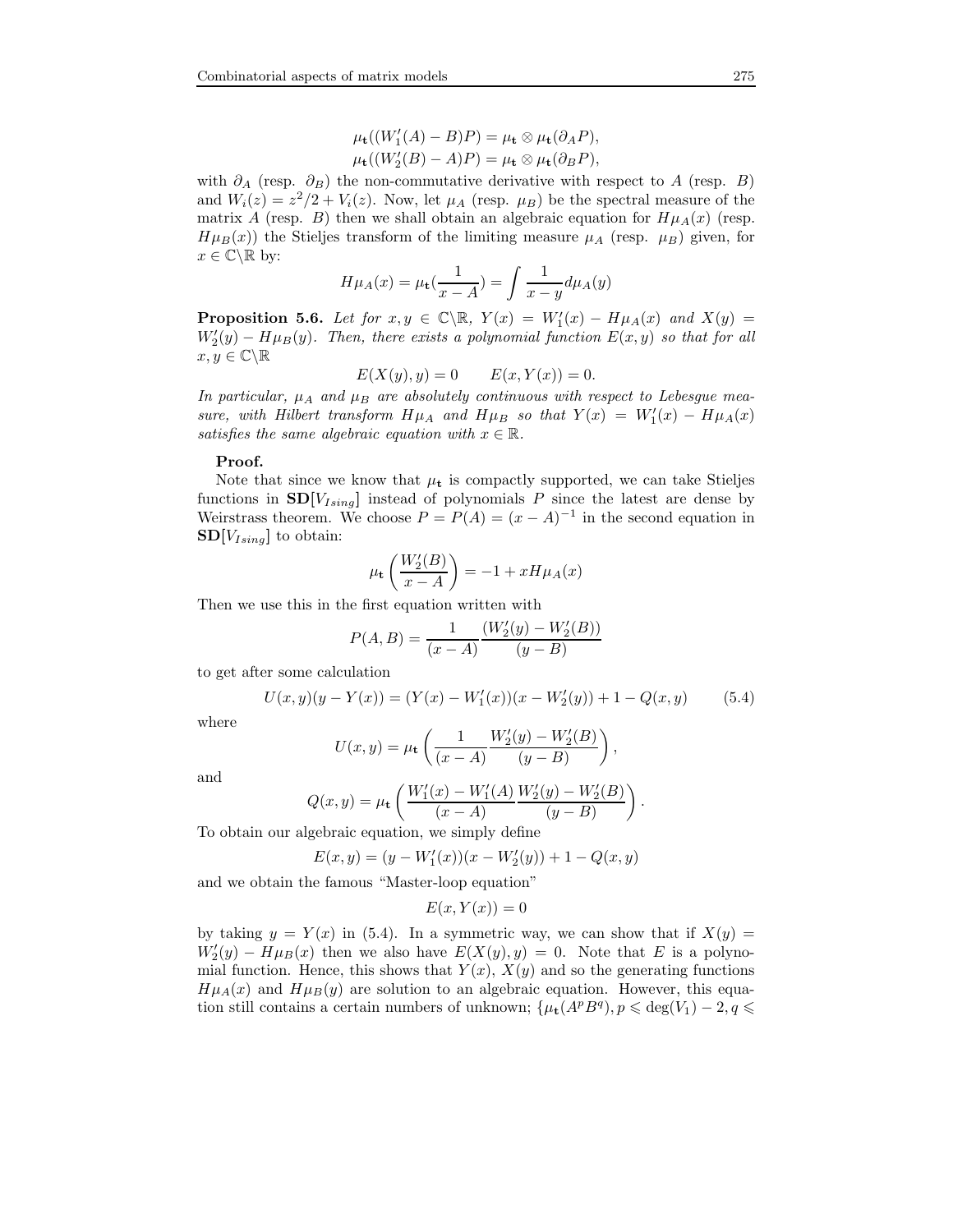$$
\mu_{\mathbf{t}}((W_1'(A)-B)P) = \mu_{\mathbf{t}} \otimes \mu_{\mathbf{t}}(\partial_A P),
$$
  

$$
\mu_{\mathbf{t}}((W_2'(B)-A)P) = \mu_{\mathbf{t}} \otimes \mu_{\mathbf{t}}(\partial_B P),
$$

with  $\partial_A$  (resp.  $\partial_B$ ) the non-commutative derivative with respect to A (resp. B) and  $W_i(z) = z^2/2 + V_i(z)$ . Now, let  $\mu_A$  (resp.  $\mu_B$ ) be the spectral measure of the matrix A (resp. B) then we shall obtain an algebraic equation for  $H\mu_A(x)$  (resp.  $H\mu_B(x)$ ) the Stieljes transform of the limiting measure  $\mu_A$  (resp.  $\mu_B$ ) given, for  $x\in\mathbb{C}\backslash\mathbb{R}$  by:

$$
H\mu_A(x) = \mu_t(\frac{1}{x-A}) = \int \frac{1}{x-y} d\mu_A(y)
$$

**Proposition 5.6.** Let for  $x, y \in \mathbb{C} \setminus \mathbb{R}$ ,  $Y(x) = W'_1(x) - H\mu_A(x)$  and  $X(y) =$  $W_2'(y) - H\mu(B(y))$ . Then, there exists a polynomial function  $E(x, y)$  so that for all  $x, y \in \mathbb{C} \backslash \mathbb{R}$ 

$$
E(X(y), y) = 0 \qquad E(x, Y(x)) = 0.
$$

In particular,  $\mu_A$  and  $\mu_B$  are absolutely continuous with respect to Lebesgue measure, with Hilbert transform  $H\mu_A$  and  $H\mu_B$  so that  $Y(x) = W_1'(x) - H\mu_A(x)$ satisfies the same algebraic equation with  $x \in \mathbb{R}$ .

#### Proof.

Note that since we know that  $\mu_t$  is compactly supported, we can take Stieljes functions in  $SD[V_{Ising}]$  instead of polynomials P since the latest are dense by Weirstrass theorem. We choose  $P = P(A) = (x - A)^{-1}$  in the second equation in  $SD[V_{Ising}]$  to obtain:

$$
\mu_{\mathbf{t}}\left(\frac{W_2'(B)}{x-A}\right) = -1 + xH\mu_A(x)
$$

Then we use this in the first equation written with

$$
P(A, B) = \frac{1}{(x - A)} \frac{(W_2'(y) - W_2'(B))}{(y - B)}
$$

to get after some calculation

$$
U(x, y)(y - Y(x)) = (Y(x) - W'_1(x))(x - W'_2(y)) + 1 - Q(x, y)
$$
(5.4)

.

where

$$
U(x,y) = \mu_{\mathbf{t}} \left( \frac{1}{(x-A)} \frac{W_2'(y) - W_2'(B)}{(y-B)} \right),\,
$$

and

$$
Q(x,y) = \mu_{\mathbf{t}} \left( \frac{W_1'(x) - W_1'(A)}{(x - A)} \frac{W_2'(y) - W_2'(B)}{(y - B)} \right)
$$

To obtain our algebraic equation, we simply define

$$
E(x, y) = (y - W'_1(x))(x - W'_2(y)) + 1 - Q(x, y)
$$

and we obtain the famous "Master-loop equation"

$$
E(x, Y(x)) = 0
$$

by taking  $y = Y(x)$  in (5.4). In a symmetric way, we can show that if  $X(y) =$  $W_2'(y) - H\mu_B(x)$  then we also have  $E(X(y), y) = 0$ . Note that E is a polynomial function. Hence, this shows that  $Y(x)$ ,  $X(y)$  and so the generating functions  $H\mu_A(x)$  and  $H\mu_B(y)$  are solution to an algebraic equation. However, this equation still contains a certain numbers of unknown;  $\{\mu_t(A^p B^q), p \leq \deg(V_1) - 2, q \leq \}$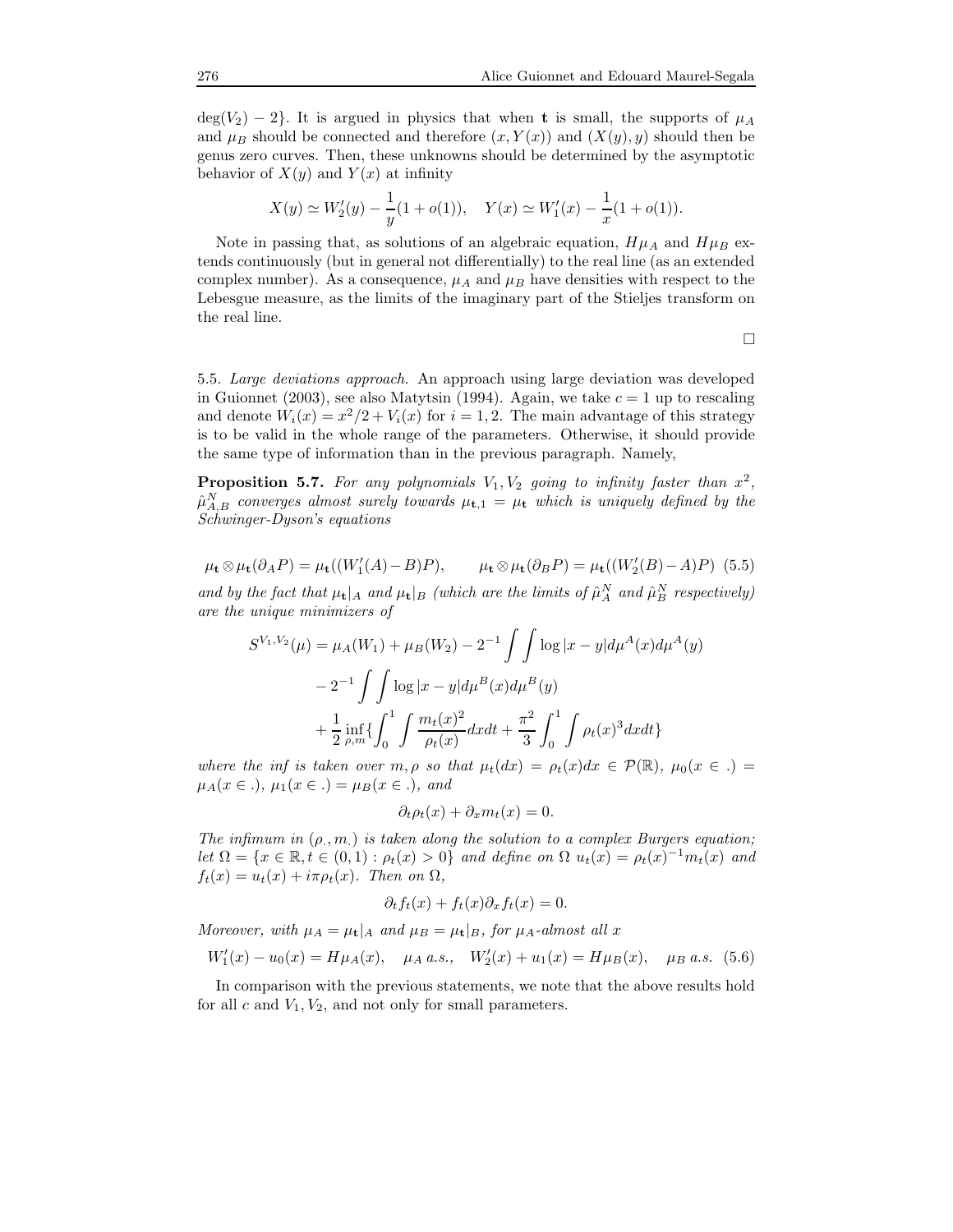$deg(V_2) - 2$ . It is argued in physics that when **t** is small, the supports of  $\mu_A$ and  $\mu_B$  should be connected and therefore  $(x, Y(x))$  and  $(X(y), y)$  should then be genus zero curves. Then, these unknowns should be determined by the asymptotic behavior of  $X(y)$  and  $Y(x)$  at infinity

$$
X(y) \simeq W'_2(y) - \frac{1}{y}(1 + o(1)), \quad Y(x) \simeq W'_1(x) - \frac{1}{x}(1 + o(1)).
$$

Note in passing that, as solutions of an algebraic equation,  $H\mu_A$  and  $H\mu_B$  extends continuously (but in general not differentially) to the real line (as an extended complex number). As a consequence,  $\mu_A$  and  $\mu_B$  have densities with respect to the Lebesgue measure, as the limits of the imaginary part of the Stieljes transform on the real line.

 $\Box$ 

5.5. Large deviations approach. An approach using large deviation was developed in Guionnet (2003), see also Matytsin (1994). Again, we take  $c = 1$  up to rescaling and denote  $W_i(x) = x^2/2 + V_i(x)$  for  $i = 1, 2$ . The main advantage of this strategy is to be valid in the whole range of the parameters. Otherwise, it should provide the same type of information than in the previous paragraph. Namely,

**Proposition 5.7.** For any polynomials  $V_1, V_2$  going to infinity faster than  $x^2$ ,  $\hat{\mu}_{A,B}^N$  converges almost surely towards  $\mu_{\textbf{t},1} = \mu_{\textbf{t}}$  which is uniquely defined by the Schwinger-Dyson's equations

$$
\mu_{\mathbf{t}} \otimes \mu_{\mathbf{t}}(\partial_A P) = \mu_{\mathbf{t}}((W'_1(A) - B)P), \qquad \mu_{\mathbf{t}} \otimes \mu_{\mathbf{t}}(\partial_B P) = \mu_{\mathbf{t}}((W'_2(B) - A)P) \tag{5.5}
$$

and by the fact that  $\mu_t|_A$  and  $\mu_t|_B$  (which are the limits of  $\hat{\mu}_A^N$  and  $\hat{\mu}_B^N$  respectively) are the unique minimizers of

$$
S^{V_1,V_2}(\mu) = \mu_A(W_1) + \mu_B(W_2) - 2^{-1} \int \int \log |x - y| d\mu^A(x) d\mu^A(y)
$$

$$
- 2^{-1} \int \int \log |x - y| d\mu^B(x) d\mu^B(y)
$$

$$
+ \frac{1}{2} \inf_{\rho,m} \left\{ \int_0^1 \int \frac{m_t(x)^2}{\rho_t(x)} dx dt + \frac{\pi^2}{3} \int_0^1 \int \rho_t(x)^3 dx dt \right\}
$$

where the inf is taken over  $m, \rho$  so that  $\mu_t(dx) = \rho_t(x)dx \in \mathcal{P}(\mathbb{R}), \mu_0(x \in .) =$  $\mu_A(x \in .), \mu_1(x \in .) = \mu_B(x \in .), \text{ and}$ 

$$
\partial_t \rho_t(x) + \partial_x m_t(x) = 0.
$$

The infimum in  $(\rho, m)$  is taken along the solution to a complex Burgers equation; let  $\Omega = \{x \in \mathbb{R}, t \in (0,1) : \rho_t(x) > 0\}$  and define on  $\Omega$   $u_t(x) = \rho_t(x)^{-1} m_t(x)$  and  $f_t(x) = u_t(x) + i\pi \rho_t(x)$ . Then on  $\Omega$ ,

$$
\partial_t f_t(x) + f_t(x)\partial_x f_t(x) = 0.
$$

Moreover, with  $\mu_A = \mu_t |_A$  and  $\mu_B = \mu_t |_B$ , for  $\mu_A$ -almost all x

$$
W_1'(x) - u_0(x) = H\mu_A(x), \quad \mu_A \text{ a.s.,} \quad W_2'(x) + u_1(x) = H\mu_B(x), \quad \mu_B \text{ a.s.} \quad (5.6)
$$

In comparison with the previous statements, we note that the above results hold for all c and  $V_1, V_2$ , and not only for small parameters.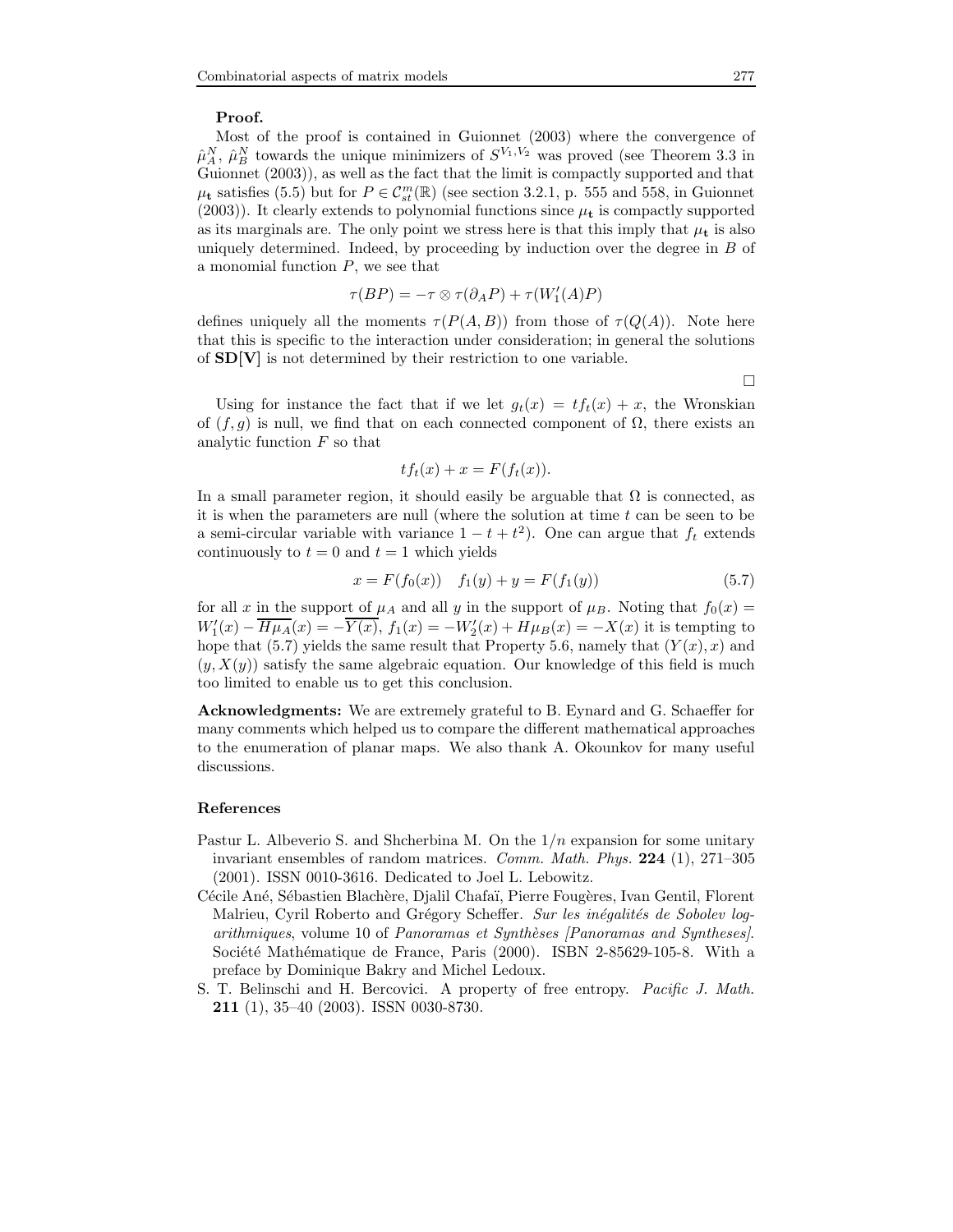### Proof.

Most of the proof is contained in Guionnet (2003) where the convergence of  $\hat{\mu}_{A}^{N}, \hat{\mu}_{B}^{N}$  towards the unique minimizers of  $S^{V_1,V_2}$  was proved (see Theorem 3.3 in Guionnet (2003)), as well as the fact that the limit is compactly supported and that  $\mu_{\mathbf{t}}$  satisfies (5.5) but for  $P \in \mathcal{C}_{st}^m(\mathbb{R})$  (see section 3.2.1, p. 555 and 558, in Guionnet (2003)). It clearly extends to polynomial functions since  $\mu_{\mathbf{t}}$  is compactly supported as its marginals are. The only point we stress here is that this imply that  $\mu_t$  is also uniquely determined. Indeed, by proceeding by induction over the degree in  $B$  of a monomial function  $P$ , we see that

$$
\tau(BP) = -\tau \otimes \tau(\partial_A P) + \tau(W'_1(A)P)
$$

defines uniquely all the moments  $\tau(P(A, B))$  from those of  $\tau(Q(A))$ . Note here that this is specific to the interaction under consideration; in general the solutions of SD[V] is not determined by their restriction to one variable.

 $\Box$ 

Using for instance the fact that if we let  $g_t(x) = tf_t(x) + x$ , the Wronskian of  $(f, g)$  is null, we find that on each connected component of  $\Omega$ , there exists an analytic function F so that

$$
tf_t(x) + x = F(f_t(x)).
$$

In a small parameter region, it should easily be arguable that  $\Omega$  is connected, as it is when the parameters are null (where the solution at time  $t$  can be seen to be a semi-circular variable with variance  $1 - t + t^2$ ). One can argue that  $f_t$  extends continuously to  $t = 0$  and  $t = 1$  which yields

$$
x = F(f_0(x)) \t f_1(y) + y = F(f_1(y)) \t (5.7)
$$

for all x in the support of  $\mu_A$  and all y in the support of  $\mu_B$ . Noting that  $f_0(x) =$  $W_1'(x) - H\mu_A(x) = -Y(x), f_1(x) = -W_2'(x) + H\mu_B(x) = -X(x)$  it is tempting to hope that (5.7) yields the same result that Property 5.6, namely that  $(Y(x), x)$  and  $(y, X(y))$  satisfy the same algebraic equation. Our knowledge of this field is much too limited to enable us to get this conclusion.

Acknowledgments: We are extremely grateful to B. Eynard and G. Schaeffer for many comments which helped us to compare the different mathematical approaches to the enumeration of planar maps. We also thank A. Okounkov for many useful discussions.

#### References

- Pastur L. Albeverio S. and Shcherbina M. On the  $1/n$  expansion for some unitary invariant ensembles of random matrices. *Comm. Math. Phys.*  $224$  (1),  $271-305$ (2001). ISSN 0010-3616. Dedicated to Joel L. Lebowitz.
- Cécile Ané, Sébastien Blachère, Djalil Chafaï, Pierre Fougères, Ivan Gentil, Florent Malrieu, Cyril Roberto and Grégory Scheffer. Sur les inégalités de Sobolev logarithmiques, volume 10 of Panoramas et Synthèses [Panoramas and Syntheses]. Société Mathématique de France, Paris (2000). ISBN 2-85629-105-8. With a preface by Dominique Bakry and Michel Ledoux.
- S. T. Belinschi and H. Bercovici. A property of free entropy. Pacific J. Math. 211 (1), 35–40 (2003). ISSN 0030-8730.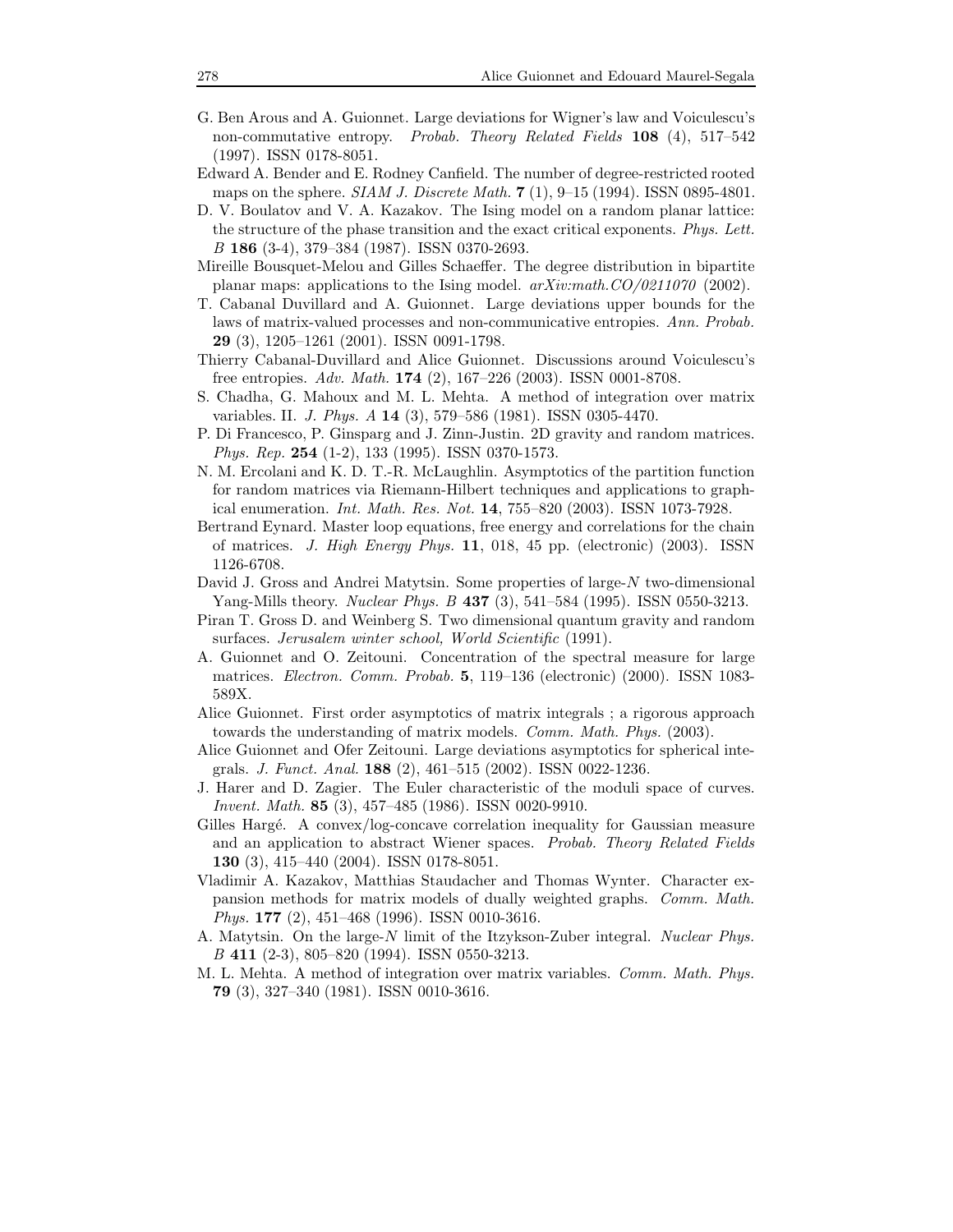- G. Ben Arous and A. Guionnet. Large deviations for Wigner's law and Voiculescu's non-commutative entropy. Probab. Theory Related Fields 108 (4), 517–542 (1997). ISSN 0178-8051.
- Edward A. Bender and E. Rodney Canfield. The number of degree-restricted rooted maps on the sphere. *SIAM J. Discrete Math.*  $7(1)$ ,  $9-15(1994)$ . ISSN 0895-4801.
- D. V. Boulatov and V. A. Kazakov. The Ising model on a random planar lattice: the structure of the phase transition and the exact critical exponents. Phys. Lett. B 186 (3-4), 379–384 (1987). ISSN 0370-2693.
- Mireille Bousquet-Melou and Gilles Schaeffer. The degree distribution in bipartite planar maps: applications to the Ising model.  $arXiv:math.CO/0211070$  (2002).
- T. Cabanal Duvillard and A. Guionnet. Large deviations upper bounds for the laws of matrix-valued processes and non-communicative entropies. Ann. Probab. 29 (3), 1205–1261 (2001). ISSN 0091-1798.
- Thierry Cabanal-Duvillard and Alice Guionnet. Discussions around Voiculescu's free entropies. Adv. Math. 174 (2), 167–226 (2003). ISSN 0001-8708.
- S. Chadha, G. Mahoux and M. L. Mehta. A method of integration over matrix variables. II. J. Phys. A 14 (3), 579–586 (1981). ISSN 0305-4470.
- P. Di Francesco, P. Ginsparg and J. Zinn-Justin. 2D gravity and random matrices. Phys. Rep. 254 (1-2), 133 (1995). ISSN 0370-1573.
- N. M. Ercolani and K. D. T.-R. McLaughlin. Asymptotics of the partition function for random matrices via Riemann-Hilbert techniques and applications to graphical enumeration. Int. Math. Res. Not. 14, 755–820 (2003). ISSN 1073-7928.
- Bertrand Eynard. Master loop equations, free energy and correlations for the chain of matrices. J. High Energy Phys. 11, 018, 45 pp. (electronic) (2003). ISSN 1126-6708.
- David J. Gross and Andrei Matytsin. Some properties of large-N two-dimensional Yang-Mills theory. *Nuclear Phys. B* 437 (3), 541–584 (1995). ISSN 0550-3213.
- Piran T. Gross D. and Weinberg S. Two dimensional quantum gravity and random surfaces. Jerusalem winter school, World Scientific (1991).
- A. Guionnet and O. Zeitouni. Concentration of the spectral measure for large matrices. Electron. Comm. Probab. 5, 119–136 (electronic) (2000). ISSN 1083- 589X.
- Alice Guionnet. First order asymptotics of matrix integrals ; a rigorous approach towards the understanding of matrix models. *Comm. Math. Phys.* (2003).
- Alice Guionnet and Ofer Zeitouni. Large deviations asymptotics for spherical integrals. J. Funct. Anal. 188 (2), 461–515 (2002). ISSN 0022-1236.
- J. Harer and D. Zagier. The Euler characteristic of the moduli space of curves. Invent. Math. 85 (3), 457–485 (1986). ISSN 0020-9910.
- Gilles Hargé. A convex/log-concave correlation inequality for Gaussian measure and an application to abstract Wiener spaces. Probab. Theory Related Fields 130 (3), 415–440 (2004). ISSN 0178-8051.
- Vladimir A. Kazakov, Matthias Staudacher and Thomas Wynter. Character expansion methods for matrix models of dually weighted graphs. Comm. Math. Phys. 177 (2), 451–468 (1996). ISSN 0010-3616.
- A. Matytsin. On the large-N limit of the Itzykson-Zuber integral. Nuclear Phys. B 411 (2-3), 805–820 (1994). ISSN 0550-3213.
- M. L. Mehta. A method of integration over matrix variables. Comm. Math. Phys. 79 (3), 327–340 (1981). ISSN 0010-3616.